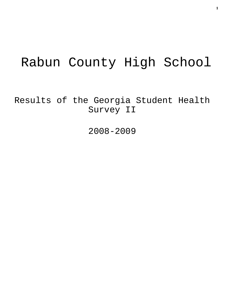# Rabun County High School

Results of the Georgia Student Health Survey II

2008-2009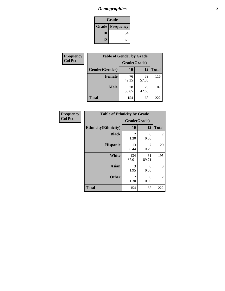# *Demographics* **2**

| Grade |                          |  |  |
|-------|--------------------------|--|--|
|       | <b>Grade   Frequency</b> |  |  |
| 10    | 154                      |  |  |
| 12    | 68                       |  |  |

| Frequency      | <b>Table of Gender by Grade</b> |              |             |              |
|----------------|---------------------------------|--------------|-------------|--------------|
| <b>Col Pct</b> |                                 | Grade(Grade) |             |              |
|                | Gender(Gender)                  | 10           | 12          | <b>Total</b> |
|                | <b>Female</b>                   | 76<br>49.35  | 39<br>57.35 | 115          |
|                | <b>Male</b>                     | 78<br>50.65  | 29<br>42.65 | 107          |
|                | <b>Total</b>                    | 154          | 68          | 222          |

| Frequency      |  |
|----------------|--|
| <b>Col Pct</b> |  |
|                |  |

| <b>Table of Ethnicity by Grade</b> |                        |             |              |  |  |
|------------------------------------|------------------------|-------------|--------------|--|--|
|                                    | Grade(Grade)           |             |              |  |  |
| <b>Ethnicity</b> (Ethnicity)       | 10                     | 12          | <b>Total</b> |  |  |
| <b>Black</b>                       | 2<br>1.30              | 0<br>0.00   | 2            |  |  |
| <b>Hispanic</b>                    | 13<br>8.44             | 7<br>10.29  | 20           |  |  |
| <b>White</b>                       | 134<br>87.01           | 61<br>89.71 | 195          |  |  |
| <b>Asian</b>                       | 3<br>1.95              | 0<br>0.00   | 3            |  |  |
| <b>Other</b>                       | $\overline{2}$<br>1.30 | 0<br>0.00   | 2            |  |  |
| <b>Total</b>                       | 154                    | 68          | 222          |  |  |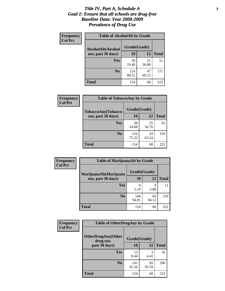#### *Title IV, Part A, Schedule A* **3** *Goal 1: Ensure that all schools are drug-free Baseline Data: Year 2008-2009 Prevalence of Drug Use*

| Frequency<br><b>Col Pct</b> | <b>Table of AlcoholAlt by Grade</b> |              |             |              |  |
|-----------------------------|-------------------------------------|--------------|-------------|--------------|--|
|                             | AlcoholAlt(Alcohol                  | Grade(Grade) |             |              |  |
|                             | use, past 30 days)                  | <b>10</b>    | 12          | <b>Total</b> |  |
|                             | Yes                                 | 30<br>19.48  | 21<br>30.88 | 51           |  |
|                             | N <sub>0</sub>                      | 124<br>80.52 | 47<br>69.12 | 171          |  |
|                             | Total                               | 154          | 68          | 222          |  |

| Frequency      | <b>Table of TobaccoAny by Grade</b> |              |       |              |  |
|----------------|-------------------------------------|--------------|-------|--------------|--|
| <b>Col Pct</b> | TobaccoAny(Tobacco                  | Grade(Grade) |       |              |  |
|                | use, past 30 days)                  | 10           | 12    | <b>Total</b> |  |
|                | <b>Yes</b>                          | 38           | 25    | 63           |  |
|                |                                     | 24.68        | 36.76 |              |  |
|                | N <sub>0</sub>                      | 116          | 43    | 159          |  |
|                |                                     | 75.32        | 63.24 |              |  |
|                | Total                               | 154          | 68    | 222          |  |

| Frequency<br><b>Col Pct</b> | <b>Table of MarijuanaAlt by Grade</b> |              |             |              |  |
|-----------------------------|---------------------------------------|--------------|-------------|--------------|--|
|                             | MarijuanaAlt(Marijuana                | Grade(Grade) |             |              |  |
|                             | use, past 30 days)                    | 10           | 12          | <b>Total</b> |  |
|                             | <b>Yes</b>                            | 8            | 4           | 12           |  |
|                             |                                       | 5.19         | 5.88        |              |  |
|                             | N <sub>0</sub>                        | 146<br>94.81 | 64<br>94.12 | 210          |  |
|                             | <b>Total</b>                          | 154          | 68          | 222          |  |

| Frequency      | <b>Table of OtherDrugAny by Grade</b>  |              |             |              |  |
|----------------|----------------------------------------|--------------|-------------|--------------|--|
| <b>Col Pct</b> | <b>OtherDrugAny(Other</b><br>drug use, | Grade(Grade) |             |              |  |
|                | past 30 days)                          | 10           | 12          | <b>Total</b> |  |
|                | Yes                                    | 13<br>8.44   | 3<br>4.41   | 16           |  |
|                | N <sub>0</sub>                         | 141<br>91.56 | 65<br>95.59 | 206          |  |
|                | <b>Total</b>                           | 154          | 68          | 222          |  |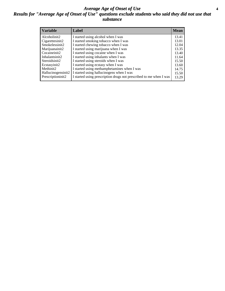#### *Average Age of Onset of Use* **4** *Results for "Average Age of Onset of Use" questions exclude students who said they did not use that substance*

| <b>Variable</b>    | Label                                                              | <b>Mean</b> |
|--------------------|--------------------------------------------------------------------|-------------|
| Alcoholinit2       | I started using alcohol when I was                                 | 13.41       |
| Cigarettesinit2    | I started smoking tobacco when I was                               | 13.01       |
| Smokelessinit2     | I started chewing tobacco when I was                               | 12.04       |
| Marijuanainit2     | I started using marijuana when I was                               | 13.35       |
| Cocaineinit2       | I started using cocaine when I was                                 | 13.40       |
| Inhalantsinit2     | I started using inhalants when I was                               | 11.64       |
| Steroidsinit2      | I started using steroids when I was                                | 15.50       |
| Ecstasyinit2       | I started using ecstasy when I was                                 | 13.60       |
| Methinit2          | I started using methamphetamines when I was                        | 14.75       |
| Hallucinogensinit2 | I started using hallucinogens when I was                           | 15.50       |
| Prescriptioninit2  | I started using prescription drugs not prescribed to me when I was | 13.29       |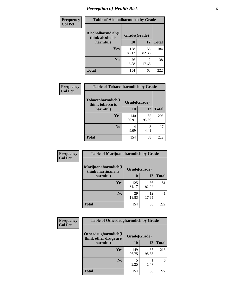# *Perception of Health Risk* **5**

| <b>Frequency</b> | <b>Table of Alcoholharmdich by Grade</b> |              |             |              |  |
|------------------|------------------------------------------|--------------|-------------|--------------|--|
| <b>Col Pct</b>   | Alcoholharmdich(I<br>think alcohol is    | Grade(Grade) |             |              |  |
|                  | harmful)                                 | 10           | 12          | <b>Total</b> |  |
|                  | Yes                                      | 128<br>83.12 | 56<br>82.35 | 184          |  |
|                  | N <sub>0</sub>                           | 26<br>16.88  | 12<br>17.65 | 38           |  |
|                  | <b>Total</b>                             | 154          | 68          | 222          |  |

| Frequency<br><b>Col Pct</b> | <b>Table of Tobaccoharmdich by Grade</b> |              |             |              |  |
|-----------------------------|------------------------------------------|--------------|-------------|--------------|--|
|                             | Tobaccoharmdich(I<br>think tobacco is    | Grade(Grade) |             |              |  |
|                             | harmful)                                 | 10           | 12          | <b>Total</b> |  |
|                             | Yes                                      | 140<br>90.91 | 65<br>95.59 | 205          |  |
|                             | N <sub>0</sub>                           | 14<br>9.09   | 3<br>4.41   | 17           |  |
|                             | <b>Total</b>                             | 154          | 68          | 222          |  |

| <b>Frequency</b> | <b>Table of Marijuanaharmdich by Grade</b>                |              |             |              |  |
|------------------|-----------------------------------------------------------|--------------|-------------|--------------|--|
| <b>Col Pct</b>   | Marijuanaharmdich(I<br>Grade(Grade)<br>think marijuana is |              |             |              |  |
|                  | harmful)                                                  | 10           | 12          | <b>Total</b> |  |
|                  | <b>Yes</b>                                                | 125<br>81.17 | 56<br>82.35 | 181          |  |
|                  | N <sub>0</sub>                                            | 29<br>18.83  | 12<br>17.65 | 41           |  |
|                  | <b>Total</b>                                              | 154          | 68          | 222          |  |

| <b>Frequency</b> | <b>Table of Otherdrugharmdich by Grade</b>   |              |             |              |  |  |
|------------------|----------------------------------------------|--------------|-------------|--------------|--|--|
| <b>Col Pct</b>   | Otherdrugharmdich(I<br>think other drugs are | Grade(Grade) |             |              |  |  |
|                  | harmful)                                     | 10           | 12          | <b>Total</b> |  |  |
|                  | <b>Yes</b>                                   | 149<br>96.75 | 67<br>98.53 | 216          |  |  |
|                  | N <sub>0</sub>                               | 3.25         | 1.47        | 6            |  |  |
|                  | <b>Total</b>                                 | 154          | 68          | 222          |  |  |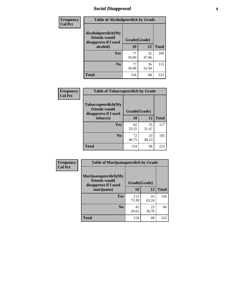### *Social Disapproval* **6**

| Frequency      | <b>Table of Alcoholpeerdich by Grade</b>                    |              |             |              |  |  |  |
|----------------|-------------------------------------------------------------|--------------|-------------|--------------|--|--|--|
| <b>Col Pct</b> | Alcoholpeerdich(My<br>friends would<br>disapprove if I used | Grade(Grade) |             |              |  |  |  |
|                | alcohol)                                                    | 10           | 12          | <b>Total</b> |  |  |  |
|                | <b>Yes</b>                                                  | 77<br>50.00  | 32<br>47.06 | 109          |  |  |  |
|                | N <sub>0</sub>                                              | 77<br>50.00  | 36<br>52.94 | 113          |  |  |  |
|                | <b>Total</b>                                                | 154          | 68          | 222          |  |  |  |

| <b>Frequency</b> |
|------------------|
| <b>Col Pct</b>   |

| <b>Table of Tobaccopeerdich by Grade</b>                    |              |              |     |  |  |  |
|-------------------------------------------------------------|--------------|--------------|-----|--|--|--|
| Tobaccopeerdich(My<br>friends would<br>disapprove if I used | Grade(Grade) |              |     |  |  |  |
| tobacco)                                                    | 10           | <b>Total</b> |     |  |  |  |
| Yes                                                         | 82<br>53.25  | 35<br>51.47  | 117 |  |  |  |
| N <sub>0</sub>                                              | 72<br>46.75  | 33<br>48.53  | 105 |  |  |  |
| <b>Total</b>                                                | 154          | 68           | 222 |  |  |  |

| <b>Frequency</b> | <b>Table of Marijuanapeerdich by Grade</b>                    |              |             |              |  |  |
|------------------|---------------------------------------------------------------|--------------|-------------|--------------|--|--|
| <b>Col Pct</b>   | Marijuanapeerdich(My<br>friends would<br>disapprove if I used | Grade(Grade) |             |              |  |  |
|                  | marijuana)                                                    | 10           | 12          | <b>Total</b> |  |  |
|                  | <b>Yes</b>                                                    | 113<br>73.38 | 43<br>63.24 | 156          |  |  |
|                  | N <sub>0</sub>                                                | 41<br>26.62  | 25<br>36.76 | 66           |  |  |
|                  | <b>Total</b>                                                  | 154          | 68          | 222          |  |  |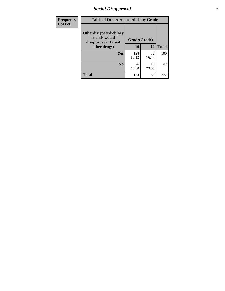### *Social Disapproval* **7**

| Frequency      | <b>Table of Otherdrugpeerdich by Grade</b>                    |              |             |              |  |  |
|----------------|---------------------------------------------------------------|--------------|-------------|--------------|--|--|
| <b>Col Pct</b> | Otherdrugpeerdich(My<br>friends would<br>disapprove if I used | Grade(Grade) |             |              |  |  |
|                | other drugs)                                                  | 10           | 12          | <b>Total</b> |  |  |
|                | Yes                                                           | 128<br>83.12 | 52<br>76.47 | 180          |  |  |
|                | N <sub>0</sub>                                                | 26<br>16.88  | 16<br>23.53 | 42           |  |  |
|                | <b>Total</b>                                                  | 154          | 68          | 222          |  |  |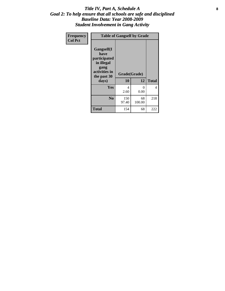#### Title IV, Part A, Schedule A **8** *Goal 2: To help ensure that all schools are safe and disciplined Baseline Data: Year 2008-2009 Student Involvement in Gang Activity*

| Frequency      | <b>Table of Gangself by Grade</b>                                                                 |                    |                  |              |  |  |
|----------------|---------------------------------------------------------------------------------------------------|--------------------|------------------|--------------|--|--|
| <b>Col Pct</b> | Gangself(I<br>have<br>participated<br>in illegal<br>gang<br>activities in<br>the past 30<br>days) | Grade(Grade)<br>10 | 12               | <b>Total</b> |  |  |
|                | Yes                                                                                               | 4<br>2.60          | $\theta$<br>0.00 | 4            |  |  |
|                | N <sub>0</sub>                                                                                    | 150<br>97.40       | 68<br>100.00     | 218          |  |  |
|                | <b>Total</b>                                                                                      | 154                | 68               | 222          |  |  |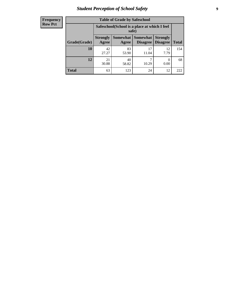# *Student Perception of School Safety* **9**

| <b>Frequency</b><br>Row Pct |
|-----------------------------|
|                             |

| <b>Table of Grade by Safeschool</b> |                          |                                                        |                                 |                                    |              |  |
|-------------------------------------|--------------------------|--------------------------------------------------------|---------------------------------|------------------------------------|--------------|--|
|                                     |                          | Safeschool (School is a place at which I feel<br>safe) |                                 |                                    |              |  |
| Grade(Grade)                        | <b>Strongly</b><br>Agree | Agree                                                  | Somewhat   Somewhat<br>Disagree | <b>Strongly</b><br><b>Disagree</b> | <b>Total</b> |  |
| 10                                  | 42<br>27.27              | 83<br>53.90                                            | 17<br>11.04                     | 12<br>7.79                         | 154          |  |
| 12                                  | 21<br>30.88              | 40<br>58.82                                            | 10.29                           | 0<br>0.00                          | 68           |  |
| <b>Total</b>                        | 63                       | 123                                                    | 24                              | 12                                 | 222          |  |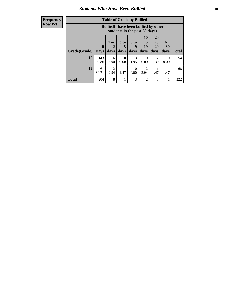### *Students Who Have Been Bullied* **10**

#### **Frequency Row Pct**

| <b>Table of Grade by Bullied</b> |                  |                                                                               |                              |                          |                        |                        |                   |              |
|----------------------------------|------------------|-------------------------------------------------------------------------------|------------------------------|--------------------------|------------------------|------------------------|-------------------|--------------|
|                                  |                  | <b>Bullied</b> (I have been bullied by other<br>students in the past 30 days) |                              |                          |                        |                        |                   |              |
| Grade(Grade)                     | 0<br><b>Days</b> | 1 or<br>days                                                                  | 3 <sub>to</sub><br>5<br>days | <b>6 to</b><br>9<br>days | 10<br>to<br>19<br>days | 20<br>to<br>29<br>days | All<br>30<br>days | <b>Total</b> |
| 10                               | 143<br>92.86     | 6<br>3.90                                                                     | 0<br>0.00                    | 3<br>1.95                | 0<br>0.00              | 2<br>1.30              | 0<br>0.00         | 154          |
| 12                               | 61<br>89.71      | $\overline{c}$<br>2.94                                                        | 1.47                         | $\Omega$<br>0.00         | 2<br>2.94              | 1.47                   | 1.47              | 68           |
| <b>Total</b>                     | 204              | 8                                                                             | 1                            | 3                        | $\overline{c}$         | 3                      |                   | 222          |

 $\blacksquare$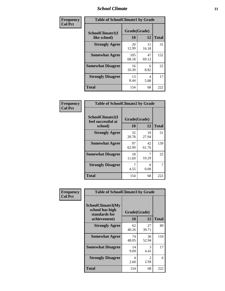#### *School Climate* **11**

| Frequency      | <b>Table of SchoolClimate1 by Grade</b> |                    |             |              |  |  |
|----------------|-----------------------------------------|--------------------|-------------|--------------|--|--|
| <b>Col Pct</b> | SchoolClimate1(I<br>like school)        | Grade(Grade)<br>10 | 12          | <b>Total</b> |  |  |
|                | <b>Strongly Agree</b>                   | 20<br>12.99        | 11<br>16.18 | 31           |  |  |
|                | <b>Somewhat Agree</b>                   | 105<br>68.18       | 47<br>69.12 | 152          |  |  |
|                | <b>Somewhat Disagree</b>                | 16<br>10.39        | 6<br>8.82   | 22           |  |  |
|                | <b>Strongly Disagree</b>                | 13<br>8.44         | 4<br>5.88   | 17           |  |  |
|                | <b>Total</b>                            | 154                | 68          | 222          |  |  |

| Frequency<br>Col Pct |
|----------------------|

| <b>Table of SchoolClimate2 by Grade</b>           |                    |             |              |  |  |
|---------------------------------------------------|--------------------|-------------|--------------|--|--|
| SchoolClimate2(I<br>feel successful at<br>school) | Grade(Grade)<br>10 | 12          | <b>Total</b> |  |  |
| <b>Strongly Agree</b>                             | 32<br>20.78        | 19<br>27.94 | 51           |  |  |
| <b>Somewhat Agree</b>                             | 97<br>62.99        | 42<br>61.76 | 139          |  |  |
| <b>Somewhat Disagree</b>                          | 18<br>11.69        | 10.29       | 25           |  |  |
| <b>Strongly Disagree</b>                          | 4.55               | 0.00        | 7            |  |  |
| Total                                             | 154                | 68          | 222          |  |  |

| Frequency      | <b>Table of SchoolClimate3 by Grade</b>                      |              |             |              |  |  |
|----------------|--------------------------------------------------------------|--------------|-------------|--------------|--|--|
| <b>Col Pct</b> | <b>SchoolClimate3(My</b><br>school has high<br>standards for | Grade(Grade) |             |              |  |  |
|                | achievement)                                                 | <b>10</b>    | 12          | <b>Total</b> |  |  |
|                | <b>Strongly Agree</b>                                        | 62<br>40.26  | 27<br>39.71 | 89           |  |  |
|                | <b>Somewhat Agree</b>                                        | 74<br>48.05  | 36<br>52.94 | 110          |  |  |
|                | <b>Somewhat Disagree</b>                                     | 14<br>9.09   | 3<br>4.41   | 17           |  |  |
|                | <b>Strongly Disagree</b>                                     | 4<br>2.60    | 2<br>2.94   | 6            |  |  |
|                | Total                                                        | 154          | 68          | 222          |  |  |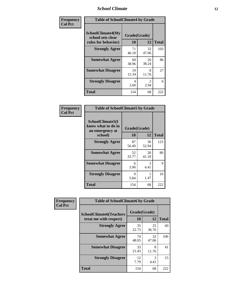#### *School Climate* **12**

| Frequency      |                                                                      | <b>Table of SchoolClimate4 by Grade</b> |             |              |  |
|----------------|----------------------------------------------------------------------|-----------------------------------------|-------------|--------------|--|
| <b>Col Pct</b> | <b>SchoolClimate4(My</b><br>school sets clear<br>rules for behavior) | Grade(Grade)<br>10                      | 12          | <b>Total</b> |  |
|                | <b>Strongly Agree</b>                                                | 71<br>46.10                             | 32<br>47.06 | 103          |  |
|                | <b>Somewhat Agree</b>                                                | 60<br>38.96                             | 26<br>38.24 | 86           |  |
|                | <b>Somewhat Disagree</b>                                             | 19<br>12.34                             | 8<br>11.76  | 27           |  |
|                | <b>Strongly Disagree</b>                                             | 4<br>2.60                               | 2<br>2.94   | 6            |  |
|                | <b>Total</b>                                                         | 154                                     | 68          | 222          |  |

| <b>Table of SchoolClimate5 by Grade</b>                   |              |             |              |  |  |
|-----------------------------------------------------------|--------------|-------------|--------------|--|--|
| SchoolClimate5(I<br>know what to do in<br>an emergency at | Grade(Grade) |             |              |  |  |
| school)                                                   | 10           | 12          | <b>Total</b> |  |  |
| <b>Strongly Agree</b>                                     | 87<br>56.49  | 36<br>52.94 | 123          |  |  |
| <b>Somewhat Agree</b>                                     | 52<br>33.77  | 28<br>41.18 | 80           |  |  |
| <b>Somewhat Disagree</b>                                  | 6<br>3.90    | 3<br>4.41   | 9            |  |  |
| <b>Strongly Disagree</b>                                  | 9<br>5.84    | 1.47        | 10           |  |  |
| Total                                                     | 154          | 68          | 222          |  |  |

| Frequency      | <b>Table of SchoolClimate6 by Grade</b>                  |                    |             |              |
|----------------|----------------------------------------------------------|--------------------|-------------|--------------|
| <b>Col Pct</b> | <b>SchoolClimate6(Teachers</b><br>treat me with respect) | Grade(Grade)<br>10 | 12          | <b>Total</b> |
|                | <b>Strongly Agree</b>                                    | 35<br>22.73        | 25<br>36.76 | 60           |
|                | <b>Somewhat Agree</b>                                    | 74<br>48.05        | 32<br>47.06 | 106          |
|                | <b>Somewhat Disagree</b>                                 | 33<br>21.43        | 8<br>11.76  | 41           |
|                | <b>Strongly Disagree</b>                                 | 12<br>7.79         | 3<br>4.41   | 15           |
|                | <b>Total</b>                                             | 154                | 68          | 222          |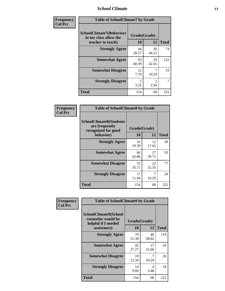#### *School Climate* **13**

| Frequency      | <b>Table of SchoolClimate7 by Grade</b>                                       |                    |                        |                |
|----------------|-------------------------------------------------------------------------------|--------------------|------------------------|----------------|
| <b>Col Pct</b> | <b>SchoolClimate7(Behaviors</b><br>in my class allow the<br>teacher to teach) | Grade(Grade)<br>10 | 12                     | <b>Total</b>   |
|                | <b>Strongly Agree</b>                                                         | 44<br>28.57        | 30<br>44.12            | 74             |
|                | <b>Somewhat Agree</b>                                                         | 93<br>60.39        | 29<br>42.65            | 122            |
|                | <b>Somewhat Disagree</b>                                                      | 12<br>7.79         | 7<br>10.29             | 19             |
|                | <b>Strongly Disagree</b>                                                      | 5<br>3.25          | $\mathfrak{D}$<br>2.94 | $\overline{7}$ |
|                | <b>Total</b>                                                                  | 154                | 68                     | 222            |

| Frequency      | <b>Table of SchoolClimate8 by Grade</b>                                              |                    |             |              |
|----------------|--------------------------------------------------------------------------------------|--------------------|-------------|--------------|
| <b>Col Pct</b> | <b>SchoolClimate8(Students</b><br>are frequently<br>recognized for good<br>behavior) | Grade(Grade)<br>10 | 12          | <b>Total</b> |
|                | <b>Strongly Agree</b>                                                                | 16<br>10.39        | 12<br>17.65 | 28           |
|                | <b>Somewhat Agree</b>                                                                | 66<br>42.86        | 27<br>39.71 | 93           |
|                | <b>Somewhat Disagree</b>                                                             | 55<br>35.71        | 22<br>32.35 | 77           |
|                | <b>Strongly Disagree</b>                                                             | 17<br>11.04        | 7<br>10.29  | 24           |
|                | <b>Total</b>                                                                         | 154                | 68          | 222          |

| Frequency      | <b>Table of SchoolClimate9 by Grade</b>                                           |                    |             |              |
|----------------|-----------------------------------------------------------------------------------|--------------------|-------------|--------------|
| <b>Col Pct</b> | SchoolClimate9(School<br>counselor would be<br>helpful if I needed<br>assistance) | Grade(Grade)<br>10 | 12          | <b>Total</b> |
|                | <b>Strongly Agree</b>                                                             | 79<br>51.30        | 40<br>58.82 | 119          |
|                | <b>Somewhat Agree</b>                                                             | 42<br>27.27        | 17<br>25.00 | 59           |
|                | <b>Somewhat Disagree</b>                                                          | 19<br>12.34        | 7<br>10.29  | 26           |
|                | <b>Strongly Disagree</b>                                                          | 14<br>9.09         | 4<br>5.88   | 18           |
|                | <b>Total</b>                                                                      | 154                | 68          | 222          |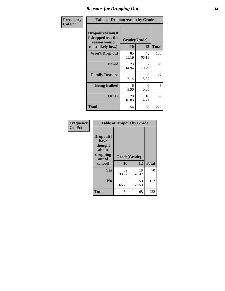### *Reasons for Dropping Out* **14**

| Frequency      | <b>Table of Dropoutreason by Grade</b>                                   |                    |                  |              |
|----------------|--------------------------------------------------------------------------|--------------------|------------------|--------------|
| <b>Col Pct</b> | Dropoutreason(If<br>I dropped out the<br>reason would<br>most likely be) | Grade(Grade)<br>10 | 12               | <b>Total</b> |
|                | Won't Drop out                                                           | 85<br>55.19        | 45<br>66.18      | 130          |
|                | <b>Bored</b>                                                             | 23<br>14.94        | 7<br>10.29       | 30           |
|                | <b>Family Reasons</b>                                                    | 11<br>7.14         | 6<br>8.82        | 17           |
|                | <b>Being Bullied</b>                                                     | 6<br>3.90          | $\Omega$<br>0.00 | 6            |
|                | <b>Other</b>                                                             | 29<br>18.83        | 10<br>14.71      | 39           |
|                | <b>Total</b>                                                             | 154                | 68               | 222          |

| Frequency<br><b>Col Pct</b> | <b>Table of Dropout by Grade</b>                            |              |             |              |  |
|-----------------------------|-------------------------------------------------------------|--------------|-------------|--------------|--|
|                             | Dropout(I<br>have<br>thought<br>about<br>dropping<br>out of | Grade(Grade) |             |              |  |
|                             | school)                                                     | 10           | 12          | <b>Total</b> |  |
|                             | Yes                                                         | 52<br>33.77  | 18<br>26.47 | 70           |  |
|                             | N <sub>0</sub>                                              | 102<br>66.23 | 50<br>73.53 | 152          |  |
|                             | <b>Total</b>                                                | 154          | 68          | 222          |  |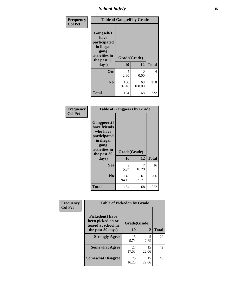*School Safety* **15**

| Frequency      | <b>Table of Gangself by Grade</b>                                                                 |                    |              |              |
|----------------|---------------------------------------------------------------------------------------------------|--------------------|--------------|--------------|
| <b>Col Pct</b> | Gangself(I<br>have<br>participated<br>in illegal<br>gang<br>activities in<br>the past 30<br>days) | Grade(Grade)<br>10 | 12           | <b>Total</b> |
|                | Yes                                                                                               | 4<br>2.60          | 0<br>0.00    | 4            |
|                | N <sub>o</sub>                                                                                    | 150<br>97.40       | 68<br>100.00 | 218          |
|                | Total                                                                                             | 154                | 68           | 222          |

| Frequency<br><b>Col Pct</b> | <b>Table of Gangpeers by Grade</b>                                                                                             |                    |             |              |
|-----------------------------|--------------------------------------------------------------------------------------------------------------------------------|--------------------|-------------|--------------|
|                             | <b>Gangpeers</b> (I<br>have friends<br>who have<br>participated<br>in illegal<br>gang<br>activities in<br>the past 30<br>days) | Grade(Grade)<br>10 | 12          | <b>Total</b> |
|                             | Yes                                                                                                                            | 9<br>5.84          | 7<br>10.29  | 16           |
|                             | N <sub>0</sub>                                                                                                                 | 145<br>94.16       | 61<br>89.71 | 206          |
|                             | <b>Total</b>                                                                                                                   | 154                | 68          | 222          |

| Frequency      | <b>Table of Pickedon by Grade</b>                                                       |                    |                 |    |
|----------------|-----------------------------------------------------------------------------------------|--------------------|-----------------|----|
| <b>Col Pct</b> | <b>Pickedon(I have</b><br>been picked on or<br>teased at school in<br>the past 30 days) | Grade(Grade)<br>10 | <b>Total</b>    |    |
|                | <b>Strongly Agree</b>                                                                   | 15<br>9.74         | 12<br>5<br>7.35 | 20 |
|                | <b>Somewhat Agree</b>                                                                   | 27<br>17.53        | 15<br>22.06     | 42 |
|                | <b>Somewhat Disagree</b>                                                                | 25<br>16.23        | 15<br>22.06     | 40 |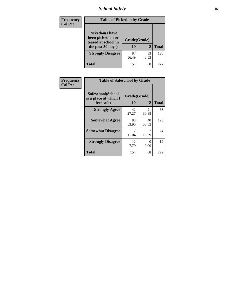# *School Safety* **16**

| Frequency      |                                                                                          | <b>Table of Pickedon by Grade</b> |             |              |  |  |  |  |  |  |  |
|----------------|------------------------------------------------------------------------------------------|-----------------------------------|-------------|--------------|--|--|--|--|--|--|--|
| <b>Col Pct</b> | <b>Pickedon</b> (I have<br>been picked on or<br>teased at school in<br>the past 30 days) | Grade(Grade)<br>10                | 12          | <b>Total</b> |  |  |  |  |  |  |  |
|                | <b>Strongly Disagree</b>                                                                 | 87<br>56.49                       | 33<br>48.53 | 120          |  |  |  |  |  |  |  |
|                | <b>Total</b>                                                                             | 154                               | 68          | 222          |  |  |  |  |  |  |  |

| Frequency      | <b>Table of Safeschool by Grade</b>                      |                    |                  |     |  |  |  |  |  |  |  |
|----------------|----------------------------------------------------------|--------------------|------------------|-----|--|--|--|--|--|--|--|
| <b>Col Pct</b> | Safeschool(School<br>is a place at which I<br>feel safe) | Grade(Grade)<br>10 | <b>Total</b>     |     |  |  |  |  |  |  |  |
|                | <b>Strongly Agree</b>                                    | 42<br>27.27        | 21<br>30.88      | 63  |  |  |  |  |  |  |  |
|                | <b>Somewhat Agree</b>                                    | 83<br>53.90        | 40<br>58.82      | 123 |  |  |  |  |  |  |  |
|                | <b>Somewhat Disagree</b>                                 | 17<br>11.04        | 10.29            | 24  |  |  |  |  |  |  |  |
|                | <b>Strongly Disagree</b>                                 | 12<br>7.79         | $\Omega$<br>0.00 | 12  |  |  |  |  |  |  |  |
|                | Total                                                    | 154                | 68               | 222 |  |  |  |  |  |  |  |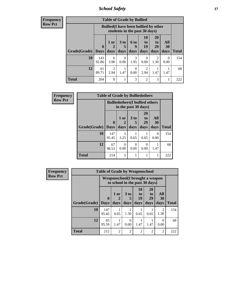*School Safety* **17**

|                | <b>Frequency</b> |
|----------------|------------------|
| <b>Row Pct</b> |                  |

| <b>Table of Grade by Bullied</b> |              |                                              |                               |                   |                        |                               |                   |              |  |  |  |
|----------------------------------|--------------|----------------------------------------------|-------------------------------|-------------------|------------------------|-------------------------------|-------------------|--------------|--|--|--|
|                                  |              | <b>Bullied</b> (I have been bullied by other | students in the past 30 days) |                   |                        |                               |                   |              |  |  |  |
| <b>Grade</b> (Grade)   Days      | $\bf{0}$     | $1$ or<br>2<br>days                          | 3 <sub>to</sub><br>5<br>days  | 6 to<br>9<br>days | 10<br>to<br>19<br>days | <b>20</b><br>to<br>29<br>days | All<br>30<br>days | <b>Total</b> |  |  |  |
| 10                               | 143<br>92.86 | 6<br>3.90                                    | $\Omega$<br>0.00              | 3<br>1.95         | 0<br>0.00              | 2<br>1.30                     | 0<br>0.00         | 154          |  |  |  |
| 12                               | 61<br>89.71  | $\mathfrak{D}$<br>2.94                       | 1.47                          | 0<br>0.00         | $\mathfrak{D}$<br>2.94 | 1.47                          | 1.47              | 68           |  |  |  |
| <b>Total</b>                     | 204          | 8                                            |                               | 3                 | $\overline{2}$         | 3                             |                   | 222          |  |  |  |

| Frequency      |              | <b>Table of Grade by Bulliedothers</b> |                                                                |                              |                        |                   |              |  |  |  |
|----------------|--------------|----------------------------------------|----------------------------------------------------------------|------------------------------|------------------------|-------------------|--------------|--|--|--|
| <b>Row Pct</b> |              |                                        | <b>Bulliedothers</b> (I bullied others<br>in the past 30 days) |                              |                        |                   |              |  |  |  |
|                | Grade(Grade) | $\bf{0}$<br><b>Days</b>                | 1 or<br>2<br>days                                              | 3 <sub>to</sub><br>5<br>days | 20<br>to<br>29<br>days | All<br>30<br>days | <b>Total</b> |  |  |  |
|                | 10           | 147<br>95.45                           | 5<br>3.25                                                      | 0.65                         | 0.65                   | $\Omega$<br>0.00  | 154          |  |  |  |
|                | 12           | 67<br>98.53                            | $\Omega$<br>0.00                                               | 0<br>0.00                    | $\Omega$<br>0.00       | 1.47              | 68           |  |  |  |
|                | <b>Total</b> | 214                                    | 5                                                              |                              |                        |                   | 222          |  |  |  |

| <b>Frequency</b> |              | <b>Table of Grade by Weaponschool</b> |                                                                   |                        |                |                       |                        |              |  |  |
|------------------|--------------|---------------------------------------|-------------------------------------------------------------------|------------------------|----------------|-----------------------|------------------------|--------------|--|--|
| <b>Row Pct</b>   |              |                                       | Weaponschool(I brought a weapon<br>to school in the past 30 days) |                        |                |                       |                        |              |  |  |
|                  |              | $\mathbf{0}$                          | 1 or                                                              | 3 <sub>to</sub><br>5   | 10<br>to<br>19 | <b>20</b><br>to<br>29 | All<br>30              | <b>Total</b> |  |  |
|                  | Grade(Grade) | <b>Days</b>                           | days                                                              | days                   | days           | days                  | days                   |              |  |  |
|                  | 10           | 147<br>95.45                          | 0.65                                                              | $\mathfrak{D}$<br>1.30 | 0.65           | 0.65                  | $\overline{2}$<br>1.30 | 154          |  |  |
|                  | 12           | 65<br>95.59                           | 1.47                                                              | $\Omega$<br>0.00       | 1.47           | 1.47                  | 0<br>0.00              | 68           |  |  |
|                  | <b>Total</b> | 212                                   | $\mathfrak{D}$                                                    | $\overline{2}$         | $\overline{2}$ | $\overline{2}$        | $\overline{2}$         | 222          |  |  |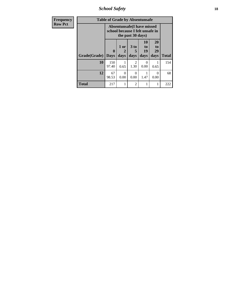*School Safety* **18**

| <b>Frequency</b> |              |                                                                      |                                | <b>Table of Grade by Absentunsafe</b> |                        |                        |              |  |  |
|------------------|--------------|----------------------------------------------------------------------|--------------------------------|---------------------------------------|------------------------|------------------------|--------------|--|--|
| <b>Row Pct</b>   |              | <b>Absentunsafe(I have missed</b><br>school because I felt unsafe in |                                |                                       |                        |                        |              |  |  |
|                  | Grade(Grade) | $\bf{0}$<br><b>Days</b>                                              | 1 or<br>$\overline{2}$<br>days | 3 to<br>days                          | 10<br>to<br>19<br>days | 20<br>to<br>29<br>days | <b>Total</b> |  |  |
|                  | 10           | 150<br>97.40                                                         | 0.65                           | $\mathfrak{D}$<br>1.30                | 0.00                   | 0.65                   | 154          |  |  |
|                  | 12           | 67<br>98.53                                                          | $\Omega$<br>0.00               | 0<br>0.00                             | 1.47                   | $\mathcal{L}$<br>0.00  | 68           |  |  |
|                  | <b>Total</b> | 217                                                                  | 1                              | $\mathfrak{D}$                        | 1                      |                        | 222          |  |  |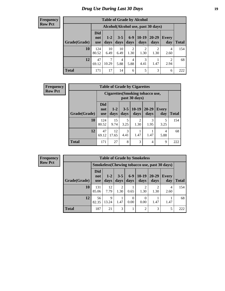#### **Frequency Row Pct**

Г

| <b>Table of Grade by Alcohol</b> |                                 |                                    |                 |                        |                        |                        |                     |              |  |  |  |  |
|----------------------------------|---------------------------------|------------------------------------|-----------------|------------------------|------------------------|------------------------|---------------------|--------------|--|--|--|--|
|                                  |                                 | Alcohol(Alcohol use, past 30 days) |                 |                        |                        |                        |                     |              |  |  |  |  |
| Grade(Grade)                     | <b>Did</b><br>not<br><b>use</b> | $1-2$<br>days                      | $3 - 5$<br>days | $6 - 9$<br>days        | $10-19$<br>days        | $20 - 29$<br>days      | <b>Every</b><br>day | <b>Total</b> |  |  |  |  |
| 10                               | 124<br>80.52                    | 10<br>6.49                         | 10<br>6.49      | $\overline{2}$<br>1.30 | $\overline{2}$<br>1.30 | $\overline{2}$<br>1.30 | 4<br>2.60           | 154          |  |  |  |  |
| 12                               | 47<br>69.12                     | 7<br>10.29                         | 4<br>5.88       | 4<br>5.88              | 3<br>4.41              | 1.47                   | 2<br>2.94           | 68           |  |  |  |  |
| <b>Total</b>                     | 171                             | 17                                 | 14              | 6                      | 5                      | 3                      | 6                   | 222          |  |  |  |  |

| <b>Frequency</b> | <b>Table of Grade by Cigarettes</b> |                                 |                                                          |                 |                        |                   |                     |              |  |  |
|------------------|-------------------------------------|---------------------------------|----------------------------------------------------------|-----------------|------------------------|-------------------|---------------------|--------------|--|--|
| <b>Row Pct</b>   |                                     |                                 | <b>Cigarettes (Smoking tobacco use,</b><br>past 30 days) |                 |                        |                   |                     |              |  |  |
|                  | Grade(Grade)                        | <b>Did</b><br>not<br><b>use</b> | $1 - 2$<br>days                                          | $3 - 5$<br>days | $ 10-19 $<br>days      | $20 - 29$<br>days | <b>Every</b><br>day | <b>Total</b> |  |  |
|                  | 10                                  | 124<br>80.52                    | 15<br>9.74                                               | 5<br>3.25       | $\overline{c}$<br>1.30 | 3<br>1.95         | 5<br>3.25           | 154          |  |  |
|                  | 12                                  | 47<br>69.12                     | 12<br>17.65                                              | 3<br>4.41       | 1.47                   | 1.47              | 4<br>5.88           | 68           |  |  |
|                  | <b>Total</b>                        | 171                             | 27                                                       | 8               | 3                      | 4                 | 9                   | 222          |  |  |

**Frequency Row Pct**

| <b>Table of Grade by Smokeless</b> |                                 |                 |                 |               |                                                     |                   |              |              |  |  |  |
|------------------------------------|---------------------------------|-----------------|-----------------|---------------|-----------------------------------------------------|-------------------|--------------|--------------|--|--|--|
|                                    |                                 |                 |                 |               | <b>Smokeless</b> (Chewing tobaccouse, past 30 days) |                   |              |              |  |  |  |
| Grade(Grade)                       | <b>Did</b><br>not<br><b>use</b> | $1 - 2$<br>days | $3 - 5$<br>days | $6-9$<br>days | $10-19$<br>days                                     | $20 - 29$<br>days | Every<br>day | <b>Total</b> |  |  |  |
| 10                                 | 131<br>85.06                    | 12<br>7.79      | 2<br>1.30       | 0.65          | $\overline{2}$<br>1.30                              | 1.30              | 4<br>2.60    | 154          |  |  |  |
| 12                                 | 56<br>82.35                     | 9<br>13.24      | 1.47            | 0<br>0.00     | 0<br>0.00                                           | 1.47              | 1.47         | 68           |  |  |  |
| <b>Total</b>                       | 187                             | 21              | 3               |               | $\overline{2}$                                      | 3                 | 5            | 222          |  |  |  |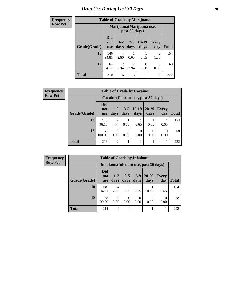| <b>Frequency</b> |              |                                 |                        |                        | <b>Table of Grade by Marijuana</b> |                           |              |  |
|------------------|--------------|---------------------------------|------------------------|------------------------|------------------------------------|---------------------------|--------------|--|
| <b>Row Pct</b>   |              |                                 |                        | past 30 days)          |                                    | Marijuana (Marijuana use, |              |  |
|                  | Grade(Grade) | <b>Did</b><br>not<br><b>use</b> | $1-2$<br>days          | days                   | $3-5$   10-19<br>days              | <b>Every</b><br>day       | <b>Total</b> |  |
|                  | 10           | 146<br>94.81                    | 4<br>2.60              | 0.65                   | 0.65                               | $\overline{2}$<br>1.30    | 154          |  |
|                  | 12           | 64<br>94.12                     | $\overline{2}$<br>2.94 | $\overline{2}$<br>2.94 | $\Omega$<br>0.00                   | 0<br>0.00                 | 68           |  |
|                  | <b>Total</b> | 210                             | 6                      | 3                      |                                    | $\overline{2}$            | 222          |  |

| Frequency      |              | <b>Table of Grade by Cocaine</b> |                  |                 |                                     |                   |                     |              |
|----------------|--------------|----------------------------------|------------------|-----------------|-------------------------------------|-------------------|---------------------|--------------|
| <b>Row Pct</b> |              |                                  |                  |                 | Cocaine (Cocaine use, past 30 days) |                   |                     |              |
|                | Grade(Grade) | <b>Did</b><br>not<br><b>use</b>  | $1 - 2$<br>days  | $3 - 5$<br>days | $10-19$<br>days                     | $20 - 29$<br>days | <b>Every</b><br>day | <b>Total</b> |
|                | 10           | 148<br>96.10                     | 2<br>1.30        | 0.65            | 0.65                                | 0.65              | 0.65                | 154          |
|                | 12           | 68<br>100.00                     | $\Omega$<br>0.00 | 0<br>0.00       | 0<br>0.00                           | 0<br>0.00         | $\theta$<br>0.00    | 68           |
|                | <b>Total</b> | 216                              | $\overline{2}$   |                 |                                     |                   |                     | 222          |

| Frequency      |              | <b>Table of Grade by Inhalants</b> |                  |                  |                  |                                        |                     |              |  |
|----------------|--------------|------------------------------------|------------------|------------------|------------------|----------------------------------------|---------------------|--------------|--|
| <b>Row Pct</b> |              |                                    |                  |                  |                  | Inhalants (Inhalant use, past 30 days) |                     |              |  |
|                | Grade(Grade) | <b>Did</b><br>not<br><b>use</b>    | $1 - 2$<br>days  | $3 - 5$<br>days  | $6-9$<br>days    | $20 - 29$<br>days                      | <b>Every</b><br>day | <b>Total</b> |  |
|                | 10           | 146<br>94.81                       | 4<br>2.60        | 0.65             | 0.65             | 0.65                                   | 0.65                | 154          |  |
|                | 12           | 68<br>100.00                       | $\theta$<br>0.00 | $\Omega$<br>0.00 | $\Omega$<br>0.00 | 0<br>0.00                              | 0<br>0.00           | 68           |  |
|                | Total        | 214                                | 4                |                  |                  |                                        |                     | 222          |  |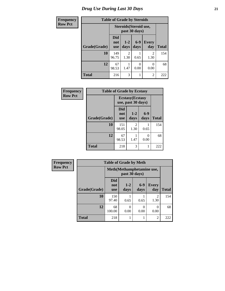| Frequency      | <b>Table of Grade by Steroids</b> |                                 |                                                |               |                |              |  |  |
|----------------|-----------------------------------|---------------------------------|------------------------------------------------|---------------|----------------|--------------|--|--|
| <b>Row Pct</b> |                                   |                                 | <b>Steroids</b> (Steroid use,<br>past 30 days) |               |                |              |  |  |
|                | Grade(Grade)                      | <b>Did</b><br>not<br><b>use</b> | $1-2$<br>days                                  | $6-9$<br>days | Every<br>day   | <b>Total</b> |  |  |
|                | 10                                | 149<br>96.75                    | $\mathcal{L}$<br>1.30                          | 0.65          | 2<br>1.30      | 154          |  |  |
|                | 12                                | 67<br>98.53                     | 1.47                                           | 0.00          | 0.00           | 68           |  |  |
|                | <b>Total</b>                      | 216                             | 3                                              |               | $\overline{2}$ | 222          |  |  |

| Frequency      | <b>Table of Grade by Ecstasy</b> |                                 |                                               |                 |              |
|----------------|----------------------------------|---------------------------------|-----------------------------------------------|-----------------|--------------|
| <b>Row Pct</b> |                                  |                                 | <b>Ecstasy</b> (Ecstasy<br>use, past 30 days) |                 |              |
|                | Grade(Grade)                     | <b>Did</b><br>not<br><b>use</b> | $1 - 2$<br>days                               | $6 - 9$<br>days | <b>Total</b> |
|                | 10                               | 151<br>98.05                    | $\overline{2}$<br>1.30                        | 0.65            | 154          |
|                | 12                               | 67<br>98.53                     | 1.47                                          | 0<br>0.00       | 68           |
|                | <b>Total</b>                     | 218                             | 3                                             |                 | 222          |

| <b>Frequency</b> | <b>Table of Grade by Meth</b> |                                 |               |                          |                     |              |  |  |
|------------------|-------------------------------|---------------------------------|---------------|--------------------------|---------------------|--------------|--|--|
| <b>Row Pct</b>   |                               | Meth(Methamphetamine use,       |               |                          |                     |              |  |  |
|                  | Grade(Grade)                  | <b>Did</b><br>not<br><b>use</b> | $1-2$<br>days | $6-9$<br>days            | <b>Every</b><br>day | <b>Total</b> |  |  |
|                  | 10                            | 150<br>97.40                    | 0.65          | 0.65                     | 2<br>1.30           | 154          |  |  |
|                  | 12                            | 68<br>100.00                    | 0<br>0.00     | $\left( \right)$<br>0.00 | 0.00                | 68           |  |  |
|                  | <b>Total</b>                  | 218                             |               |                          | $\overline{c}$      | 222          |  |  |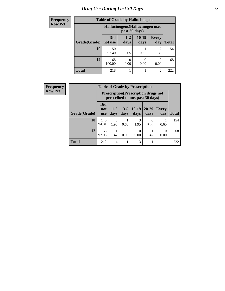| <b>Frequency</b> | <b>Table of Grade by Hallucinogens</b> |                                  |               |                 |                     |              |  |
|------------------|----------------------------------------|----------------------------------|---------------|-----------------|---------------------|--------------|--|
| <b>Row Pct</b>   |                                        | Hallucinogens (Hallucinogen use, |               |                 |                     |              |  |
|                  | Grade(Grade)                           | Did<br>not use                   | $1-2$<br>days | $10-19$<br>days | <b>Every</b><br>day | <b>Total</b> |  |
|                  | 10                                     | 150<br>97.40                     | 0.65          | 0.65            | 2<br>1.30           | 154          |  |
|                  | 12                                     | 68<br>100.00                     | 0.00          | 0<br>0.00       | 0.00                | 68           |  |
|                  | <b>Total</b>                           | 218                              |               |                 | റ                   | 222          |  |

| Frequency      |              |                                 |                |                 | <b>Table of Grade by Prescription</b>                                          |                   |                  |              |
|----------------|--------------|---------------------------------|----------------|-----------------|--------------------------------------------------------------------------------|-------------------|------------------|--------------|
| <b>Row Pct</b> |              |                                 |                |                 | <b>Prescription</b> (Prescription drugs not<br>prescribed to me, past 30 days) |                   |                  |              |
|                | Grade(Grade) | <b>Did</b><br>not<br><b>use</b> | $1-2$<br>days  | $3 - 5$<br>days | $10-19$<br>days                                                                | $20 - 29$<br>days | Every<br>day     | <b>Total</b> |
|                | 10           | 146<br>94.81                    | 3<br>1.95      | 0.65            | 3<br>1.95                                                                      | $\Omega$<br>0.00  | 0.65             | 154          |
|                | 12           | 66<br>97.06                     | 1.47           | 0<br>0.00       | 0<br>0.00                                                                      | 1.47              | $\Omega$<br>0.00 | 68           |
|                | <b>Total</b> | 212                             | $\overline{4}$ |                 | 3                                                                              |                   |                  | 222          |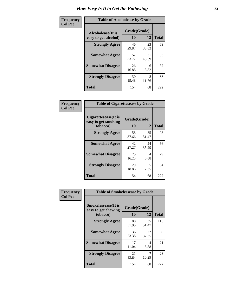| Frequency      | <b>Table of Alcoholease by Grade</b>              |                    |             |              |  |  |
|----------------|---------------------------------------------------|--------------------|-------------|--------------|--|--|
| <b>Col Pct</b> | <b>Alcoholease</b> (It is<br>easy to get alcohol) | Grade(Grade)<br>10 | 12          | <b>Total</b> |  |  |
|                | <b>Strongly Agree</b>                             | 46<br>29.87        | 23<br>33.82 | 69           |  |  |
|                | <b>Somewhat Agree</b>                             | 52<br>33.77        | 31<br>45.59 | 83           |  |  |
|                | <b>Somewhat Disagree</b>                          | 26<br>16.88        | 6<br>8.82   | 32           |  |  |
|                | <b>Strongly Disagree</b>                          | 30<br>19.48        | 8<br>11.76  | 38           |  |  |
|                | <b>Total</b>                                      | 154                | 68          | 222          |  |  |

| Frequency      | <b>Table of Cigarettesease by Grade</b>                 |                    |             |              |  |  |
|----------------|---------------------------------------------------------|--------------------|-------------|--------------|--|--|
| <b>Col Pct</b> | Cigarettesease(It is<br>easy to get smoking<br>tobacco) | Grade(Grade)<br>10 | 12          | <b>Total</b> |  |  |
|                | <b>Strongly Agree</b>                                   | 58<br>37.66        | 35<br>51.47 | 93           |  |  |
|                | <b>Somewhat Agree</b>                                   | 42<br>27.27        | 24<br>35.29 | 66           |  |  |
|                | <b>Somewhat Disagree</b>                                | 25<br>16.23        | 4<br>5.88   | 29           |  |  |
|                | <b>Strongly Disagree</b>                                | 29<br>18.83        | 5<br>7.35   | 34           |  |  |
|                | <b>Total</b>                                            | 154                | 68          | 222          |  |  |

| Frequency      | <b>Table of Smokelessease by Grade</b>                         |             |                    |              |  |  |  |  |
|----------------|----------------------------------------------------------------|-------------|--------------------|--------------|--|--|--|--|
| <b>Col Pct</b> | <b>Smokelessease</b> (It is<br>easy to get chewing<br>tobacco) | 10          | Grade(Grade)<br>12 | <b>Total</b> |  |  |  |  |
|                | <b>Strongly Agree</b>                                          | 80<br>51.95 | 35<br>51.47        | 115          |  |  |  |  |
|                | <b>Somewhat Agree</b>                                          | 36<br>23.38 | 22<br>32.35        | 58           |  |  |  |  |
|                | <b>Somewhat Disagree</b>                                       | 17<br>11.04 | 4<br>5.88          | 21           |  |  |  |  |
|                | <b>Strongly Disagree</b>                                       | 21<br>13.64 | 7<br>10.29         | 28           |  |  |  |  |
|                | <b>Total</b>                                                   | 154         | 68                 | 222          |  |  |  |  |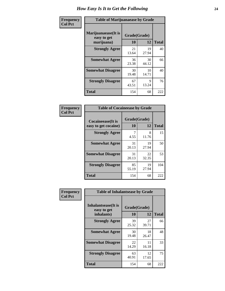| Frequency      | <b>Table of Marijuanaease by Grade</b>           |                           |             |              |  |  |
|----------------|--------------------------------------------------|---------------------------|-------------|--------------|--|--|
| <b>Col Pct</b> | Marijuanaease(It is<br>easy to get<br>marijuana) | Grade(Grade)<br><b>10</b> | 12          | <b>Total</b> |  |  |
|                | <b>Strongly Agree</b>                            | 21<br>13.64               | 19<br>27.94 | 40           |  |  |
|                | <b>Somewhat Agree</b>                            | 36<br>23.38               | 30<br>44.12 | 66           |  |  |
|                | <b>Somewhat Disagree</b>                         | 30<br>19.48               | 10<br>14.71 | 40           |  |  |
|                | <b>Strongly Disagree</b>                         | 67<br>43.51               | 9<br>13.24  | 76           |  |  |
|                | <b>Total</b>                                     | 154                       | 68          | 222          |  |  |

| <b>Table of Cocaineease by Grade</b> |              |             |              |  |  |  |  |
|--------------------------------------|--------------|-------------|--------------|--|--|--|--|
| Cocaineease(It is                    | Grade(Grade) |             |              |  |  |  |  |
| easy to get cocaine)                 | 10           | 12          | <b>Total</b> |  |  |  |  |
| <b>Strongly Agree</b>                | 4.55         | 8<br>11.76  | 15           |  |  |  |  |
| <b>Somewhat Agree</b>                | 31<br>20.13  | 19<br>27.94 | 50           |  |  |  |  |
| <b>Somewhat Disagree</b>             | 31<br>20.13  | 22<br>32.35 | 53           |  |  |  |  |
| <b>Strongly Disagree</b>             | 85<br>55.19  | 19<br>27.94 | 104          |  |  |  |  |
| <b>Total</b>                         | 154          | 68          | 222          |  |  |  |  |

| Frequency      | <b>Table of Inhalantsease by Grade</b>                   |                    |             |              |
|----------------|----------------------------------------------------------|--------------------|-------------|--------------|
| <b>Col Pct</b> | <b>Inhalantsease</b> (It is<br>easy to get<br>inhalants) | Grade(Grade)<br>10 | 12          | <b>Total</b> |
|                | <b>Strongly Agree</b>                                    | 39<br>25.32        | 27<br>39.71 | 66           |
|                | <b>Somewhat Agree</b>                                    | 30<br>19.48        | 18<br>26.47 | 48           |
|                | <b>Somewhat Disagree</b>                                 | 22<br>14.29        | 11<br>16.18 | 33           |
|                | <b>Strongly Disagree</b>                                 | 63<br>40.91        | 12<br>17.65 | 75           |
|                | <b>Total</b>                                             | 154                | 68          | 222          |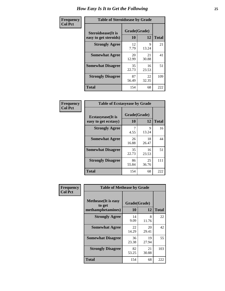| Frequency      | <b>Table of Steroidsease by Grade</b>               |                    |             |              |  |  |  |  |  |  |  |  |
|----------------|-----------------------------------------------------|--------------------|-------------|--------------|--|--|--|--|--|--|--|--|
| <b>Col Pct</b> | <b>Steroidsease</b> (It is<br>easy to get steroids) | Grade(Grade)<br>10 | 12          | <b>Total</b> |  |  |  |  |  |  |  |  |
|                | <b>Strongly Agree</b>                               | 12<br>7.79         | 9<br>13.24  | 21           |  |  |  |  |  |  |  |  |
|                | <b>Somewhat Agree</b>                               | 20<br>12.99        | 21<br>30.88 | 41           |  |  |  |  |  |  |  |  |
|                | <b>Somewhat Disagree</b>                            | 35<br>22.73        | 16<br>23.53 | 51           |  |  |  |  |  |  |  |  |
|                | <b>Strongly Disagree</b>                            | 87<br>56.49        | 22<br>32.35 | 109          |  |  |  |  |  |  |  |  |
|                | <b>Total</b>                                        | 154                | 68          | 222          |  |  |  |  |  |  |  |  |

| Frequency      | <b>Table of Ecstasyease by Grade</b>              |                    |             |              |  |  |  |  |  |  |  |
|----------------|---------------------------------------------------|--------------------|-------------|--------------|--|--|--|--|--|--|--|
| <b>Col Pct</b> | <b>Ecstasyease</b> (It is<br>easy to get ecstasy) | Grade(Grade)<br>10 | 12          | <b>Total</b> |  |  |  |  |  |  |  |
|                | <b>Strongly Agree</b>                             | 7<br>4.55          | 9<br>13.24  | 16           |  |  |  |  |  |  |  |
|                | <b>Somewhat Agree</b>                             | 26<br>16.88        | 18<br>26.47 | 44           |  |  |  |  |  |  |  |
|                | <b>Somewhat Disagree</b>                          | 35<br>22.73        | 16<br>23.53 | 51           |  |  |  |  |  |  |  |
|                | <b>Strongly Disagree</b>                          | 86<br>55.84        | 25<br>36.76 | 111          |  |  |  |  |  |  |  |
|                | Total                                             | 154                | 68          | 222          |  |  |  |  |  |  |  |

| Frequency      |                                                            | <b>Table of Methease by Grade</b> |             |              |  |  |  |  |  |  |  |  |
|----------------|------------------------------------------------------------|-----------------------------------|-------------|--------------|--|--|--|--|--|--|--|--|
| <b>Col Pct</b> | <b>Methease</b> (It is easy<br>to get<br>methamphetamines) | Grade(Grade)<br>10                | 12          | <b>Total</b> |  |  |  |  |  |  |  |  |
|                | <b>Strongly Agree</b>                                      | 14<br>9.09                        | 8<br>11.76  | 22           |  |  |  |  |  |  |  |  |
|                | <b>Somewhat Agree</b>                                      | 22<br>14.29                       | 20<br>29.41 | 42           |  |  |  |  |  |  |  |  |
|                | <b>Somewhat Disagree</b>                                   | 36<br>23.38                       | 19<br>27.94 | 55           |  |  |  |  |  |  |  |  |
|                | <b>Strongly Disagree</b>                                   | 82<br>53.25                       | 21<br>30.88 | 103          |  |  |  |  |  |  |  |  |
|                | <b>Total</b>                                               | 154                               | 68          | 222          |  |  |  |  |  |  |  |  |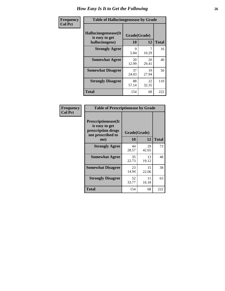| <b>Frequency</b> | <b>Table of Hallucinogensease by Grade</b>               |                     |             |              |
|------------------|----------------------------------------------------------|---------------------|-------------|--------------|
| <b>Col Pct</b>   | Hallucinogensease(It<br>is easy to get<br>hallucinogens) | Grade(Grade)<br>10  | 12          | <b>Total</b> |
|                  | <b>Strongly Agree</b>                                    | $\mathbf Q$<br>5.84 | 7<br>10.29  | 16           |
|                  | <b>Somewhat Agree</b>                                    | 20<br>12.99         | 20<br>29.41 | 40           |
|                  | <b>Somewhat Disagree</b>                                 | 37<br>24.03         | 19<br>27.94 | 56           |
|                  | <b>Strongly Disagree</b>                                 | 88<br>57.14         | 22<br>32.35 | 110          |
|                  | <b>Total</b>                                             | 154                 | 68          | 222          |

| Frequency<br>  Col Pct |
|------------------------|

| <b>Table of Prescriptionease by Grade</b>                                                |              |             |              |
|------------------------------------------------------------------------------------------|--------------|-------------|--------------|
| <b>Prescriptionease</b> (It<br>is easy to get<br>prescription drugs<br>not prescribed to | Grade(Grade) |             |              |
| me)                                                                                      | 10           | 12          | <b>Total</b> |
| <b>Strongly Agree</b>                                                                    | 44<br>28.57  | 29<br>42.65 | 73           |
| <b>Somewhat Agree</b>                                                                    | 35<br>22.73  | 13<br>19.12 | 48           |
| <b>Somewhat Disagree</b>                                                                 | 23<br>14.94  | 15<br>22.06 | 38           |
| <b>Strongly Disagree</b>                                                                 | 52<br>33.77  | 11<br>16.18 | 63           |
| <b>Total</b>                                                                             | 154          | 68          | 222          |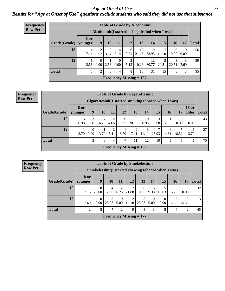#### *Age at Onset of Use* **27** *Results for "Age at Onset of Use" questions exclude students who said they did not use that substance*

| Frequency      | <b>Table of Grade by Alcoholinit</b> |             |                |                |                |       |                                                  |       |       |           |          |              |  |
|----------------|--------------------------------------|-------------|----------------|----------------|----------------|-------|--------------------------------------------------|-------|-------|-----------|----------|--------------|--|
| <b>Row Pct</b> |                                      |             |                |                |                |       | Alcoholinit (I started using alcohol when I was) |       |       |           |          |              |  |
|                |                                      | <b>8</b> or |                |                |                |       |                                                  |       |       |           |          |              |  |
|                | Grade(Grade)   younger               |             | 9              | 10             | 11             | 12    | 13                                               | 14    | 15    | <b>16</b> | 17       | <b>Total</b> |  |
|                | 10                                   | 4           | $\overline{2}$ | $\overline{2}$ | $\overline{4}$ | 6     | 12                                               | 19    |       | $\theta$  | $\theta$ | 56           |  |
|                |                                      | 7.14        | 3.57           | 3.57           | 7.14           | 10.71 | 21.43                                            | 33.93 | 12.50 | 0.00      | 0.00     |              |  |
|                | 12                                   |             | $\Omega$       |                | $\theta$       | 2     | 4                                                | 12    | 8     | 8         | 3        | 39           |  |
|                |                                      | 2.56        | 0.00           | 2.56           | 0.00           | 5.13  | 10.26                                            | 30.77 | 20.51 | 20.51     | 7.69     |              |  |
|                | <b>Total</b>                         | 5           | 2              | 3              | $\overline{4}$ | 8     | 16                                               | 31    | 15    | 8         | 3        | 95           |  |
|                |                                      |             |                |                |                |       | <b>Frequency Missing = 127</b>                   |       |       |           |          |              |  |

| <b>Frequency</b> | <b>Table of Grade by Cigarettesinit</b> |                 |                  |                                                       |           |               |                                |            |       |                 |                  |                               |    |
|------------------|-----------------------------------------|-----------------|------------------|-------------------------------------------------------|-----------|---------------|--------------------------------|------------|-------|-----------------|------------------|-------------------------------|----|
| <b>Row Pct</b>   |                                         |                 |                  | Cigarettesinit (I started smoking tobacco when I was) |           |               |                                |            |       |                 |                  |                               |    |
|                  | Grade(Grade)                            | 8 or<br>vounger | 9                | 10                                                    | 11        | 12            | 13                             | 14         | 15    | 16 <sup>1</sup> | 17               | <b>18 or</b><br>older   Total |    |
|                  | 10                                      | 3<br>6.98       | 6.98             | 16.28                                                 | 2<br>4.65 | 6<br>13.95    | 9<br>20.93                     | 20.93      | 6.98  | 2.33            | $\Omega$<br>0.00 | $\theta$<br>0.00              | 43 |
|                  | 12                                      | 3.70            | $\theta$<br>0.00 | 3.70                                                  | 7.41      | 3.70          | 7.41                           | 3<br>11.11 | 25.93 | 4<br>14.81      | 18.52            | 3.70                          | 27 |
|                  | <b>Total</b>                            | 4               | 3                | 8                                                     | 4         | $\mathcal{I}$ | 11                             | 12         | 10    | 5               | 5                |                               | 70 |
|                  |                                         |                 |                  |                                                       |           |               | <b>Frequency Missing = 152</b> |            |       |                 |                  |                               |    |

**Frequency Row Pct**

| <b>Table of Grade by Smokelessinit</b> |                |                                                     |                                |                  |            |                      |                  |                  |            |                  |              |  |
|----------------------------------------|----------------|-----------------------------------------------------|--------------------------------|------------------|------------|----------------------|------------------|------------------|------------|------------------|--------------|--|
|                                        |                | Smokelessinit(I started chewing tobacco when I was) |                                |                  |            |                      |                  |                  |            |                  |              |  |
| Grade(Grade)   younger                 | 8 or           | $\boldsymbol{9}$                                    | <b>10</b>                      | 11               | 12         | 13                   | 14               | 15               | <b>16</b>  | 17               | <b>Total</b> |  |
| 10                                     | 3.13           | 8<br>25.00                                          | 4<br>12.50                     | 2<br>6.25        | 21.88      | $\Omega$<br>$0.00\,$ | 3<br>9.38        | 15.63            | 2<br>6.25  | $\Omega$<br>0.00 | 32           |  |
| 12                                     | 7.69           | $\theta$<br>0.00                                    | 3<br>23.08                     | $\theta$<br>0.00 | ∍<br>15.38 | 3<br>23.08           | $\Omega$<br>0.00 | $\theta$<br>0.00 | 2<br>15.38 | ◠<br>15.38       | 13           |  |
| <b>Total</b>                           | $\overline{2}$ | 8                                                   | 7                              | $\overline{2}$   | 9          | 3                    | 3                | 5                | 4          | $\overline{c}$   | 45           |  |
|                                        |                |                                                     | <b>Frequency Missing = 177</b> |                  |            |                      |                  |                  |            |                  |              |  |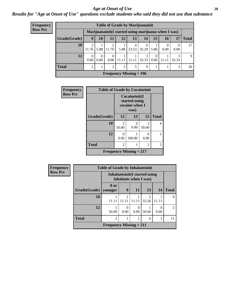#### *Age at Onset of Use* **28**

*Results for "Age at Onset of Use" questions exclude students who said they did not use that substance*

| Frequency      | <b>Table of Grade by Marijuanainit</b> |                  |                                                     |                  |                           |            |            |                  |                            |            |              |  |  |
|----------------|----------------------------------------|------------------|-----------------------------------------------------|------------------|---------------------------|------------|------------|------------------|----------------------------|------------|--------------|--|--|
| <b>Row Pct</b> |                                        |                  | Marijuanainit(I started using marijuana when I was) |                  |                           |            |            |                  |                            |            |              |  |  |
|                | Grade(Grade)                           | 9                | 10                                                  | 11               | <b>12</b>                 | 13         | 14         | 15               | <b>16</b>                  | 17         | <b>Total</b> |  |  |
|                | 10                                     | 2<br>11.76       | 5.88                                                | 2<br>11.76       | 5.88                      | 4<br>23.53 | 6<br>35.29 | 5.88             | $\theta$<br>$0.00^{\circ}$ | 0<br>0.00  | 17           |  |  |
|                | 12                                     | $\Omega$<br>0.00 | $\theta$<br>$0.00^{\circ}$                          | $\theta$<br>0.00 | 11.11                     | 11.11      | 3<br>33.33 | $\Omega$<br>0.00 | 11.11                      | 3<br>33.33 | 9            |  |  |
|                | <b>Total</b>                           | $\overline{2}$   |                                                     | $\overline{2}$   | 2                         | 5          | 9          |                  |                            | 3          | 26           |  |  |
|                |                                        |                  |                                                     |                  | Frequency Missing $= 196$ |            |            |                  |                            |            |              |  |  |

| Frequency      | <b>Table of Grade by Cocaineinit</b> |                                      |                                                          |                        |              |
|----------------|--------------------------------------|--------------------------------------|----------------------------------------------------------|------------------------|--------------|
| <b>Row Pct</b> |                                      |                                      | Cocaineinit(I<br>started using<br>cocaine when I<br>was) |                        |              |
|                | Grade(Grade)                         | 12                                   | 13                                                       | 15                     | <b>Total</b> |
|                | 10                                   | $\mathcal{D}_{\mathcal{A}}$<br>50.00 | $\Omega$<br>0.00                                         | $\mathcal{L}$<br>50.00 | 4            |
|                | 12                                   | 0.00                                 | 100.00                                                   | 0<br>0.00              |              |
|                | <b>Total</b>                         | 2                                    |                                                          | 2                      | 5            |
|                |                                      |                                      | Frequency Missing $= 217$                                |                        |              |

| <b>Frequency</b> | <b>Table of Grade by Inhalantsinit</b> |                                                         |                  |            |                         |       |                |
|------------------|----------------------------------------|---------------------------------------------------------|------------------|------------|-------------------------|-------|----------------|
| <b>Row Pct</b>   |                                        | Inhalantsinit (I started using<br>inhalants when I was) |                  |            |                         |       |                |
|                  | Grade(Grade)                           | 8 or<br>younger                                         | 9                | <b>11</b>  | 13                      | 14    | <b>Total</b>   |
|                  | 10                                     | 11.11                                                   | 11.11            | 1<br>11.11 | $\overline{5}$<br>55.56 | 11.11 | 9              |
|                  | 12                                     | 50.00                                                   | $\Omega$<br>0.00 | 0<br>0.00  | 50.00                   | 0.00  | $\mathfrak{D}$ |
|                  | <b>Total</b>                           | $\overline{2}$                                          |                  | 1          | 6                       |       | 11             |
|                  |                                        | Frequency Missing $= 211$                               |                  |            |                         |       |                |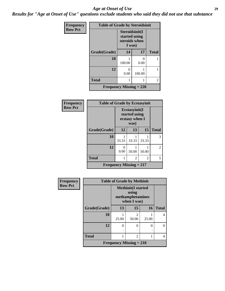#### *Age at Onset of Use* **29**

*Results for "Age at Onset of Use" questions exclude students who said they did not use that substance*

| <b>Frequency</b> | <b>Table of Grade by Steroidsinit</b> |                                                            |           |              |  |
|------------------|---------------------------------------|------------------------------------------------------------|-----------|--------------|--|
| <b>Row Pct</b>   |                                       | Steroidsinit(I<br>started using<br>steroids when<br>I was) |           |              |  |
|                  | Grade(Grade)                          | 14                                                         | 17        | <b>Total</b> |  |
|                  | 10                                    | 100.00                                                     | 0<br>0.00 | 1            |  |
|                  | 12                                    | 0<br>0.00                                                  | 100.00    | 1            |  |
|                  | <b>Total</b>                          | 1<br>1                                                     |           | 2            |  |
|                  | <b>Frequency Missing = 220</b>        |                                                            |           |              |  |

| <b>Frequency</b> | <b>Table of Grade by Ecstasyinit</b> |                                                          |       |       |              |  |  |
|------------------|--------------------------------------|----------------------------------------------------------|-------|-------|--------------|--|--|
| <b>Row Pct</b>   |                                      | Ecstasyinit(I<br>started using<br>ecstasy when I<br>was) |       |       |              |  |  |
|                  | Grade(Grade)                         | 12                                                       | 13    | 15    | <b>Total</b> |  |  |
|                  | 10                                   | 33.33                                                    | 33.33 | 33.33 | 3            |  |  |
|                  | 12                                   | 0<br>0.00                                                | 50.00 | 50.00 | 2            |  |  |
|                  | <b>Total</b>                         |                                                          | 2     | 2     | 5            |  |  |
|                  | <b>Frequency Missing = 217</b>       |                                                          |       |       |              |  |  |

| <b>Frequency</b> | <b>Table of Grade by Methinit</b>                                     |                           |                         |       |              |  |  |  |
|------------------|-----------------------------------------------------------------------|---------------------------|-------------------------|-------|--------------|--|--|--|
| <b>Row Pct</b>   | <b>Methinit(I started</b><br>using<br>methamphetamines<br>when I was) |                           |                         |       |              |  |  |  |
|                  | Grade(Grade)                                                          | 13                        | 15                      | 16    | <b>Total</b> |  |  |  |
|                  | 10                                                                    | 25.00                     | $\mathfrak{D}$<br>50.00 | 25.00 | 4            |  |  |  |
|                  | 12                                                                    | 0                         | 0                       | 0     | 0            |  |  |  |
|                  |                                                                       | ٠                         |                         | ٠     |              |  |  |  |
|                  | <b>Total</b>                                                          |                           | $\overline{2}$          |       | 4            |  |  |  |
|                  |                                                                       | Frequency Missing $= 218$ |                         |       |              |  |  |  |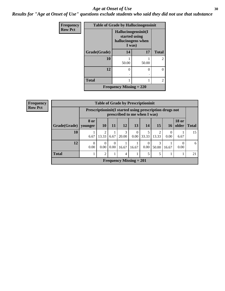#### Age at Onset of Use **30**

*Results for "Age at Onset of Use" questions exclude students who said they did not use that substance*

| Frequency      | <b>Table of Grade by Hallucinogensinit</b> |                                                                      |       |                |  |  |
|----------------|--------------------------------------------|----------------------------------------------------------------------|-------|----------------|--|--|
| <b>Row Pct</b> |                                            | Hallucinogensinit(I<br>started using<br>hallucinogens when<br>I was) |       |                |  |  |
|                | Grade(Grade)                               | 14                                                                   | 17    | <b>Total</b>   |  |  |
|                | 10                                         | 50.00                                                                | 50.00 | $\overline{2}$ |  |  |
|                | 12                                         | 0                                                                    | 0     | 0              |  |  |
|                | <b>Total</b>                               | 1                                                                    |       | $\overline{c}$ |  |  |
|                |                                            | <b>Frequency Missing = 220</b>                                       |       |                |  |  |

| Frequency      | <b>Table of Grade by Prescriptioninit</b> |                  |                                                                                            |                  |                                |                               |                      |                 |                  |                               |    |
|----------------|-------------------------------------------|------------------|--------------------------------------------------------------------------------------------|------------------|--------------------------------|-------------------------------|----------------------|-----------------|------------------|-------------------------------|----|
| <b>Row Pct</b> |                                           |                  | Prescription in it (I started using prescription drugs not<br>prescribed to me when I was) |                  |                                |                               |                      |                 |                  |                               |    |
|                | Grade(Grade)                              | 8 or<br>vounger  | 10 <sup>1</sup>                                                                            | <b>11</b>        | 12                             | 13                            | 14                   | 15 <sup>1</sup> | 16               | <b>18 or</b><br>older   Total |    |
|                | 10                                        | 6.67             | 13.33                                                                                      | 6.67             | 3<br>20.00                     | $\theta$<br>0.00 <sub>1</sub> | 5<br>33.33           | 13.33           | $\theta$<br>0.00 | 6.67                          | 15 |
|                | 12                                        | $\Omega$<br>0.00 | 0.00                                                                                       | $\Omega$<br>0.00 | 16.67                          | 16.67                         | $\Omega$<br>$0.00\,$ | 50.00           | 16.67            | $\Omega$<br>0.00              | 6  |
|                | <b>Total</b>                              |                  | 2                                                                                          |                  | $\overline{4}$                 |                               | 5                    |                 |                  |                               | 21 |
|                |                                           |                  |                                                                                            |                  | <b>Frequency Missing = 201</b> |                               |                      |                 |                  |                               |    |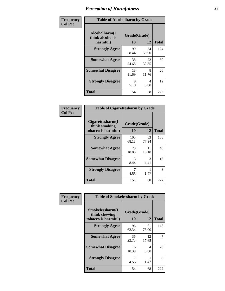| Frequency      | <b>Table of Alcoholharm by Grade</b>          |                    |             |              |  |  |
|----------------|-----------------------------------------------|--------------------|-------------|--------------|--|--|
| <b>Col Pct</b> | Alcoholharm(I<br>think alcohol is<br>harmful) | Grade(Grade)<br>10 | 12          | <b>Total</b> |  |  |
|                | <b>Strongly Agree</b>                         | 90<br>58.44        | 34<br>50.00 | 124          |  |  |
|                | <b>Somewhat Agree</b>                         | 38<br>24.68        | 22<br>32.35 | 60           |  |  |
|                | <b>Somewhat Disagree</b>                      | 18<br>11.69        | 8<br>11.76  | 26           |  |  |
|                | <b>Strongly Disagree</b>                      | 8<br>5.19          | 4<br>5.88   | 12           |  |  |
|                | <b>Total</b>                                  | 154                | 68          | 222          |  |  |

| <b>Table of Cigarettesharm by Grade</b>                  |                    |             |              |  |  |  |  |
|----------------------------------------------------------|--------------------|-------------|--------------|--|--|--|--|
| Cigarettesharm(I<br>think smoking<br>tobacco is harmful) | Grade(Grade)<br>10 | 12          | <b>Total</b> |  |  |  |  |
| <b>Strongly Agree</b>                                    | 105<br>68.18       | 53<br>77.94 | 158          |  |  |  |  |
| <b>Somewhat Agree</b>                                    | 29<br>18.83        | 11<br>16.18 | 40           |  |  |  |  |
| <b>Somewhat Disagree</b>                                 | 13<br>8.44         | 3<br>4.41   | 16           |  |  |  |  |
| <b>Strongly Disagree</b>                                 | 7<br>4.55          | 1.47        | 8            |  |  |  |  |
| <b>Total</b>                                             | 154                | 68          | 222          |  |  |  |  |

| Frequency      | <b>Table of Smokelessharm by Grade</b>                  |                    |             |              |  |  |
|----------------|---------------------------------------------------------|--------------------|-------------|--------------|--|--|
| <b>Col Pct</b> | Smokelessharm(I<br>think chewing<br>tobacco is harmful) | Grade(Grade)<br>10 | 12          | <b>Total</b> |  |  |
|                | <b>Strongly Agree</b>                                   | 96<br>62.34        | 51<br>75.00 | 147          |  |  |
|                | <b>Somewhat Agree</b>                                   | 35<br>22.73        | 12<br>17.65 | 47           |  |  |
|                | <b>Somewhat Disagree</b>                                | 16<br>10.39        | 4<br>5.88   | 20           |  |  |
|                | <b>Strongly Disagree</b>                                | 4.55               | 1.47        | 8            |  |  |
|                | <b>Total</b>                                            | 154                | 68          | 222          |  |  |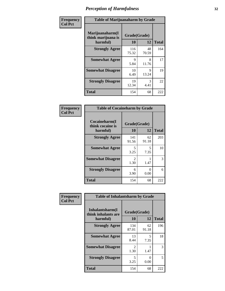| Frequency      | <b>Table of Marijuanaharm by Grade</b>            |                    |             |              |  |  |
|----------------|---------------------------------------------------|--------------------|-------------|--------------|--|--|
| <b>Col Pct</b> | Marijuanaharm(I<br>think marijuana is<br>harmful) | Grade(Grade)<br>10 | 12          | <b>Total</b> |  |  |
|                | <b>Strongly Agree</b>                             | 116<br>75.32       | 48<br>70.59 | 164          |  |  |
|                | <b>Somewhat Agree</b>                             | 9<br>5.84          | 8<br>11.76  | 17           |  |  |
|                | <b>Somewhat Disagree</b>                          | 10<br>6.49         | 9<br>13.24  | 19           |  |  |
|                | <b>Strongly Disagree</b>                          | 19<br>12.34        | 3<br>4.41   | 22           |  |  |
|                | <b>Total</b>                                      | 154                | 68          | 222          |  |  |

| <b>Table of Cocaineharm by Grade</b>          |                        |             |              |  |  |  |  |
|-----------------------------------------------|------------------------|-------------|--------------|--|--|--|--|
| Cocaineharm(I<br>think cocaine is<br>harmful) | Grade(Grade)<br>10     | 12          | <b>Total</b> |  |  |  |  |
| <b>Strongly Agree</b>                         | 141<br>91.56           | 62<br>91.18 | 203          |  |  |  |  |
| <b>Somewhat Agree</b>                         | 5<br>3.25              | 5<br>7.35   | 10           |  |  |  |  |
| <b>Somewhat Disagree</b>                      | $\mathfrak{D}$<br>1.30 | 1.47        | 3            |  |  |  |  |
| <b>Strongly Disagree</b>                      | 6<br>3.90              | ∩<br>0.00   | 6            |  |  |  |  |
| <b>Total</b>                                  | 154                    | 68          | 222          |  |  |  |  |

| Frequency      | <b>Table of Inhalantsharm by Grade</b>             |                           |             |              |  |  |
|----------------|----------------------------------------------------|---------------------------|-------------|--------------|--|--|
| <b>Col Pct</b> | Inhalantsharm(I<br>think inhalants are<br>harmful) | Grade(Grade)<br><b>10</b> | 12          | <b>Total</b> |  |  |
|                | <b>Strongly Agree</b>                              | 134<br>87.01              | 62<br>91.18 | 196          |  |  |
|                | <b>Somewhat Agree</b>                              | 13<br>8.44                | 5<br>7.35   | 18           |  |  |
|                | <b>Somewhat Disagree</b>                           | $\mathfrak{D}$<br>1.30    | 1.47        | 3            |  |  |
|                | <b>Strongly Disagree</b>                           | 5<br>3.25                 | 0<br>0.00   | 5            |  |  |
|                | <b>Total</b>                                       | 154                       | 68          | 222          |  |  |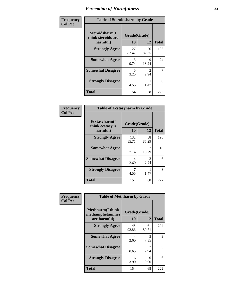| Frequency      | <b>Table of Steroidsharm by Grade</b>            |                    |                        |              |
|----------------|--------------------------------------------------|--------------------|------------------------|--------------|
| <b>Col Pct</b> | Steroidsharm(I<br>think steroids are<br>harmful) | Grade(Grade)<br>10 | 12                     | <b>Total</b> |
|                | <b>Strongly Agree</b>                            | 127<br>82.47       | 56<br>82.35            | 183          |
|                | <b>Somewhat Agree</b>                            | 15<br>9.74         | 9<br>13.24             | 24           |
|                | <b>Somewhat Disagree</b>                         | 5<br>3.25          | $\mathfrak{D}$<br>2.94 | 7            |
|                | <b>Strongly Disagree</b>                         | 4.55               | 1.47                   | 8            |
|                | <b>Total</b>                                     | 154                | 68                     | 222          |

| <b>Table of Ecstasyharm by Grade</b>          |                    |                        |     |  |
|-----------------------------------------------|--------------------|------------------------|-----|--|
| Ecstasyharm(I<br>think ecstasy is<br>harmful) | Grade(Grade)<br>10 | <b>Total</b>           |     |  |
| <b>Strongly Agree</b>                         | 132<br>85.71       | 58<br>85.29            | 190 |  |
| <b>Somewhat Agree</b>                         | 11<br>7.14         | 10.29                  | 18  |  |
| <b>Somewhat Disagree</b>                      | 4<br>2.60          | $\mathfrak{D}$<br>2.94 | 6   |  |
| <b>Strongly Disagree</b>                      | 7<br>4.55          | 1.47                   | 8   |  |
| Total                                         | 154                | 68                     | 222 |  |

| Frequency      | <b>Table of Methharm by Grade</b>                           |                    |             |              |
|----------------|-------------------------------------------------------------|--------------------|-------------|--------------|
| <b>Col Pct</b> | <b>Methharm(I think</b><br>methamphetamines<br>are harmful) | Grade(Grade)<br>10 | 12          | <b>Total</b> |
|                | <b>Strongly Agree</b>                                       | 143<br>92.86       | 61<br>89.71 | 204          |
|                | <b>Somewhat Agree</b>                                       | 4<br>2.60          | 5<br>7.35   | 9            |
|                | <b>Somewhat Disagree</b>                                    | 0.65               | 2<br>2.94   | 3            |
|                | <b>Strongly Disagree</b>                                    | 6<br>3.90          | 0<br>0.00   | 6            |
|                | <b>Total</b>                                                | 154                | 68          | 222          |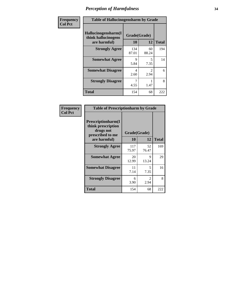| Frequency      | <b>Table of Hallucinogensharm by Grade</b>                 |                    |                       |              |
|----------------|------------------------------------------------------------|--------------------|-----------------------|--------------|
| <b>Col Pct</b> | Hallucinogensharm(I<br>think hallucinogens<br>are harmful) | Grade(Grade)<br>10 | 12                    | <b>Total</b> |
|                | <b>Strongly Agree</b>                                      | 134<br>87.01       | 60<br>88.24           | 194          |
|                | <b>Somewhat Agree</b>                                      | 9<br>5.84          | 5<br>7.35             | 14           |
|                | <b>Somewhat Disagree</b>                                   | 4<br>2.60          | $\mathcal{L}$<br>2.94 | 6            |
|                | <b>Strongly Disagree</b>                                   | 4.55               | 1.47                  | 8            |
|                | <b>Total</b>                                               | 154                | 68                    | 222          |

| <b>Table of Prescriptionharm by Grade</b>                                                         |                    |                                     |              |  |
|---------------------------------------------------------------------------------------------------|--------------------|-------------------------------------|--------------|--|
| <b>Prescriptionharm</b> (I<br>think prescription<br>drugs not<br>prescribed to me<br>are harmful) | Grade(Grade)<br>10 | 12                                  | <b>Total</b> |  |
| <b>Strongly Agree</b>                                                                             | 117<br>75.97       | 52<br>76.47                         | 169          |  |
| <b>Somewhat Agree</b>                                                                             | 20<br>12.99        | 9<br>13.24                          | 29           |  |
| <b>Somewhat Disagree</b>                                                                          | 11<br>7.14         | 5<br>7.35                           | 16           |  |
| <b>Strongly Disagree</b>                                                                          | 6<br>3.90          | $\mathcal{D}_{\mathcal{L}}$<br>2.94 | 8            |  |
| <b>Total</b>                                                                                      | 154                | 68                                  | 222          |  |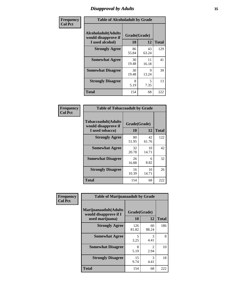### *Disapproval by Adults* **35**

| Frequency      | <b>Table of Alcoholadult by Grade</b>                                 |                    |             |              |
|----------------|-----------------------------------------------------------------------|--------------------|-------------|--------------|
| <b>Col Pct</b> | <b>Alcoholadult</b> (Adults<br>would disapprove if<br>I used alcohol) | Grade(Grade)<br>10 | 12          | <b>Total</b> |
|                | <b>Strongly Agree</b>                                                 | 86<br>55.84        | 43<br>63.24 | 129          |
|                | <b>Somewhat Agree</b>                                                 | 30<br>19.48        | 11<br>16.18 | 41           |
|                | <b>Somewhat Disagree</b>                                              | 30<br>19.48        | 9<br>13.24  | 39           |
|                | <b>Strongly Disagree</b>                                              | 8<br>5.19          | 5<br>7.35   | 13           |
|                | <b>Total</b>                                                          | 154                | 68          | 222          |

| <b>Table of Tobaccoadult by Grade</b>                                 |                    |              |     |  |
|-----------------------------------------------------------------------|--------------------|--------------|-----|--|
| <b>Tobaccoadult</b> (Adults<br>would disapprove if<br>I used tobacco) | Grade(Grade)<br>10 | <b>Total</b> |     |  |
| <b>Strongly Agree</b>                                                 | 80<br>51.95        | 42<br>61.76  | 122 |  |
| <b>Somewhat Agree</b>                                                 | 32<br>20.78        | 10<br>14.71  | 42  |  |
| <b>Somewhat Disagree</b>                                              | 26<br>16.88        | 6<br>8.82    | 32  |  |
| <b>Strongly Disagree</b>                                              | 16<br>10.39        | 10<br>14.71  | 26  |  |
| Total                                                                 | 154                | 68           | 222 |  |

| Frequency<br><b>Col Pct</b> | <b>Table of Marijuanaadult by Grade</b>                           |                    |                        |              |
|-----------------------------|-------------------------------------------------------------------|--------------------|------------------------|--------------|
|                             | Marijuanaadult(Adults<br>would disapprove if I<br>used marijuana) | Grade(Grade)<br>10 | 12                     | <b>Total</b> |
|                             | <b>Strongly Agree</b>                                             | 126<br>81.82       | 60<br>88.24            | 186          |
|                             | <b>Somewhat Agree</b>                                             | 5<br>3.25          | $\mathcal{R}$<br>4.41  | 8            |
|                             | <b>Somewhat Disagree</b>                                          | 8<br>5.19          | $\mathfrak{D}$<br>2.94 | 10           |
|                             | <b>Strongly Disagree</b>                                          | 15<br>9.74         | 3<br>4.41              | 18           |
|                             | <b>Total</b>                                                      | 154                | 68                     | 222          |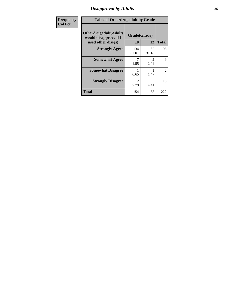### *Disapproval by Adults* **36**

| <b>Frequency</b> | <b>Table of Otherdrugadult by Grade</b>                                     |                    |             |                |
|------------------|-----------------------------------------------------------------------------|--------------------|-------------|----------------|
| <b>Col Pct</b>   | <b>Otherdrugadult</b> (Adults<br>would disapprove if I<br>used other drugs) | Grade(Grade)<br>10 | 12          | <b>Total</b>   |
|                  | <b>Strongly Agree</b>                                                       | 134<br>87.01       | 62<br>91.18 | 196            |
|                  | <b>Somewhat Agree</b>                                                       | 4.55               | 2.94        | 9              |
|                  | <b>Somewhat Disagree</b>                                                    | 0.65               | 1.47        | $\overline{2}$ |
|                  | <b>Strongly Disagree</b>                                                    | 12<br>7.79         | 3<br>4.41   | 15             |
|                  | <b>Total</b>                                                                | 154                | 68          | 222            |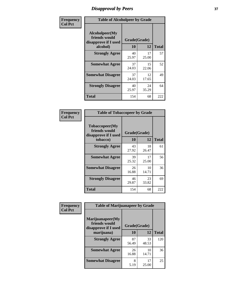# *Disapproval by Peers* **37**

| Frequency      | <b>Table of Alcoholpeer by Grade</b>                    |              |             |              |  |
|----------------|---------------------------------------------------------|--------------|-------------|--------------|--|
| <b>Col Pct</b> | Alcoholpeer(My<br>friends would<br>disapprove if I used | Grade(Grade) |             |              |  |
|                | alcohol)                                                | 10           | 12          | <b>Total</b> |  |
|                | <b>Strongly Agree</b>                                   | 40<br>25.97  | 17<br>25.00 | 57           |  |
|                | <b>Somewhat Agree</b>                                   | 37<br>24.03  | 15<br>22.06 | 52           |  |
|                | <b>Somewhat Disagree</b>                                | 37<br>24.03  | 12<br>17.65 | 49           |  |
|                | <b>Strongly Disagree</b>                                | 40<br>25.97  | 24<br>35.29 | 64           |  |
|                | Total                                                   | 154          | 68          | 222          |  |

| Frequency      | <b>Table of Tobaccopeer by Grade</b>                                |                    |             |              |  |
|----------------|---------------------------------------------------------------------|--------------------|-------------|--------------|--|
| <b>Col Pct</b> | Tobaccopeer(My<br>friends would<br>disapprove if I used<br>tobacco) | Grade(Grade)<br>10 | 12          | <b>Total</b> |  |
|                | <b>Strongly Agree</b>                                               | 43<br>27.92        | 18<br>26.47 | 61           |  |
|                | <b>Somewhat Agree</b>                                               | 39<br>25.32        | 17<br>25.00 | 56           |  |
|                | <b>Somewhat Disagree</b>                                            | 26<br>16.88        | 10<br>14.71 | 36           |  |
|                | <b>Strongly Disagree</b>                                            | 46<br>29.87        | 23<br>33.82 | 69           |  |
|                | <b>Total</b>                                                        | 154                | 68          | 222          |  |

| Frequency<br><b>Col Pct</b> | <b>Table of Marijuanapeer by Grade</b> |              |             |              |
|-----------------------------|----------------------------------------|--------------|-------------|--------------|
|                             | Marijuanapeer(My<br>friends would      | Grade(Grade) |             |              |
|                             | disapprove if I used<br>marijuana)     | 10           | 12          | <b>Total</b> |
|                             | <b>Strongly Agree</b>                  | 87<br>56.49  | 33<br>48.53 | 120          |
|                             | <b>Somewhat Agree</b>                  | 26<br>16.88  | 10<br>14.71 | 36           |
|                             | <b>Somewhat Disagree</b>               | 8<br>5.19    | 17<br>25.00 | 25           |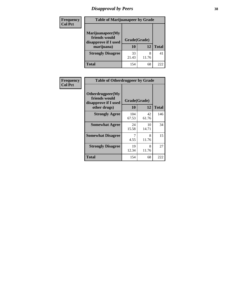# *Disapproval by Peers* **38**

| <b>Frequency</b> | <b>Table of Marijuanapeer by Grade</b>                                  |                           |            |              |  |
|------------------|-------------------------------------------------------------------------|---------------------------|------------|--------------|--|
| <b>Col Pct</b>   | Marijuanapeer(My<br>friends would<br>disapprove if I used<br>marijuana) | Grade(Grade)<br><b>10</b> | 12         | <b>Total</b> |  |
|                  | <b>Strongly Disagree</b>                                                | 33<br>21.43               | 8<br>11.76 | 41           |  |
|                  | <b>Total</b>                                                            | 154                       | 68         | 222          |  |

| Frequency      | <b>Table of Otherdrugpeer by Grade</b>                                    |                    |             |              |  |
|----------------|---------------------------------------------------------------------------|--------------------|-------------|--------------|--|
| <b>Col Pct</b> | Otherdrugpeer(My<br>friends would<br>disapprove if I used<br>other drugs) | Grade(Grade)<br>10 | 12          | <b>Total</b> |  |
|                | <b>Strongly Agree</b>                                                     | 104<br>67.53       | 42<br>61.76 | 146          |  |
|                | <b>Somewhat Agree</b>                                                     | 24<br>15.58        | 10<br>14.71 | 34           |  |
|                | <b>Somewhat Disagree</b>                                                  | 7<br>4.55          | 8<br>11.76  | 15           |  |
|                | <b>Strongly Disagree</b>                                                  | 19<br>12.34        | 8<br>11.76  | 27           |  |
|                | <b>Total</b>                                                              | 154                | 68          | 222          |  |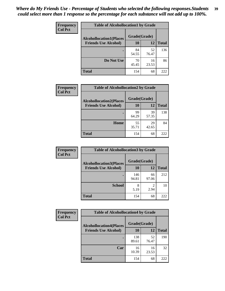| Frequency      | <b>Table of Alcohollocation1 by Grade</b> |              |             |              |
|----------------|-------------------------------------------|--------------|-------------|--------------|
| <b>Col Pct</b> | <b>Alcohollocation1(Places</b>            | Grade(Grade) |             |              |
|                | <b>Friends Use Alcohol)</b>               | 10           | 12          | <b>Total</b> |
|                |                                           | 84<br>54.55  | 52<br>76.47 | 136          |
|                | Do Not Use                                | 70<br>45.45  | 16<br>23.53 | 86           |
|                | <b>Total</b>                              | 154          | 68          | 222          |

| <b>Frequency</b> | <b>Table of Alcohollocation2 by Grade</b>                     |                    |             |              |
|------------------|---------------------------------------------------------------|--------------------|-------------|--------------|
| <b>Col Pct</b>   | <b>Alcohollocation2(Places</b><br><b>Friends Use Alcohol)</b> | Grade(Grade)<br>10 | 12          | <b>Total</b> |
|                  |                                                               | 99<br>64.29        | 39<br>57.35 | 138          |
|                  | Home                                                          | 55<br>35.71        | 29<br>42.65 | 84           |
|                  | <b>Total</b>                                                  | 154                | 68          | 222          |

| <b>Frequency</b> | <b>Table of Alcohollocation 3 by Grade</b> |              |                        |              |
|------------------|--------------------------------------------|--------------|------------------------|--------------|
| <b>Col Pct</b>   | <b>Alcohollocation3(Places</b>             | Grade(Grade) |                        |              |
|                  | <b>Friends Use Alcohol)</b>                | <b>10</b>    | 12                     | <b>Total</b> |
|                  |                                            | 146<br>94.81 | 66<br>97.06            | 212          |
|                  | <b>School</b>                              | 8<br>5.19    | $\mathfrak{D}$<br>2.94 | 10           |
|                  | <b>Total</b>                               | 154          | 68                     | 222          |

| <b>Frequency</b> | <b>Table of Alcohollocation4 by Grade</b> |              |             |              |  |
|------------------|-------------------------------------------|--------------|-------------|--------------|--|
| <b>Col Pct</b>   | <b>Alcohollocation4(Places</b>            | Grade(Grade) |             |              |  |
|                  | <b>Friends Use Alcohol)</b>               | 10           | 12          | <b>Total</b> |  |
|                  |                                           | 138<br>89.61 | 52<br>76.47 | 190          |  |
|                  | Car                                       | 16<br>10.39  | 16<br>23.53 | 32           |  |
|                  | Total                                     | 154          | 68          | 222          |  |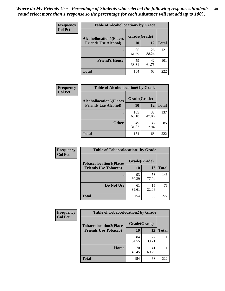| Frequency<br><b>Col Pct</b> | <b>Table of Alcohollocation5 by Grade</b> |              |             |              |  |
|-----------------------------|-------------------------------------------|--------------|-------------|--------------|--|
|                             | <b>Alcohollocation5(Places</b>            | Grade(Grade) |             |              |  |
|                             | <b>Friends Use Alcohol)</b>               | 10           | 12          | <b>Total</b> |  |
|                             |                                           | 95<br>61.69  | 26<br>38.24 | 121          |  |
|                             | <b>Friend's House</b>                     | 59<br>38.31  | 42<br>61.76 | 101          |  |
|                             | <b>Total</b>                              | 154          | 68          | 222          |  |

| <b>Frequency</b> | <b>Table of Alcohollocation6 by Grade</b> |              |             |              |
|------------------|-------------------------------------------|--------------|-------------|--------------|
| <b>Col Pct</b>   | <b>Alcohollocation6(Places</b>            | Grade(Grade) |             |              |
|                  | <b>Friends Use Alcohol)</b>               | 10           | 12          | <b>Total</b> |
|                  |                                           | 105<br>68.18 | 32<br>47.06 | 137          |
|                  | <b>Other</b>                              | 49<br>31.82  | 36<br>52.94 | 85           |
|                  | <b>Total</b>                              | 154          | 68          | 222          |

| Frequency      | <b>Table of Tobaccolocation1 by Grade</b>                     |                    |             |              |
|----------------|---------------------------------------------------------------|--------------------|-------------|--------------|
| <b>Col Pct</b> | <b>Tobaccolocation1(Places</b><br><b>Friends Use Tobacco)</b> | Grade(Grade)<br>10 | 12          | <b>Total</b> |
|                |                                                               |                    |             |              |
|                |                                                               | 93<br>60.39        | 53<br>77.94 | 146          |
|                | Do Not Use                                                    | 61<br>39.61        | 15<br>22.06 | 76           |
|                | <b>Total</b>                                                  | 154                | 68          | 222          |

| <b>Frequency</b> | <b>Table of Tobaccolocation2 by Grade</b> |              |             |              |  |
|------------------|-------------------------------------------|--------------|-------------|--------------|--|
| <b>Col Pct</b>   | <b>Tobaccolocation2(Places</b>            | Grade(Grade) |             |              |  |
|                  | <b>Friends Use Tobacco)</b>               | 10           | 12          | <b>Total</b> |  |
|                  |                                           | 84<br>54.55  | 27<br>39.71 | 111          |  |
|                  | Home                                      | 70<br>45.45  | 41<br>60.29 | 111          |  |
|                  | <b>Total</b>                              | 154          | 68          | 222          |  |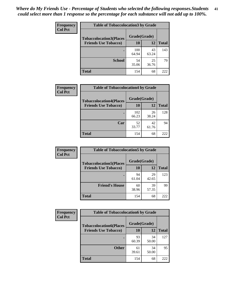| Frequency      | <b>Table of Tobaccolocation 3 by Grade</b> |              |             |              |  |
|----------------|--------------------------------------------|--------------|-------------|--------------|--|
| <b>Col Pct</b> | <b>Tobaccolocation3(Places</b>             | Grade(Grade) |             |              |  |
|                | <b>Friends Use Tobacco)</b>                | 10           | 12          | <b>Total</b> |  |
|                |                                            | 100<br>64.94 | 43<br>63.24 | 143          |  |
|                | <b>School</b>                              | 54<br>35.06  | 25<br>36.76 | 79           |  |
|                | <b>Total</b>                               | 154          | 68          | 222          |  |

| Frequency      |                                                               | <b>Table of Tobaccolocation4 by Grade</b> |             |              |  |
|----------------|---------------------------------------------------------------|-------------------------------------------|-------------|--------------|--|
| <b>Col Pct</b> | <b>Tobaccolocation4(Places</b><br><b>Friends Use Tobacco)</b> | Grade(Grade)<br>10                        | 12          | <b>Total</b> |  |
|                |                                                               |                                           |             |              |  |
|                |                                                               | 102<br>66.23                              | 26<br>38.24 | 128          |  |
|                | Car                                                           | 52<br>33.77                               | 42<br>61.76 | 94           |  |
|                | <b>Total</b>                                                  | 154                                       | 68          | 222          |  |

| Frequency<br><b>Col Pct</b> | <b>Table of Tobaccolocation5 by Grade</b> |              |             |              |
|-----------------------------|-------------------------------------------|--------------|-------------|--------------|
|                             | <b>Tobaccolocation5(Places</b>            | Grade(Grade) |             |              |
|                             | <b>Friends Use Tobacco)</b>               | 10           | <b>12</b>   | <b>Total</b> |
|                             |                                           | 94<br>61.04  | 29<br>42.65 | 123          |
|                             | <b>Friend's House</b>                     | 60<br>38.96  | 39<br>57.35 | 99           |
|                             | <b>Total</b>                              | 154          | 68          | 222          |

| <b>Frequency</b> | <b>Table of Tobaccolocation6 by Grade</b> |              |             |              |  |
|------------------|-------------------------------------------|--------------|-------------|--------------|--|
| <b>Col Pct</b>   | <b>Tobaccolocation6(Places</b>            | Grade(Grade) |             |              |  |
|                  | <b>Friends Use Tobacco)</b>               | 10           | 12          | <b>Total</b> |  |
|                  |                                           | 93<br>60.39  | 34<br>50.00 | 127          |  |
|                  | <b>Other</b>                              | 61<br>39.61  | 34<br>50.00 | 95           |  |
|                  | <b>Total</b>                              | 154          | 68          | 222          |  |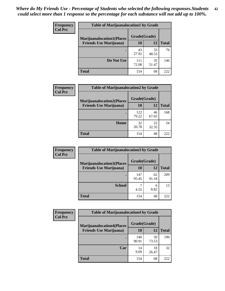| <b>Frequency</b> | <b>Table of Marijuanalocation1 by Grade</b> |              |             |              |
|------------------|---------------------------------------------|--------------|-------------|--------------|
| <b>Col Pct</b>   | <b>Marijuanalocation1(Places</b>            | Grade(Grade) |             |              |
|                  | <b>Friends Use Marijuana</b> )              | 10           | 12          | <b>Total</b> |
|                  |                                             | 43<br>27.92  | 33<br>48.53 | 76           |
|                  | Do Not Use                                  | 111<br>72.08 | 35<br>51.47 | 146          |
|                  | <b>Total</b>                                | 154          | 68          | 222          |

| <b>Frequency</b> | <b>Table of Marijuanalocation2 by Grade</b>                        |                    |             |              |
|------------------|--------------------------------------------------------------------|--------------------|-------------|--------------|
| <b>Col Pct</b>   | <b>Marijuanalocation2(Places</b><br><b>Friends Use Marijuana</b> ) | Grade(Grade)<br>10 | 12          | <b>Total</b> |
|                  |                                                                    | 122<br>79.22       | 46<br>67.65 | 168          |
|                  | Home                                                               | 32<br>20.78        | 22<br>32.35 | 54           |
|                  | <b>Total</b>                                                       | 154                | 68          | 222          |

| <b>Frequency</b> | <b>Table of Marijuanalocation3 by Grade</b>                         |                           |       |              |
|------------------|---------------------------------------------------------------------|---------------------------|-------|--------------|
| <b>Col Pct</b>   | <b>Marijuanalocation3</b> (Places<br><b>Friends Use Marijuana</b> ) | Grade(Grade)<br><b>10</b> | 12    | <b>Total</b> |
|                  |                                                                     |                           |       |              |
|                  |                                                                     | 147                       | 62    | 209          |
|                  |                                                                     | 95.45                     | 91.18 |              |
|                  | <b>School</b>                                                       |                           | 6     | 13           |
|                  |                                                                     | 4.55                      | 8.82  |              |
|                  | <b>Total</b>                                                        | 154                       | 68    | 222          |

| <b>Frequency</b> | <b>Table of Marijuanalocation4 by Grade</b> |              |             |              |  |
|------------------|---------------------------------------------|--------------|-------------|--------------|--|
| <b>Col Pct</b>   | <b>Marijuanalocation4(Places</b>            | Grade(Grade) |             |              |  |
|                  | <b>Friends Use Marijuana</b> )              | <b>10</b>    | 12          | <b>Total</b> |  |
|                  |                                             | 140<br>90.91 | 50<br>73.53 | 190          |  |
|                  | Car                                         | 14<br>9.09   | 18<br>26.47 | 32           |  |
|                  | <b>Total</b>                                | 154          | 68          | 222          |  |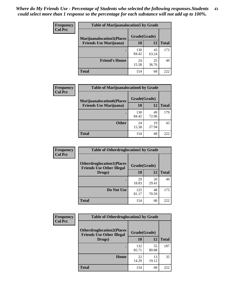| <b>Frequency</b> | <b>Table of Marijuanalocation5 by Grade</b> |              |             |              |
|------------------|---------------------------------------------|--------------|-------------|--------------|
| <b>Col Pct</b>   | <b>Marijuanalocation5(Places)</b>           | Grade(Grade) |             |              |
|                  | <b>Friends Use Marijuana</b> )              | 10           | 12          | <b>Total</b> |
|                  |                                             | 130<br>84.42 | 43<br>63.24 | 173          |
|                  | <b>Friend's House</b>                       | 24<br>15.58  | 25<br>36.76 | 49           |
|                  | <b>Total</b>                                | 154          | 68          | 222          |

| <b>Frequency</b> | <b>Table of Marijuanalocation6 by Grade</b>                        |                    |             |              |
|------------------|--------------------------------------------------------------------|--------------------|-------------|--------------|
| <b>Col Pct</b>   | <b>Marijuanalocation6(Places</b><br><b>Friends Use Marijuana</b> ) | Grade(Grade)<br>10 | 12          | <b>Total</b> |
|                  |                                                                    | 130<br>84.42       | 49<br>72.06 | 179          |
|                  | <b>Other</b>                                                       | 24<br>15.58        | 19<br>27.94 | 43           |
|                  | <b>Total</b>                                                       | 154                | 68          | 222          |

| Frequency      | <b>Table of Otherdruglocation1 by Grade</b>                          |              |             |              |
|----------------|----------------------------------------------------------------------|--------------|-------------|--------------|
| <b>Col Pct</b> | <b>Otherdruglocation1(Places</b><br><b>Friends Use Other Illegal</b> | Grade(Grade) |             |              |
|                | Drugs)                                                               | 10           | 12          | <b>Total</b> |
|                |                                                                      | 29<br>18.83  | 20<br>29.41 | 49           |
|                | Do Not Use                                                           | 125<br>81.17 | 48<br>70.59 | 173          |
|                | <b>Total</b>                                                         | 154          | 68          | 222          |

| <b>Frequency</b> | <b>Table of Otherdruglocation2 by Grade</b>                          |              |             |              |
|------------------|----------------------------------------------------------------------|--------------|-------------|--------------|
| <b>Col Pct</b>   | <b>Otherdruglocation2(Places</b><br><b>Friends Use Other Illegal</b> | Grade(Grade) |             |              |
|                  | Drugs)                                                               | 10           | 12          | <b>Total</b> |
|                  |                                                                      | 132<br>85.71 | 55<br>80.88 | 187          |
|                  | Home                                                                 | 22<br>14.29  | 13<br>19.12 | 35           |
|                  | <b>Total</b>                                                         | 154          | 68          | 222          |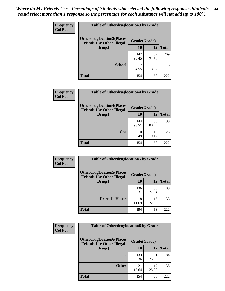| <b>Frequency</b> | <b>Table of Otherdruglocation 3 by Grade</b>                         |              |             |              |
|------------------|----------------------------------------------------------------------|--------------|-------------|--------------|
| <b>Col Pct</b>   | <b>Otherdruglocation3(Places</b><br><b>Friends Use Other Illegal</b> | Grade(Grade) |             |              |
|                  | Drugs)                                                               | 10           | 12          | <b>Total</b> |
|                  |                                                                      | 147<br>95.45 | 62<br>91.18 | 209          |
|                  | <b>School</b>                                                        | 4.55         | 6<br>8.82   | 13           |
|                  | <b>Total</b>                                                         | 154          | 68          | 222          |

| Frequency      | <b>Table of Otherdruglocation4 by Grade</b>                          |              |             |              |
|----------------|----------------------------------------------------------------------|--------------|-------------|--------------|
| <b>Col Pct</b> | <b>Otherdruglocation4(Places</b><br><b>Friends Use Other Illegal</b> | Grade(Grade) |             |              |
|                | Drugs)                                                               | 10           | 12          | <b>Total</b> |
|                |                                                                      | 144<br>93.51 | 55<br>80.88 | 199          |
|                | Car                                                                  | 10<br>6.49   | 13<br>19.12 | 23           |
|                | <b>Total</b>                                                         | 154          | 68          | 222          |

| <b>Frequency</b><br><b>Col Pct</b> | <b>Table of Otherdruglocation5 by Grade</b>                          |              |             |              |
|------------------------------------|----------------------------------------------------------------------|--------------|-------------|--------------|
|                                    | <b>Otherdruglocation5(Places</b><br><b>Friends Use Other Illegal</b> | Grade(Grade) |             |              |
|                                    | Drugs)                                                               | <b>10</b>    | 12          | <b>Total</b> |
|                                    |                                                                      | 136<br>88.31 | 53<br>77.94 | 189          |
|                                    | <b>Friend's House</b>                                                | 18<br>11.69  | 15<br>22.06 | 33           |
|                                    | <b>Total</b>                                                         | 154          | 68          | 222          |

| <b>Frequency</b> | <b>Table of Otherdruglocation6 by Grade</b>                          |              |             |              |
|------------------|----------------------------------------------------------------------|--------------|-------------|--------------|
| <b>Col Pct</b>   | <b>Otherdruglocation6(Places</b><br><b>Friends Use Other Illegal</b> | Grade(Grade) |             |              |
|                  | Drugs)                                                               | 10           | 12          | <b>Total</b> |
|                  |                                                                      | 133<br>86.36 | 51<br>75.00 | 184          |
|                  | <b>Other</b>                                                         | 21<br>13.64  | 17<br>25.00 | 38           |
|                  | <b>Total</b>                                                         | 154          | 68          | 222          |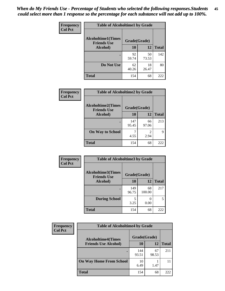| Frequency      | <b>Table of Alcoholtime1 by Grade</b>           |              |             |              |
|----------------|-------------------------------------------------|--------------|-------------|--------------|
| <b>Col Pct</b> | <b>Alcoholtime1(Times</b><br><b>Friends Use</b> | Grade(Grade) |             |              |
|                | Alcohol)                                        | 10           | 12          | <b>Total</b> |
|                |                                                 | 92<br>59.74  | 50<br>73.53 | 142          |
|                | Do Not Use                                      | 62<br>40.26  | 18<br>26.47 | 80           |
|                | <b>Total</b>                                    | 154          | 68          | 222          |

| Frequency      | <b>Table of Alcoholtime2 by Grade</b>           |              |             |              |
|----------------|-------------------------------------------------|--------------|-------------|--------------|
| <b>Col Pct</b> | <b>Alcoholtime2(Times</b><br><b>Friends Use</b> | Grade(Grade) |             |              |
|                | Alcohol)                                        | 10           | 12          | <b>Total</b> |
|                |                                                 | 147<br>95.45 | 66<br>97.06 | 213          |
|                | <b>On Way to School</b>                         | 4.55         | 2<br>2.94   | Q            |
|                | <b>Total</b>                                    | 154          | 68          | 222          |

| Frequency<br><b>Col Pct</b> | <b>Table of Alcoholtime3 by Grade</b>                           |              |              |              |
|-----------------------------|-----------------------------------------------------------------|--------------|--------------|--------------|
|                             | <b>Alcoholtime3(Times</b><br>Grade(Grade)<br><b>Friends Use</b> |              |              |              |
|                             | Alcohol)                                                        | 10           | 12           | <b>Total</b> |
|                             |                                                                 | 149<br>96.75 | 68<br>100.00 | 217          |
|                             | <b>During School</b>                                            | 5<br>3.25    | 0.00         | 5            |
|                             | <b>Total</b>                                                    | 154          | 68           | 222          |

| <b>Frequency</b><br><b>Col Pct</b> | <b>Table of Alcoholtime4 by Grade</b> |              |             |              |
|------------------------------------|---------------------------------------|--------------|-------------|--------------|
|                                    | <b>Alcoholtime4(Times</b>             | Grade(Grade) |             |              |
|                                    | <b>Friends Use Alcohol)</b>           | 10           | 12          | <b>Total</b> |
|                                    |                                       | 144<br>93.51 | 67<br>98.53 | 211          |
|                                    | <b>On Way Home From School</b>        | 10<br>6.49   | 1.47        | 11           |
|                                    | <b>Total</b>                          | 154          | 68          | 222          |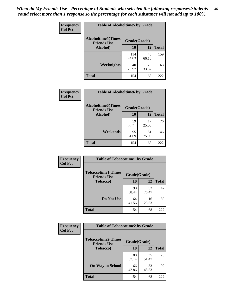*When do My Friends Use - Percentage of Students who selected the following responses.Students could select more than 1 response so the percentage for each substance will not add up to 100%.* **46**

| Frequency      | <b>Table of Alcoholtime5 by Grade</b>           |              |             |              |
|----------------|-------------------------------------------------|--------------|-------------|--------------|
| <b>Col Pct</b> | <b>Alcoholtime5(Times</b><br><b>Friends Use</b> | Grade(Grade) |             |              |
|                | Alcohol)                                        | 10           | 12          | <b>Total</b> |
|                |                                                 | 114<br>74.03 | 45<br>66.18 | 159          |
|                | Weeknights                                      | 40<br>25.97  | 23<br>33.82 | 63           |
|                | <b>Total</b>                                    | 154          | 68          | 222          |

| <b>Frequency</b> | <b>Table of Alcoholtime6 by Grade</b>           |              |             |              |
|------------------|-------------------------------------------------|--------------|-------------|--------------|
| <b>Col Pct</b>   | <b>Alcoholtime6(Times</b><br><b>Friends Use</b> | Grade(Grade) |             |              |
|                  | Alcohol)                                        | 10           | 12          | <b>Total</b> |
|                  |                                                 | 59<br>38.31  | 17<br>25.00 | 76           |
|                  | Weekends                                        | 95<br>61.69  | 51<br>75.00 | 146          |
|                  | <b>Total</b>                                    | 154          | 68          | 222          |

| Frequency      | <b>Table of Tobaccotime1 by Grade</b>           |              |             |              |
|----------------|-------------------------------------------------|--------------|-------------|--------------|
| <b>Col Pct</b> | <b>Tobaccotime1(Times</b><br><b>Friends Use</b> | Grade(Grade) |             |              |
|                | <b>Tobacco</b> )                                | 10           | 12          | <b>Total</b> |
|                | $\bullet$                                       | 90<br>58.44  | 52<br>76.47 | 142          |
|                | Do Not Use                                      | 64<br>41.56  | 16<br>23.53 | 80           |
|                | <b>Total</b>                                    | 154          | 68          | 222          |

| <b>Frequency</b> | <b>Table of Tobaccotime2 by Grade</b>           |              |             |              |
|------------------|-------------------------------------------------|--------------|-------------|--------------|
| <b>Col Pct</b>   | <b>Tobaccotime2(Times</b><br><b>Friends Use</b> | Grade(Grade) |             |              |
|                  | <b>Tobacco</b> )                                | 10           | 12          | <b>Total</b> |
|                  |                                                 | 88<br>57.14  | 35<br>51.47 | 123          |
|                  | <b>On Way to School</b>                         | 66<br>42.86  | 33<br>48.53 | 99           |
|                  | Total                                           | 154          | 68          | 222          |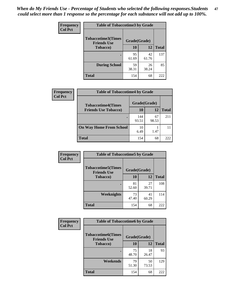*When do My Friends Use - Percentage of Students who selected the following responses.Students could select more than 1 response so the percentage for each substance will not add up to 100%.* **47**

| <b>Frequency</b> | <b>Table of Tobaccotime3 by Grade</b>           |             |              |              |  |
|------------------|-------------------------------------------------|-------------|--------------|--------------|--|
| <b>Col Pct</b>   | <b>Tobaccotime3(Times</b><br><b>Friends Use</b> |             | Grade(Grade) |              |  |
|                  | <b>Tobacco</b> )                                | 10          | 12           | <b>Total</b> |  |
|                  |                                                 | 95<br>61.69 | 42<br>61.76  | 137          |  |
|                  | <b>During School</b>                            | 59<br>38.31 | 26<br>38.24  | 85           |  |
|                  | <b>Total</b>                                    | 154         | 68           | 222          |  |

| <b>Frequency</b> | <b>Table of Tobaccotime4 by Grade</b> |              |             |              |
|------------------|---------------------------------------|--------------|-------------|--------------|
| <b>Col Pct</b>   | <b>Tobaccotime4(Times</b>             | Grade(Grade) |             |              |
|                  | <b>Friends Use Tobacco)</b>           | 10           | 12          | <b>Total</b> |
|                  |                                       | 144<br>93.51 | 67<br>98.53 | 211          |
|                  | <b>On Way Home From School</b>        | 10<br>6.49   | 1.47        |              |
|                  | <b>Total</b>                          | 154          | 68          | 222          |

| Frequency      | <b>Table of Tobaccotime5 by Grade</b>            |              |             |              |
|----------------|--------------------------------------------------|--------------|-------------|--------------|
| <b>Col Pct</b> | <b>Tobaccotime5</b> (Times<br><b>Friends Use</b> | Grade(Grade) |             |              |
|                | Tobacco)                                         | 10           | 12          | <b>Total</b> |
|                |                                                  | 81<br>52.60  | 27<br>39.71 | 108          |
|                | Weeknights                                       | 73<br>47.40  | 41<br>60.29 | 114          |
|                | <b>Total</b>                                     | 154          | 68          | 222          |

| Frequency      | <b>Table of Tobaccotime6 by Grade</b>           |              |             |              |
|----------------|-------------------------------------------------|--------------|-------------|--------------|
| <b>Col Pct</b> | <b>Tobaccotime6(Times</b><br><b>Friends Use</b> | Grade(Grade) |             |              |
|                | <b>Tobacco</b> )                                | 10           | 12          | <b>Total</b> |
|                | ٠                                               | 75<br>48.70  | 18<br>26.47 | 93           |
|                | Weekends                                        | 79<br>51.30  | 50<br>73.53 | 129          |
|                | <b>Total</b>                                    | 154          | 68          | 222          |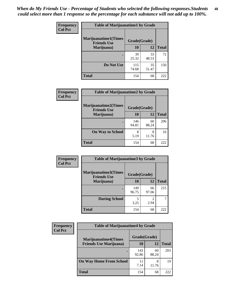| Frequency      | <b>Table of Marijuanatime1 by Grade</b>           |              |             |              |
|----------------|---------------------------------------------------|--------------|-------------|--------------|
| <b>Col Pct</b> | <b>Marijuanatime1(Times</b><br><b>Friends Use</b> | Grade(Grade) |             |              |
|                | Marijuana)                                        | 10           | 12          | <b>Total</b> |
|                |                                                   | 39<br>25.32  | 33<br>48.53 | 72           |
|                | Do Not Use                                        | 115<br>74.68 | 35<br>51.47 | 150          |
|                | <b>Total</b>                                      | 154          | 68          | 222          |

| Frequency      | <b>Table of Marijuanatime2 by Grade</b>           |              |             |              |
|----------------|---------------------------------------------------|--------------|-------------|--------------|
| <b>Col Pct</b> | <b>Marijuanatime2(Times</b><br><b>Friends Use</b> | Grade(Grade) |             |              |
|                | Marijuana)                                        | 10           | 12          | <b>Total</b> |
|                |                                                   | 146<br>94.81 | 60<br>88.24 | 206          |
|                | <b>On Way to School</b>                           | 8<br>5.19    | 8<br>11.76  | 16           |
|                | <b>Total</b>                                      | 154          | 68          | 222          |

| <b>Frequency</b> | <b>Table of Marijuanatime3 by Grade</b>    |              |             |              |
|------------------|--------------------------------------------|--------------|-------------|--------------|
| <b>Col Pct</b>   | Marijuanatime3(Times<br><b>Friends Use</b> | Grade(Grade) |             |              |
|                  | Marijuana)                                 | 10           | 12          | <b>Total</b> |
|                  |                                            | 149<br>96.75 | 66<br>97.06 | 215          |
|                  | <b>During School</b>                       | 5<br>3.25    | 2<br>2.94   | 7            |
|                  | <b>Total</b>                               | 154          | 68          | 222          |

| <b>Frequency</b> | <b>Table of Marijuanatime4 by Grade</b> |              |             |              |
|------------------|-----------------------------------------|--------------|-------------|--------------|
| <b>Col Pct</b>   | <b>Marijuanatime4(Times</b>             | Grade(Grade) |             |              |
|                  | <b>Friends Use Marijuana</b> )          | 10           | 12          | <b>Total</b> |
|                  |                                         | 143<br>92.86 | 60<br>88.24 | 203          |
|                  | <b>On Way Home From School</b>          | 11<br>7.14   | 8<br>11.76  | 19           |
|                  | <b>Total</b>                            | 154          | 68          | 222          |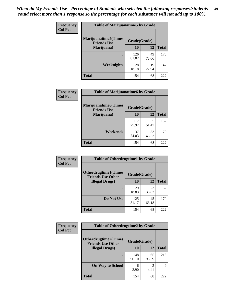| Frequency      | <b>Table of Marijuanatime5 by Grade</b>            |              |             |              |
|----------------|----------------------------------------------------|--------------|-------------|--------------|
| <b>Col Pct</b> | <b>Marijuanatime5</b> (Times<br><b>Friends Use</b> | Grade(Grade) |             |              |
|                | Marijuana)                                         | 10           | 12          | <b>Total</b> |
|                |                                                    | 126<br>81.82 | 49<br>72.06 | 175          |
|                | Weeknights                                         | 28<br>18.18  | 19<br>27.94 | 47           |
|                | <b>Total</b>                                       | 154          | 68          | 222          |

| Frequency      | <b>Table of Marijuanatime6 by Grade</b>    |              |             |              |  |
|----------------|--------------------------------------------|--------------|-------------|--------------|--|
| <b>Col Pct</b> | Marijuanatime6(Times<br><b>Friends Use</b> | Grade(Grade) |             |              |  |
|                | Marijuana)                                 | 10           | 12          | <b>Total</b> |  |
|                |                                            | 117<br>75.97 | 35<br>51.47 | 152          |  |
|                | Weekends                                   | 37<br>24.03  | 33<br>48.53 | 70           |  |
|                | <b>Total</b>                               | 154          | 68          | 222          |  |

| Frequency      | <b>Table of Otherdrugtime1 by Grade</b>                                 |              |             |              |
|----------------|-------------------------------------------------------------------------|--------------|-------------|--------------|
| <b>Col Pct</b> | <b>Otherdrugtime1(Times</b><br>Grade(Grade)<br><b>Friends Use Other</b> |              |             |              |
|                | <b>Illegal Drugs)</b>                                                   | 10           | 12          | <b>Total</b> |
|                |                                                                         | 29<br>18.83  | 23<br>33.82 | 52           |
|                | Do Not Use                                                              | 125<br>81.17 | 45<br>66.18 | 170          |
|                | Total                                                                   | 154          | 68          | 222          |

| Frequency      | <b>Table of Otherdrugtime2 by Grade</b>                 |              |             |              |  |  |
|----------------|---------------------------------------------------------|--------------|-------------|--------------|--|--|
| <b>Col Pct</b> | <b>Otherdrugtime2(Times</b><br><b>Friends Use Other</b> | Grade(Grade) |             |              |  |  |
|                | <b>Illegal Drugs</b> )                                  | 10           | 12          | <b>Total</b> |  |  |
|                |                                                         | 148<br>96.10 | 65<br>95.59 | 213          |  |  |
|                | <b>On Way to School</b>                                 | 6<br>3.90    | 3<br>4.41   | 9            |  |  |
|                | Total                                                   | 154          | 68          | 222          |  |  |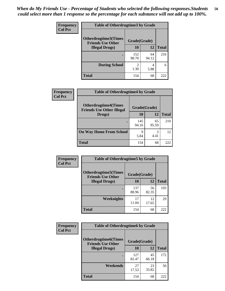| <b>Frequency</b> | <b>Table of Otherdrugtime3 by Grade</b>          |                        |             |              |  |  |
|------------------|--------------------------------------------------|------------------------|-------------|--------------|--|--|
| <b>Col Pct</b>   | Otherdrugtime3(Times<br><b>Friends Use Other</b> | Grade(Grade)           |             |              |  |  |
|                  | <b>Illegal Drugs</b> )                           | 10                     | 12          | <b>Total</b> |  |  |
|                  |                                                  | 152<br>98.70           | 64<br>94.12 | 216          |  |  |
|                  | <b>During School</b>                             | $\mathfrak{D}$<br>1.30 | 4<br>5.88   | 6            |  |  |
|                  | Total                                            | 154                    | 68          | 222          |  |  |

| Frequency      | <b>Table of Otherdrugtime4 by Grade</b>                         |              |             |              |  |  |
|----------------|-----------------------------------------------------------------|--------------|-------------|--------------|--|--|
| <b>Col Pct</b> | <b>Otherdrugtime4(Times</b><br><b>Friends Use Other Illegal</b> | Grade(Grade) |             |              |  |  |
|                | Drugs)                                                          | 10           | 12          | <b>Total</b> |  |  |
|                | $\bullet$                                                       | 145<br>94.16 | 65<br>95.59 | 210          |  |  |
|                | <b>On Way Home From School</b>                                  | 9<br>5.84    | 3<br>4.41   | 12           |  |  |
|                | <b>Total</b>                                                    | 154          | 68          | 222          |  |  |

| <b>Frequency</b><br><b>Col Pct</b> | <b>Table of Otherdrugtime5 by Grade</b>                  |              |             |              |  |  |
|------------------------------------|----------------------------------------------------------|--------------|-------------|--------------|--|--|
|                                    | <b>Otherdrugtime5</b> (Times<br><b>Friends Use Other</b> | Grade(Grade) |             |              |  |  |
|                                    | <b>Illegal Drugs</b> )                                   | 10           | 12          | <b>Total</b> |  |  |
|                                    |                                                          | 137<br>88.96 | 56<br>82.35 | 193          |  |  |
|                                    | <b>Weeknights</b>                                        | 17<br>11.04  | 12<br>17.65 | 29           |  |  |
|                                    | Total                                                    | 154          | 68          | 222          |  |  |

| <b>Frequency</b> | <b>Table of Otherdrugtime6 by Grade</b>                                 |              |             |              |  |  |
|------------------|-------------------------------------------------------------------------|--------------|-------------|--------------|--|--|
| <b>Col Pct</b>   | <b>Otherdrugtime6(Times</b><br>Grade(Grade)<br><b>Friends Use Other</b> |              |             |              |  |  |
|                  | <b>Illegal Drugs</b> )                                                  | 10           | 12          | <b>Total</b> |  |  |
|                  |                                                                         | 127<br>82.47 | 45<br>66.18 | 172          |  |  |
|                  | Weekends                                                                | 27<br>17.53  | 23<br>33.82 | 50           |  |  |
|                  | <b>Total</b>                                                            | 154          | 68          | 222          |  |  |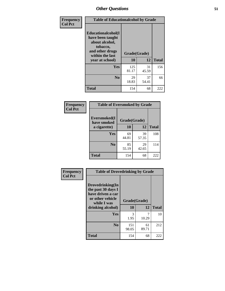| Frequency      | <b>Table of Educationalcohol by Grade</b>                                                                  |              |             |              |  |  |
|----------------|------------------------------------------------------------------------------------------------------------|--------------|-------------|--------------|--|--|
| <b>Col Pct</b> | Educationalcohol(I<br>have been taught<br>about alcohol,<br>tobacco,<br>and other drugs<br>within the last | Grade(Grade) |             |              |  |  |
|                | year at school)                                                                                            | 10           | 12          | <b>Total</b> |  |  |
|                | Yes                                                                                                        | 125<br>81.17 | 31<br>45.59 | 156          |  |  |
|                | N <sub>0</sub>                                                                                             | 29<br>18.83  | 37<br>54.41 | 66           |  |  |
|                | <b>Total</b>                                                                                               | 154          | 68          | 222          |  |  |

| Frequency      | <b>Table of Eversmoked by Grade</b>         |             |             |              |  |  |  |
|----------------|---------------------------------------------|-------------|-------------|--------------|--|--|--|
| <b>Col Pct</b> | Eversmoked(I<br>Grade(Grade)<br>have smoked |             |             |              |  |  |  |
|                | a cigarette)                                | 10          | 12          | <b>Total</b> |  |  |  |
|                | <b>Yes</b>                                  | 69<br>44.81 | 39<br>57.35 | 108          |  |  |  |
|                | N <sub>0</sub>                              | 85<br>55.19 | 29<br>42.65 | 114          |  |  |  |
|                | <b>Total</b>                                | 154         | 68          | 222          |  |  |  |

| Frequency      | <b>Table of Drovedrinking by Grade</b>                                                                              |                    |             |              |
|----------------|---------------------------------------------------------------------------------------------------------------------|--------------------|-------------|--------------|
| <b>Col Pct</b> | Drovedrinking(In<br>the past 30 days I<br>have driven a car<br>or other vehicle<br>while I was<br>drinking alcohol) | Grade(Grade)<br>10 | 12          | <b>Total</b> |
|                | <b>Yes</b>                                                                                                          | 3<br>1.95          | 10.29       | 10           |
|                | N <sub>0</sub>                                                                                                      | 151<br>98.05       | 61<br>89.71 | 212          |
|                | <b>Total</b>                                                                                                        | 154                | 68          | 222          |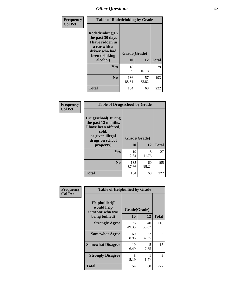| Frequency<br><b>Col Pct</b> | <b>Table of Rodedrinking by Grade</b>                                                                                  |                          |             |              |  |  |  |
|-----------------------------|------------------------------------------------------------------------------------------------------------------------|--------------------------|-------------|--------------|--|--|--|
|                             | Rodedrinking(In<br>the past 30 days<br>I have ridden in<br>a car with a<br>driver who had<br>been drinking<br>alcohol) | Grade(Grade)<br>10<br>12 |             | <b>Total</b> |  |  |  |
|                             | <b>Yes</b>                                                                                                             | 18<br>11.69              | 11<br>16.18 | 29           |  |  |  |
|                             | N <sub>0</sub>                                                                                                         | 136<br>88.31             | 57<br>83.82 | 193          |  |  |  |
|                             | <b>Total</b>                                                                                                           | 154                      | 68          | 222          |  |  |  |

#### **Frequency Col Pct**

| <b>Table of Drugsschool by Grade</b>                                                                                      |              |             |              |  |  |  |  |
|---------------------------------------------------------------------------------------------------------------------------|--------------|-------------|--------------|--|--|--|--|
| <b>Drugsschool</b> (During<br>the past 12 months,<br>I have been offered,<br>sold,<br>or given illegal<br>drugs on school | Grade(Grade) |             |              |  |  |  |  |
| property)                                                                                                                 | 10           | 12          | <b>Total</b> |  |  |  |  |
| Yes                                                                                                                       | 19<br>12.34  | 8<br>11.76  | 27           |  |  |  |  |
| N <sub>0</sub>                                                                                                            | 135<br>87.66 | 60<br>88.24 | 195          |  |  |  |  |
| Total                                                                                                                     |              |             |              |  |  |  |  |

| Frequency      | <b>Table of Helpbullied by Grade</b>                 |              |             |              |  |  |  |  |
|----------------|------------------------------------------------------|--------------|-------------|--------------|--|--|--|--|
| <b>Col Pct</b> | $Helpb$ ullied $(I$<br>would help<br>someone who was | Grade(Grade) |             |              |  |  |  |  |
|                | being bullied)                                       | 10           | 12          | <b>Total</b> |  |  |  |  |
|                | <b>Strongly Agree</b>                                | 76<br>49.35  | 40<br>58.82 | 116          |  |  |  |  |
|                | <b>Somewhat Agree</b>                                | 60<br>38.96  | 22<br>32.35 | 82           |  |  |  |  |
|                | <b>Somewhat Disagree</b>                             | 10<br>6.49   | 5<br>7.35   | 15           |  |  |  |  |
|                | <b>Strongly Disagree</b>                             | 8<br>5.19    | 1.47        | 9            |  |  |  |  |
|                | <b>Total</b>                                         | 154          | 68          | 222          |  |  |  |  |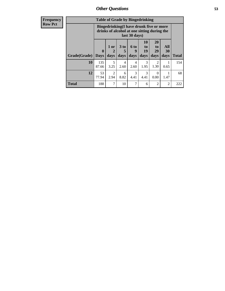| <b>Frequency</b> |              | <b>Table of Grade by Bingedrinking</b>                                                                  |                |                         |                     |                                  |                               |                   |              |
|------------------|--------------|---------------------------------------------------------------------------------------------------------|----------------|-------------------------|---------------------|----------------------------------|-------------------------------|-------------------|--------------|
| <b>Row Pct</b>   |              | Bingedrinking(I have drunk five or more<br>drinks of alcohol at one sitting during the<br>last 30 days) |                |                         |                     |                                  |                               |                   |              |
|                  | Grade(Grade) | $\mathbf{0}$<br><b>Days</b>                                                                             | $1$ or<br>days | 3 <sub>to</sub><br>days | $6$ to<br>9<br>days | 10<br>$\mathbf{t}$<br>19<br>days | <b>20</b><br>to<br>29<br>days | All<br>30<br>days | <b>Total</b> |
|                  | 10           | 135<br>87.66                                                                                            | 5<br>3.25      | 4<br>2.60               | 4<br>2.60           | 3<br>1.95                        | $\mathfrak{D}$<br>1.30        | 0.65              | 154          |
|                  | 12           | 53<br>77.94                                                                                             | 2<br>2.94      | 6<br>8.82               | 3<br>4.41           | 3<br>4.41                        | 0.00                          | 1.47              | 68           |
|                  | <b>Total</b> | 188                                                                                                     | 7              | 10                      | 7                   | 6                                | $\overline{2}$                | $\overline{2}$    | 222          |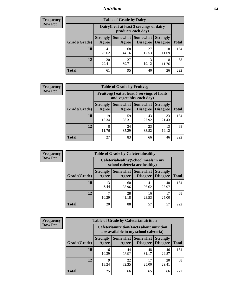### *Nutrition* **54**

| <b>Frequency</b><br>Row Pct |
|-----------------------------|
|                             |

| <b>Table of Grade by Dairy</b> |                                                                                                                                           |                                                                 |             |             |     |  |  |  |
|--------------------------------|-------------------------------------------------------------------------------------------------------------------------------------------|-----------------------------------------------------------------|-------------|-------------|-----|--|--|--|
|                                |                                                                                                                                           | Dairy (I eat at least 3 servings of dairy<br>products each day) |             |             |     |  |  |  |
| Grade(Grade)                   | <b>Somewhat</b><br><b>Somewhat</b><br><b>Strongly</b><br><b>Strongly</b><br><b>Disagree</b><br>Disagree<br><b>Total</b><br>Agree<br>Agree |                                                                 |             |             |     |  |  |  |
| 10                             | 41<br>26.62                                                                                                                               | 68<br>44.16                                                     | 27<br>17.53 | 18<br>11.69 | 154 |  |  |  |
| 12                             | 20<br>29.41                                                                                                                               | 27<br>39.71                                                     | 13<br>19.12 | 8<br>11.76  | 68  |  |  |  |
| <b>Total</b>                   | 61                                                                                                                                        | 95                                                              | 40          | 26          | 222 |  |  |  |

| <b>Frequency</b> |  |
|------------------|--|
| <b>Row Pct</b>   |  |

| $\mathbf{y}$ | <b>Table of Grade by Fruitveg</b> |                          |                                                                              |             |             |              |  |  |
|--------------|-----------------------------------|--------------------------|------------------------------------------------------------------------------|-------------|-------------|--------------|--|--|
|              |                                   |                          | Fruitveg(I eat at least 5 servings of fruits<br>and vegetables each day)     |             |             |              |  |  |
|              | Grade(Grade)                      | <b>Strongly</b><br>Agree | Somewhat Somewhat<br><b>Strongly</b><br><b>Disagree</b><br>Disagree<br>Agree |             |             | <b>Total</b> |  |  |
|              | <b>10</b>                         | 19<br>12.34              | 59<br>38.31                                                                  | 43<br>27.92 | 33<br>21.43 | 154          |  |  |
|              | 12                                | 8<br>11.76               | 24<br>35.29                                                                  | 23<br>33.82 | 13<br>19.12 | 68           |  |  |
|              | <b>Total</b>                      | 27                       | 83                                                                           | 66          | 46          | 222          |  |  |

| Frequency      | <b>Table of Grade by Cafeteriahealthy</b> |                                                                       |                     |                             |                                    |              |  |  |
|----------------|-------------------------------------------|-----------------------------------------------------------------------|---------------------|-----------------------------|------------------------------------|--------------|--|--|
| <b>Row Pct</b> |                                           | Cafeteriahealthy (School meals in my<br>school cafeteria are healthy) |                     |                             |                                    |              |  |  |
|                | Grade(Grade)                              | <b>Strongly</b><br>Agree                                              | Somewhat  <br>Agree | Somewhat<br><b>Disagree</b> | <b>Strongly</b><br><b>Disagree</b> | <b>Total</b> |  |  |
|                | 10                                        | 13<br>8.44                                                            | 60<br>38.96         | 41<br>26.62                 | 40<br>25.97                        | 154          |  |  |
|                | 12                                        | 10.29                                                                 | 28<br>41.18         | 16<br>23.53                 | 17<br>25.00                        | 68           |  |  |
|                | <b>Total</b>                              | 20                                                                    | 88                  | 57                          | 57                                 | 222          |  |  |

| <b>Frequency</b> |
|------------------|
| <b>Row Pct</b>   |

| <b>Table of Grade by Cafeterianutrition</b> |              |                          |                                                                                           |                             |                                    |              |  |  |  |
|---------------------------------------------|--------------|--------------------------|-------------------------------------------------------------------------------------------|-----------------------------|------------------------------------|--------------|--|--|--|
|                                             |              |                          | <b>Cafeterianutrition</b> (Facts about nutrition<br>are available in my school cafeteria) |                             |                                    |              |  |  |  |
|                                             | Grade(Grade) | <b>Strongly</b><br>Agree | Somewhat<br>Agree                                                                         | <b>Somewhat</b><br>Disagree | <b>Strongly</b><br><b>Disagree</b> | <b>Total</b> |  |  |  |
|                                             | 10           | 16<br>10.39              | 44<br>28.57                                                                               | 48<br>31.17                 | 46<br>29.87                        | 154          |  |  |  |
|                                             | 12           | 9<br>13.24               | 22<br>32.35                                                                               | 17<br>25.00                 | 20<br>29.41                        | 68           |  |  |  |
|                                             | <b>Total</b> | 25                       | 66                                                                                        | 65                          | 66                                 | 222          |  |  |  |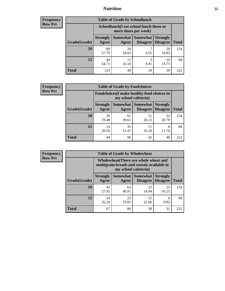### *Nutrition* **55**

| <b>Frequency</b> |
|------------------|
| Row Pct          |

| <b>Table of Grade by Schoollunch</b> |                                                                                                                              |                                                                 |           |             |     |  |  |  |
|--------------------------------------|------------------------------------------------------------------------------------------------------------------------------|-----------------------------------------------------------------|-----------|-------------|-----|--|--|--|
|                                      |                                                                                                                              | Schoollunch(I eat school lunch three or<br>more times per week) |           |             |     |  |  |  |
| Grade(Grade)                         | Somewhat   Somewhat  <br><b>Strongly</b><br><b>Strongly</b><br><b>Disagree</b><br>Disagree<br><b>Total</b><br>Agree<br>Agree |                                                                 |           |             |     |  |  |  |
| 10                                   | 89<br>57.79                                                                                                                  | 29<br>18.83                                                     | 7<br>4.55 | 29<br>18.83 | 154 |  |  |  |
| 12                                   | 44<br>64.71                                                                                                                  | 11<br>16.18                                                     | 3<br>4.41 | 10<br>14.71 | 68  |  |  |  |
| <b>Total</b>                         | 133                                                                                                                          | 40                                                              | 10        | 39          | 222 |  |  |  |

| <b>Frequency</b> |  |
|------------------|--|
| <b>Row Pct</b>   |  |

| <b>Table of Grade by Foodchoices</b>                                       |                          |             |                                      |                                    |              |  |  |
|----------------------------------------------------------------------------|--------------------------|-------------|--------------------------------------|------------------------------------|--------------|--|--|
| <b>Foodchoices</b> (I make healthy food choices in<br>my school cafeteria) |                          |             |                                      |                                    |              |  |  |
| Grade(Grade)                                                               | <b>Strongly</b><br>Agree | Agree       | Somewhat Somewhat<br><b>Disagree</b> | <b>Strongly</b><br><b>Disagree</b> | <b>Total</b> |  |  |
| 10                                                                         | 30<br>19.48              | 61<br>39.61 | 31<br>20.13                          | 32<br>20.78                        | 154          |  |  |
| 12                                                                         | 14<br>20.59              | 35<br>51.47 | 11<br>16.18                          | 8<br>11.76                         | 68           |  |  |
| <b>Total</b>                                                               | 44                       | 96          | 42                                   | 40                                 | 222          |  |  |

| Frequency      | <b>Table of Grade by Wholewheat</b> |                                                                                                             |                     |                             |                                    |              |  |  |  |
|----------------|-------------------------------------|-------------------------------------------------------------------------------------------------------------|---------------------|-----------------------------|------------------------------------|--------------|--|--|--|
| <b>Row Pct</b> |                                     | Wholewheat (There are whole wheat and<br>multigrain breads and cereals available in<br>my school cafeteria) |                     |                             |                                    |              |  |  |  |
|                | Grade(Grade)                        | <b>Strongly</b><br>Agree                                                                                    | Somewhat  <br>Agree | Somewhat<br><b>Disagree</b> | <b>Strongly</b><br><b>Disagree</b> | <b>Total</b> |  |  |  |
|                | 10                                  | 43<br>27.92                                                                                                 | 63<br>40.91         | 23<br>14.94                 | 25<br>16.23                        | 154          |  |  |  |
|                | 12                                  | 24<br>35.29                                                                                                 | 23<br>33.82         | 15<br>22.06                 | 6<br>8.82                          | 68           |  |  |  |
|                | Total                               | 67                                                                                                          | 86                  | 38                          | 31                                 | 222          |  |  |  |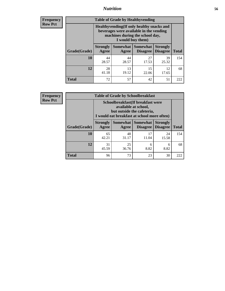### *Nutrition* **56**

**Frequency Row Pct**

| <b>Table of Grade by Healthyvending</b> |                                                                                                                                               |                     |                                    |                                    |              |  |
|-----------------------------------------|-----------------------------------------------------------------------------------------------------------------------------------------------|---------------------|------------------------------------|------------------------------------|--------------|--|
|                                         | Healthyvending (If only healthy snacks and<br>beverages were available in the vending<br>machines during the school day,<br>I would buy them) |                     |                                    |                                    |              |  |
| Grade(Grade)                            | <b>Strongly</b><br>Agree                                                                                                                      | Somewhat  <br>Agree | <b>Somewhat</b><br><b>Disagree</b> | <b>Strongly</b><br><b>Disagree</b> | <b>Total</b> |  |
| 10                                      | 44<br>28.57                                                                                                                                   | 44<br>28.57         | 27<br>17.53                        | 39<br>25.32                        | 154          |  |
| 12                                      | 28<br>41.18                                                                                                                                   | 13<br>19.12         | 15<br>22.06                        | 12<br>17.65                        | 68           |  |
| <b>Total</b>                            | 72                                                                                                                                            | 57                  | 42                                 | 51                                 | 222          |  |

**Frequency Row Pct**

| <b>Table of Grade by Schoolbreakfast</b> |                                                                                                                                         |             |                                        |                                    |              |  |
|------------------------------------------|-----------------------------------------------------------------------------------------------------------------------------------------|-------------|----------------------------------------|------------------------------------|--------------|--|
|                                          | Schoolbreakfast (If breakfast were<br>available at school,<br>but outside the cafeteria,<br>I would eat breakfast at school more often) |             |                                        |                                    |              |  |
| Grade(Grade)                             | <b>Strongly</b><br>Agree                                                                                                                | Agree       | Somewhat   Somewhat<br><b>Disagree</b> | <b>Strongly</b><br><b>Disagree</b> | <b>Total</b> |  |
| 10                                       | 65<br>42.21                                                                                                                             | 48<br>31.17 | 17<br>11.04                            | 24<br>15.58                        | 154          |  |
| 12                                       | 25<br>31<br>6<br>6<br>8.82<br>8.82<br>45.59<br>36.76                                                                                    |             |                                        |                                    |              |  |
| <b>Total</b>                             | 96                                                                                                                                      | 73          | 23                                     | 30                                 | 222          |  |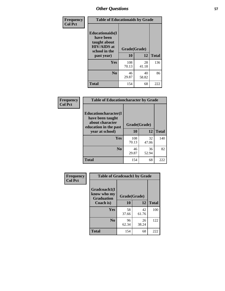| Frequency<br><b>Col Pct</b> | <b>Table of Educationaids by Grade</b>                                                                    |                    |             |              |
|-----------------------------|-----------------------------------------------------------------------------------------------------------|--------------------|-------------|--------------|
|                             | <b>Educationaids</b> (I<br>have been<br>taught about<br><b>HIV/AIDS</b> at<br>school in the<br>past year) | Grade(Grade)<br>10 | 12          | <b>Total</b> |
|                             | Yes                                                                                                       | 108<br>70.13       | 28<br>41.18 | 136          |
|                             | N <sub>0</sub>                                                                                            | 46<br>29.87        | 40<br>58.82 | 86           |
|                             | <b>Total</b>                                                                                              | 154                | 68          | 222          |

| Frequency<br><b>Col Pct</b> | <b>Table of Educationcharacter by Grade</b> |              |             |              |  |
|-----------------------------|---------------------------------------------|--------------|-------------|--------------|--|
|                             | Educationcharacter(I<br>have been taught    |              |             |              |  |
|                             | about character<br>education in the past    | Grade(Grade) |             |              |  |
|                             | year at school)                             | <b>10</b>    | 12          | <b>Total</b> |  |
|                             | Yes                                         | 108<br>70.13 | 32<br>47.06 | 140          |  |
|                             | N <sub>0</sub>                              | 46<br>29.87  | 36<br>52.94 | 82           |  |
|                             | <b>Total</b>                                | 154          | 68          | 222          |  |

| Frequency      | <b>Table of Gradcoach1 by Grade</b>              |              |             |              |
|----------------|--------------------------------------------------|--------------|-------------|--------------|
| <b>Col Pct</b> | Gradcoach1(I<br>know who my<br><b>Graduation</b> | Grade(Grade) |             |              |
|                | Coach is)                                        | 10           | 12          | <b>Total</b> |
|                | Yes                                              | 58<br>37.66  | 42<br>61.76 | 100          |
|                | N <sub>0</sub>                                   | 96<br>62.34  | 26<br>38.24 | 122          |
|                | <b>Total</b>                                     | 154          | 68          | 222          |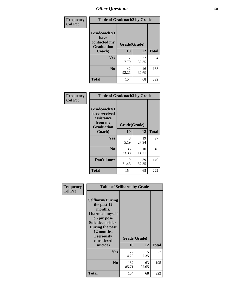| Frequency      | <b>Table of Gradcoach2 by Grade</b>       |              |             |              |
|----------------|-------------------------------------------|--------------|-------------|--------------|
| <b>Col Pct</b> |                                           |              |             |              |
|                | Gradcoach2(I                              |              |             |              |
|                | have<br>contacted my<br><b>Graduation</b> | Grade(Grade) |             |              |
|                | Coach)                                    | 10           | 12          | <b>Total</b> |
|                | Yes                                       | 12<br>7.79   | 22<br>32.35 | 34           |
|                | N <sub>0</sub>                            | 142<br>92.21 | 46<br>67.65 | 188          |
|                | <b>Total</b>                              | 154          | 68          | 222          |

| Frequency<br><b>Col Pct</b> | <b>Table of Gradcoach3 by Grade</b>                                         |              |             |              |
|-----------------------------|-----------------------------------------------------------------------------|--------------|-------------|--------------|
|                             | Gradcoach3(I<br>have received<br>assistance<br>from my<br><b>Graduation</b> | Grade(Grade) |             |              |
|                             | Coach)                                                                      | 10           | 12          | <b>Total</b> |
|                             | Yes                                                                         | 8<br>5.19    | 19<br>27.94 | 27           |
|                             | N <sub>0</sub>                                                              | 36<br>23.38  | 10<br>14.71 | 46           |
|                             | Don't know                                                                  | 110<br>71.43 | 39<br>57.35 | 149          |
|                             | <b>Total</b>                                                                | 154          | 68          | 222          |

|                | <b>Table of Selfharm by Grade</b>                                                                                                                                          |              |             |              |
|----------------|----------------------------------------------------------------------------------------------------------------------------------------------------------------------------|--------------|-------------|--------------|
| Frequency      |                                                                                                                                                                            |              |             |              |
| <b>Col Pct</b> | <b>Selfharm</b> (During<br>the past 12<br>months,<br>I harmed myself<br>on purpose<br><b>Suicideconsider</b><br>During the past<br>12 months,<br>I seriously<br>considered | Grade(Grade) |             |              |
|                | suicide)                                                                                                                                                                   | 10           | 12          | <b>Total</b> |
|                | Yes                                                                                                                                                                        | 22<br>14.29  | 5.<br>7.35  | 27           |
|                | N <sub>0</sub>                                                                                                                                                             | 132<br>85.71 | 63<br>92.65 | 195          |
|                | Total                                                                                                                                                                      | 154          | 68          | 222          |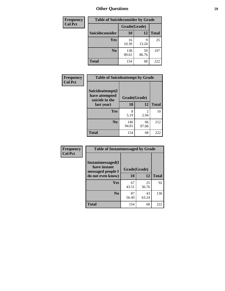| <b>Frequency</b> | <b>Table of Suicideconsider by Grade</b> |              |             |              |  |
|------------------|------------------------------------------|--------------|-------------|--------------|--|
| <b>Col Pct</b>   |                                          | Grade(Grade) |             |              |  |
|                  | Suicideconsider                          | <b>10</b>    | 12          | <b>Total</b> |  |
|                  | <b>Yes</b>                               | 16<br>10.39  | q<br>13.24  | 25           |  |
|                  | N <sub>0</sub>                           | 138<br>89.61 | 59<br>86.76 | 197          |  |
|                  | <b>Total</b>                             | 154          | 68          | 222          |  |

| Frequency      | <b>Table of Suicideattempt by Grade</b>              |              |                       |              |
|----------------|------------------------------------------------------|--------------|-----------------------|--------------|
| <b>Col Pct</b> | Suicideattempt(I<br>have attempted<br>suicide in the | Grade(Grade) |                       |              |
|                | last year)                                           | 10           | 12                    | <b>Total</b> |
|                | Yes                                                  | 8<br>5.19    | $\mathcal{D}$<br>2.94 | 10           |
|                | $\bf No$                                             | 146<br>94.81 | 66<br>97.06           | 212          |
|                | <b>Total</b>                                         | 154          | 68                    | 222          |

| Frequency      | <b>Table of Instantmessaged by Grade</b>                       |              |             |              |
|----------------|----------------------------------------------------------------|--------------|-------------|--------------|
| <b>Col Pct</b> | <b>Instantmessaged</b> (I<br>have instant<br>messaged people I | Grade(Grade) |             |              |
|                | do not even know)                                              | 10           | 12          | <b>Total</b> |
|                | Yes                                                            | 67<br>43.51  | 25<br>36.76 | 92           |
|                | N <sub>0</sub>                                                 | 87<br>56.49  | 43<br>63.24 | 130          |
|                | <b>Total</b>                                                   | 154          | 68          | 222          |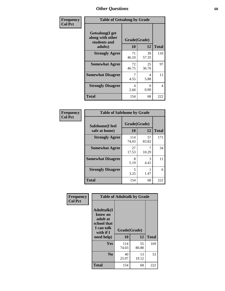| Frequency      | <b>Table of Getsalong by Grade</b>                          |              |             |              |
|----------------|-------------------------------------------------------------|--------------|-------------|--------------|
| <b>Col Pct</b> | <b>Getsalong</b> (I get<br>along with other<br>students and | Grade(Grade) |             |              |
|                | adults)                                                     | 10           | 12          | <b>Total</b> |
|                | <b>Strongly Agree</b>                                       | 71<br>46.10  | 39<br>57.35 | 110          |
|                | <b>Somewhat Agree</b>                                       | 72<br>46.75  | 25<br>36.76 | 97           |
|                | <b>Somewhat Disagree</b>                                    | 4.55         | 4<br>5.88   | 11           |
|                | <b>Strongly Disagree</b>                                    | 4<br>2.60    | 0<br>0.00   | 4            |
|                | <b>Total</b>                                                | 154          | 68          | 222          |

| Frequency      |                                  | <b>Table of Safehome by Grade</b> |             |              |  |  |  |  |
|----------------|----------------------------------|-----------------------------------|-------------|--------------|--|--|--|--|
| <b>Col Pct</b> | Safehome(I feel<br>safe at home) | Grade(Grade)<br>10                | 12          | <b>Total</b> |  |  |  |  |
|                | <b>Strongly Agree</b>            | 114<br>74.03                      | 57<br>83.82 | 171          |  |  |  |  |
|                | <b>Somewhat Agree</b>            | 27<br>17.53                       | 10.29       | 34           |  |  |  |  |
|                | <b>Somewhat Disagree</b>         | 8<br>5.19                         | 3<br>4.41   | 11           |  |  |  |  |
|                | <b>Strongly Disagree</b>         | 5<br>3.25                         | 1.47        | 6            |  |  |  |  |
|                | <b>Total</b>                     | 154                               | 68          | 222          |  |  |  |  |

| Frequency      |                                                                                      | <b>Table of Adulttalk by Grade</b> |              |     |
|----------------|--------------------------------------------------------------------------------------|------------------------------------|--------------|-----|
| <b>Col Pct</b> | <b>Adulttalk</b> (I<br>know an<br>adult at<br>school that<br>I can talk<br>with if I | Grade(Grade)<br>10                 | <b>Total</b> |     |
|                | need help)                                                                           |                                    | 12           |     |
|                | Yes                                                                                  | 114<br>74.03                       | 55<br>80.88  | 169 |
|                | N <sub>0</sub>                                                                       | 40<br>25.97                        | 13<br>19.12  | 53  |
|                | <b>Total</b>                                                                         | 154                                | 68           | 222 |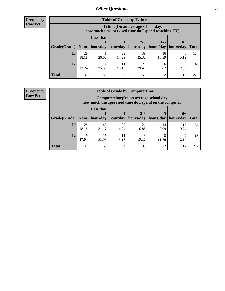**Frequency Row Pct**

| <b>Table of Grade by Tvtime</b> |             |                                                                                        |             |                                   |             |           |              |  |  |  |
|---------------------------------|-------------|----------------------------------------------------------------------------------------|-------------|-----------------------------------|-------------|-----------|--------------|--|--|--|
|                                 |             | Tvtime(On an average school day,<br>how much unsupervised time do I spend watching TV) |             |                                   |             |           |              |  |  |  |
|                                 |             | <b>Less that</b><br>$2 - 3$<br>$4 - 5$<br>$6+$                                         |             |                                   |             |           |              |  |  |  |
| Grade(Grade)   None             |             | hour/day                                                                               | hour/day    | hours/day   hours/day   hours/day |             |           | <b>Total</b> |  |  |  |
| 10                              | 28<br>18.18 | 41<br>26.62                                                                            | 22<br>14.29 | 39<br>25.32                       | 16<br>10.39 | 8<br>5.19 | 154          |  |  |  |
| 12                              | Q<br>13.24  | 17<br>25.00                                                                            | 11<br>16.18 | 20<br>29.41                       | h<br>8.82   | 7.35      | 68           |  |  |  |
| <b>Total</b>                    | 37          | 58                                                                                     | 33          | 59                                | 22          | 13        | 222          |  |  |  |

**Frequency Row Pct**

| <b>Table of Grade by Computertime</b> |             |                                                                                                   |             |                      |                      |                   |              |  |  |
|---------------------------------------|-------------|---------------------------------------------------------------------------------------------------|-------------|----------------------|----------------------|-------------------|--------------|--|--|
|                                       |             | Computertime (On an average school day,<br>how much unsupervised time do I spend on the computer) |             |                      |                      |                   |              |  |  |
| Grade(Grade)                          | None        | <b>Less that</b><br>hour/day                                                                      | hour/day    | $2 - 3$<br>hours/day | $4 - 5$<br>hours/day | $6+$<br>hours/day | <b>Total</b> |  |  |
| 10                                    | 28<br>18.18 | 48<br>31.17                                                                                       | 23<br>14.94 | 26<br>16.88          | 14<br>9.09           | 15<br>9.74        | 154          |  |  |
| 12                                    | 19<br>27.94 | 15<br>13<br>11<br>8<br>2.94<br>19.12<br>22.06<br>16.18<br>11.76                                   |             |                      |                      |                   |              |  |  |
| <b>Total</b>                          | 47          | 63                                                                                                | 34          | 39                   | 22                   | 17                | 222          |  |  |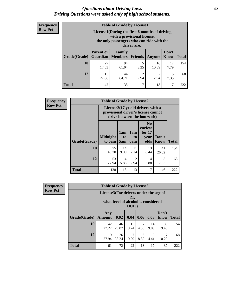#### *Questions about Driving Laws* **62** *Driving Questions were asked only of high school students.*

| <b>Frequency</b> |
|------------------|
| <b>Row Pct</b>   |

| <b>Table of Grade by License1</b> |                                                                           |                                                                                                                                           |           |             |                      |              |  |  |  |
|-----------------------------------|---------------------------------------------------------------------------|-------------------------------------------------------------------------------------------------------------------------------------------|-----------|-------------|----------------------|--------------|--|--|--|
|                                   |                                                                           | License1(During the first 6 months of driving<br>with a provisional license,<br>the only passengers who can ride with the<br>driver are:) |           |             |                      |              |  |  |  |
| Grade(Grade)                      | <b>Parent or</b><br><b>Guardian</b>                                       | Family<br><b>Members</b>                                                                                                                  | Friends   | Anyone      | Don't<br><b>Know</b> | <b>Total</b> |  |  |  |
| 10                                | 27<br>17.53                                                               | 94<br>61.04                                                                                                                               | 5<br>3.25 | 16<br>10.39 | 12<br>7.79           | 154          |  |  |  |
| 12                                | 15<br>44<br>$\mathfrak{D}$<br>5<br>2.94<br>2.94<br>7.35<br>22.06<br>64.71 |                                                                                                                                           |           |             |                      |              |  |  |  |
| Total                             | 42                                                                        | 138                                                                                                                                       | 7         | 18          | 17                   | 222          |  |  |  |

| <b>Frequency</b> |              | <b>Table of Grade by License2</b> |                                                                                                          |                                     |                                                      |                      |              |  |  |
|------------------|--------------|-----------------------------------|----------------------------------------------------------------------------------------------------------|-------------------------------------|------------------------------------------------------|----------------------|--------------|--|--|
| <b>Row Pct</b>   |              |                                   | License2(17 yr old drivers with a<br>provisional driver's license cannot<br>drive between the hours of:) |                                     |                                                      |                      |              |  |  |
|                  | Grade(Grade) | <b>Midnight</b><br>to 6am         | 1am<br>t <sub>0</sub><br>5am                                                                             | 1am<br>t <sub>0</sub><br>6am        | N <sub>0</sub><br>curfew<br>for $17$<br>vear<br>olds | Don't<br><b>Know</b> | <b>Total</b> |  |  |
|                  | 10           | 75<br>48.70                       | 14<br>9.09                                                                                               | 11<br>7.14                          | 13<br>8.44                                           | 41<br>26.62          | 154          |  |  |
|                  | 12           | 53<br>77.94                       | 4<br>5.88                                                                                                | $\mathcal{D}_{\mathcal{A}}$<br>2.94 | 4<br>5.88                                            | 5<br>7.35            | 68           |  |  |
|                  | <b>Total</b> | 128                               | 18                                                                                                       | 13                                  | 17                                                   | 46                   | 222          |  |  |

| <b>Frequency</b> | <b>Table of Grade by License3</b> |                                       |             |                                                        |           |            |               |              |
|------------------|-----------------------------------|---------------------------------------|-------------|--------------------------------------------------------|-----------|------------|---------------|--------------|
| <b>Row Pct</b>   |                                   | License3(For drivers under the age of |             | 21,<br>what level of alcohol is considered<br>$DUI$ ?) |           |            |               |              |
|                  | Grade(Grade)                      | Any<br><b>Amount</b>                  | 0.02        | 0.04                                                   | 0.06      | 0.08       | Don't<br>know | <b>Total</b> |
|                  | <b>10</b>                         | 42<br>27.27                           | 46<br>29.87 | 15<br>9.74                                             | 7<br>4.55 | 14<br>9.09 | 30<br>19.48   | 154          |
|                  | 12                                | 19<br>27.94                           | 26<br>38.24 | 7<br>10.29                                             | 6<br>8.82 | 3<br>4.41  | 7<br>10.29    | 68           |
|                  | <b>Total</b>                      | 61                                    | 72          | 22                                                     | 13        | 17         | 37            | 222          |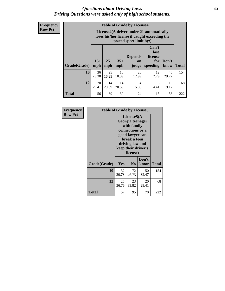#### *Questions about Driving Laws* **63** *Driving Questions were asked only of high school students.*

**Frequency Row Pct**

| <b>Table of Grade by License4</b> |             |                                                                                                                                                                                                                                                                                |             |             |            |             |     |  |  |
|-----------------------------------|-------------|--------------------------------------------------------------------------------------------------------------------------------------------------------------------------------------------------------------------------------------------------------------------------------|-------------|-------------|------------|-------------|-----|--|--|
|                                   |             | License4(A driver under 21 automatically<br>loses his/her license if caught exceeding the<br>posted speet limit by:)<br>Can't<br>lose<br>license<br><b>Depends</b><br>$15+$<br>$25+$<br>$35+$<br>Don't<br>for<br>on<br><b>Total</b><br>mph<br>speeding<br>know<br>mph<br>judge |             |             |            |             |     |  |  |
| Grade(Grade)                      | mph         |                                                                                                                                                                                                                                                                                |             |             |            |             |     |  |  |
| 10                                | 36<br>23.38 | 25<br>16.23                                                                                                                                                                                                                                                                    | 16<br>10.39 | 20<br>12.99 | 12<br>7.79 | 45<br>29.22 | 154 |  |  |
| 12                                | 20<br>29.41 | 3<br>14<br>14<br>13<br>$\overline{4}$<br>20.59<br>4.41<br>20.59<br>5.88<br>19.12                                                                                                                                                                                               |             |             |            |             |     |  |  |
| <b>Total</b>                      | 56          | 39                                                                                                                                                                                                                                                                             | 30          | 24          | 15         | 58          | 222 |  |  |

| Frequency      |              | <b>Table of Grade by License5</b> |                                                                                                                                      |                     |       |  |  |
|----------------|--------------|-----------------------------------|--------------------------------------------------------------------------------------------------------------------------------------|---------------------|-------|--|--|
| <b>Row Pct</b> |              |                                   | License5(A)<br>Georgia teenager<br>with family<br>connections or a<br>good lawyer can<br>break a teen<br>driving law and<br>license) | keep their driver's |       |  |  |
|                | Grade(Grade) | <b>Yes</b>                        | N <sub>0</sub>                                                                                                                       | Don't<br>know       | Total |  |  |
|                | 10           | 32<br>20.78                       | 72<br>46.75                                                                                                                          | 50<br>32.47         | 154   |  |  |
|                | 12           | 25<br>36.76                       | 23<br>33.82                                                                                                                          | 20<br>29.41         | 68    |  |  |
|                | Total        | 57                                | 95                                                                                                                                   | 70                  | 222   |  |  |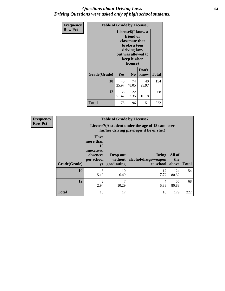#### *Questions about Driving Laws* **64** *Driving Questions were asked only of high school students.*

| <b>Frequency</b> | <b>Table of Grade by License6</b> |             |                                                                                                                           |                    |              |  |  |
|------------------|-----------------------------------|-------------|---------------------------------------------------------------------------------------------------------------------------|--------------------|--------------|--|--|
| <b>Row Pct</b>   |                                   |             | License <sub>6</sub> (I know a<br>friend or<br>classmate that<br>broke a teen<br>driving law,<br>keep his/her<br>license) | but was allowed to |              |  |  |
|                  | Grade(Grade)                      | <b>Yes</b>  | N <sub>0</sub>                                                                                                            | Don't<br>know      | <b>Total</b> |  |  |
|                  | 10                                | 40<br>25.97 | 74<br>48.05                                                                                                               | 40<br>25.97        | 154          |  |  |
|                  | 12                                | 35<br>51.47 | 22<br>32.35                                                                                                               | 11<br>16.18        | 68           |  |  |
|                  | <b>Total</b>                      | 75          | 96                                                                                                                        | 51                 | 222          |  |  |

| <b>Frequency</b> | <b>Table of Grade by License7</b> |                                                                             |                                   |                                                                                               |                        |              |  |  |  |
|------------------|-----------------------------------|-----------------------------------------------------------------------------|-----------------------------------|-----------------------------------------------------------------------------------------------|------------------------|--------------|--|--|--|
| <b>Row Pct</b>   |                                   |                                                                             |                                   | License7(A student under the age of 18 cam loser<br>his/her driving privileges if he or she:) |                        |              |  |  |  |
|                  | Grade(Grade)                      | <b>Have</b><br>more than<br>10<br>unexcused<br>absences<br>per school<br>yr | Drop out<br>without<br>graduating | Bring<br>alcohol/drugs/weapon<br>to school                                                    | All of<br>the<br>above | <b>Total</b> |  |  |  |
|                  | 10                                | 8<br>5.19                                                                   | 10<br>6.49                        | 12<br>7.79                                                                                    | 124<br>80.52           | 154          |  |  |  |
|                  | 12                                | $\overline{2}$<br>2.94                                                      | $\mathcal{L}$<br>10.29            | 4<br>5.88                                                                                     | 55<br>80.88            | 68           |  |  |  |
|                  | <b>Total</b>                      | 10                                                                          | 17                                | 16                                                                                            | 179                    | 222          |  |  |  |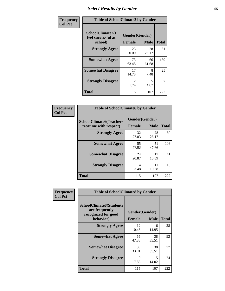# *Select Results by Gender* **65**

| Frequency      | <b>Table of SchoolClimate2 by Gender</b> |                        |             |              |
|----------------|------------------------------------------|------------------------|-------------|--------------|
| <b>Col Pct</b> | SchoolClimate2(I<br>feel successful at   | Gender(Gender)         |             |              |
|                | school)                                  | <b>Female</b>          | <b>Male</b> | <b>Total</b> |
|                | <b>Strongly Agree</b>                    | 23<br>20.00            | 28<br>26.17 | 51           |
|                | <b>Somewhat Agree</b>                    | 73<br>63.48            | 66<br>61.68 | 139          |
|                | <b>Somewhat Disagree</b>                 | 17<br>14.78            | 8<br>7.48   | 25           |
|                | <b>Strongly Disagree</b>                 | $\mathfrak{D}$<br>1.74 | 5<br>4.67   | 7            |
|                | <b>Total</b>                             | 115                    | 107         | 222          |

| Frequency      | <b>Table of SchoolClimate6 by Gender</b>                 |                                 |             |              |  |
|----------------|----------------------------------------------------------|---------------------------------|-------------|--------------|--|
| <b>Col Pct</b> | <b>SchoolClimate6(Teachers</b><br>treat me with respect) | Gender(Gender)<br><b>Female</b> | <b>Male</b> | <b>Total</b> |  |
|                | <b>Strongly Agree</b>                                    | 32<br>27.83                     | 28<br>26.17 | 60           |  |
|                | <b>Somewhat Agree</b>                                    | 55<br>47.83                     | 51<br>47.66 | 106          |  |
|                | <b>Somewhat Disagree</b>                                 | 24<br>20.87                     | 17<br>15.89 | 41           |  |
|                | <b>Strongly Disagree</b>                                 | 4<br>3.48                       | 11<br>10.28 | 15           |  |
|                | Total                                                    | 115                             | 107         | 222          |  |

| <b>Frequency</b> | <b>Table of SchoolClimate8 by Gender</b>                                             |               |                               |              |
|------------------|--------------------------------------------------------------------------------------|---------------|-------------------------------|--------------|
| <b>Col Pct</b>   | <b>SchoolClimate8(Students</b><br>are frequently<br>recognized for good<br>behavior) | <b>Female</b> | Gender(Gender)<br><b>Male</b> | <b>Total</b> |
|                  | <b>Strongly Agree</b>                                                                | 12<br>10.43   | 16<br>14.95                   | 28           |
|                  | <b>Somewhat Agree</b>                                                                | 55<br>47.83   | 38<br>35.51                   | 93           |
|                  | <b>Somewhat Disagree</b>                                                             | 39<br>33.91   | 38<br>35.51                   | 77           |
|                  | <b>Strongly Disagree</b>                                                             | 9<br>7.83     | 15<br>14.02                   | 24           |
|                  | Total                                                                                | 115           | 107                           | 222          |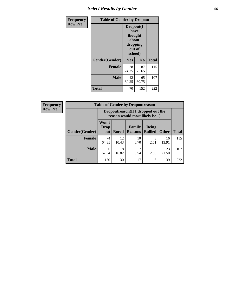# *Select Results by Gender* **66**

| Frequency      | <b>Table of Gender by Dropout</b> |                                                                        |                |              |
|----------------|-----------------------------------|------------------------------------------------------------------------|----------------|--------------|
| <b>Row Pct</b> |                                   | Dropout(I<br>have<br>thought<br>about<br>dropping<br>out of<br>school) |                |              |
|                | Gender(Gender)                    | Yes                                                                    | N <sub>0</sub> | <b>Total</b> |
|                | <b>Female</b>                     | 28<br>24.35                                                            | 87<br>75.65    | 115          |
|                | <b>Male</b>                       | 42<br>39.25                                                            | 65<br>60.75    | 107          |
|                | <b>Total</b>                      | 70                                                                     | 152            | 222          |

| <b>Frequency</b> |                | <b>Table of Gender by Dropoutreason</b>                             |              |                          |                                |              |              |
|------------------|----------------|---------------------------------------------------------------------|--------------|--------------------------|--------------------------------|--------------|--------------|
| <b>Row Pct</b>   |                | Dropoutreason (If I dropped out the<br>reason would most likely be) |              |                          |                                |              |              |
|                  | Gender(Gender) | Won't<br>Drop<br>out                                                | <b>Bored</b> | Family<br><b>Reasons</b> | <b>Being</b><br><b>Bullied</b> | <b>Other</b> | <b>Total</b> |
|                  | <b>Female</b>  | 74<br>64.35                                                         | 12<br>10.43  | 10<br>8.70               | 3<br>2.61                      | 16<br>13.91  | 115          |
|                  | <b>Male</b>    | 56<br>52.34                                                         | 18<br>16.82  | 6.54                     | 3<br>2.80                      | 23<br>21.50  | 107          |
|                  | Total          | 130                                                                 | 30           | 17                       | 6                              | 39           | 222          |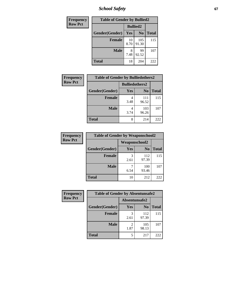*School Safety* **67**

| Frequency      | <b>Table of Gender by Bullied2</b> |                 |                |              |  |
|----------------|------------------------------------|-----------------|----------------|--------------|--|
| <b>Row Pct</b> |                                    | <b>Bullied2</b> |                |              |  |
|                | Gender(Gender)                     | Yes             | N <sub>0</sub> | <b>Total</b> |  |
|                | <b>Female</b>                      | 10<br>8.70      | 105<br>91.30   | 115          |  |
|                | <b>Male</b>                        | 7.48            | 99<br>92.52    | 107          |  |
|                | <b>Total</b>                       | 18              | 204            | 222          |  |

| Frequency      | <b>Table of Gender by Bulliedothers2</b> |                       |                |              |
|----------------|------------------------------------------|-----------------------|----------------|--------------|
| <b>Row Pct</b> |                                          | <b>Bulliedothers2</b> |                |              |
|                | Gender(Gender)                           | Yes                   | N <sub>0</sub> | <b>Total</b> |
|                | <b>Female</b>                            | 3.48                  | 111<br>96.52   | 115          |
|                | <b>Male</b>                              | 3.74                  | 103<br>96.26   | 107          |
|                | <b>Total</b>                             | 8                     | 214            | 222          |

| Frequency      | <b>Table of Gender by Weaponschool2</b> |                      |                |              |
|----------------|-----------------------------------------|----------------------|----------------|--------------|
| <b>Row Pct</b> |                                         | <b>Weaponschool2</b> |                |              |
|                | Gender(Gender)                          | Yes                  | N <sub>0</sub> | <b>Total</b> |
|                | <b>Female</b>                           | 3<br>2.61            | 112<br>97.39   | 115          |
|                | <b>Male</b>                             | 6.54                 | 100<br>93.46   | 107          |
|                | <b>Total</b>                            | 10                   | 212            | 222          |

| Frequency      | <b>Table of Gender by Absentunsafe2</b> |               |                |              |
|----------------|-----------------------------------------|---------------|----------------|--------------|
| <b>Row Pct</b> |                                         | Absentunsafe2 |                |              |
|                | Gender(Gender)                          | <b>Yes</b>    | N <sub>0</sub> | <b>Total</b> |
|                | <b>Female</b>                           | 2.61          | 112<br>97.39   | 115          |
|                | <b>Male</b>                             | 1.87          | 105<br>98.13   | 107          |
|                | <b>Total</b>                            | 5             | 217            | 222          |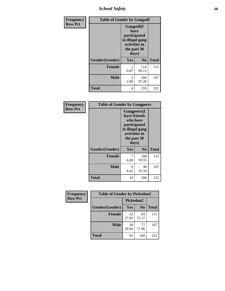*School Safety* **68**

| Frequency      |                | <b>Table of Gender by Gangself</b>                                                             |                |              |
|----------------|----------------|------------------------------------------------------------------------------------------------|----------------|--------------|
| <b>Row Pct</b> |                | Gangself(I<br>have<br>participated<br>in illegal gang<br>activities in<br>the past 30<br>days) |                |              |
|                | Gender(Gender) | Yes                                                                                            | N <sub>0</sub> | <b>Total</b> |
|                | <b>Female</b>  | 0.87                                                                                           | 114<br>99.13   | 115          |
|                | <b>Male</b>    | 3<br>2.80                                                                                      | 104<br>97.20   | 107          |
|                | <b>Total</b>   | 4                                                                                              | 218            | 222          |

| Frequency      | <b>Table of Gender by Gangpeers</b> |                                                                                                                             |                |              |
|----------------|-------------------------------------|-----------------------------------------------------------------------------------------------------------------------------|----------------|--------------|
| <b>Row Pct</b> |                                     | <b>Gangpeers</b> (I<br>have friends<br>who have<br>participated<br>in illegal gang<br>activities in<br>the past 30<br>days) |                |              |
|                | Gender(Gender)                      | <b>Yes</b>                                                                                                                  | N <sub>0</sub> | <b>Total</b> |
|                | <b>Female</b>                       | 7<br>6.09                                                                                                                   | 108<br>93.91   | 115          |
|                | <b>Male</b>                         | 9<br>8.41                                                                                                                   | 98<br>91.59    | 107          |
|                | <b>Total</b>                        | 16                                                                                                                          | 206            | 222          |

| Frequency      | <b>Table of Gender by Pickedon2</b> |             |                |              |
|----------------|-------------------------------------|-------------|----------------|--------------|
| <b>Row Pct</b> |                                     | Pickedon2   |                |              |
|                | Gender(Gender)                      | <b>Yes</b>  | N <sub>0</sub> | <b>Total</b> |
|                | <b>Female</b>                       | 32<br>27.83 | 83<br>72.17    | 115          |
|                | <b>Male</b>                         | 30<br>28.04 | 77<br>71.96    | 107          |
|                | <b>Total</b>                        | 62          | 160            | 222          |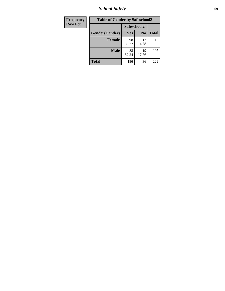*School Safety* **69**

| Frequency      | <b>Table of Gender by Safeschool2</b> |             |                |              |  |
|----------------|---------------------------------------|-------------|----------------|--------------|--|
| <b>Row Pct</b> |                                       | Safeschool2 |                |              |  |
|                | Gender(Gender)                        | <b>Yes</b>  | N <sub>0</sub> | <b>Total</b> |  |
|                | <b>Female</b>                         | 98<br>85.22 | 17<br>14.78    | 115          |  |
|                | <b>Male</b>                           | 88<br>82.24 | 19<br>17.76    | 107          |  |
|                | <b>Total</b>                          | 186         | 36             | 222          |  |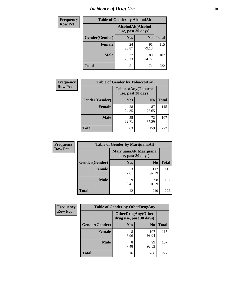# *Incidence of Drug Use* **70**

| <b>Frequency</b> | <b>Table of Gender by AlcoholAlt</b> |                                          |                |              |  |
|------------------|--------------------------------------|------------------------------------------|----------------|--------------|--|
| <b>Row Pct</b>   |                                      | AlcoholAlt(Alcohol<br>use, past 30 days) |                |              |  |
|                  | Gender(Gender)                       | <b>Yes</b>                               | N <sub>0</sub> | <b>Total</b> |  |
|                  | <b>Female</b>                        | 24<br>20.87                              | 91<br>79.13    | 115          |  |
|                  | <b>Male</b>                          | 27<br>25.23                              | 80<br>74.77    | 107          |  |
|                  | <b>Total</b>                         | 51                                       | 171            | 222          |  |

| <b>Frequency</b> | <b>Table of Gender by TobaccoAny</b> |                    |                    |              |  |
|------------------|--------------------------------------|--------------------|--------------------|--------------|--|
| <b>Row Pct</b>   |                                      | use, past 30 days) | TobaccoAny(Tobacco |              |  |
|                  | Gender(Gender)                       | Yes                | N <sub>0</sub>     | <b>Total</b> |  |
|                  | <b>Female</b>                        | 28<br>24.35        | 87<br>75.65        | 115          |  |
|                  | <b>Male</b>                          | 35<br>32.71        | 72<br>67.29        | 107          |  |
|                  | <b>Total</b>                         | 63                 | 159                | 222          |  |

| <b>Frequency</b> | <b>Table of Gender by MarijuanaAlt</b> |            |                                              |       |
|------------------|----------------------------------------|------------|----------------------------------------------|-------|
| <b>Row Pct</b>   |                                        |            | MarijuanaAlt(Marijuana<br>use, past 30 days) |       |
|                  | Gender(Gender)                         | <b>Yes</b> | N <sub>0</sub>                               | Total |
|                  | <b>Female</b>                          | 3<br>2.61  | 112<br>97.39                                 | 115   |
|                  | <b>Male</b>                            | 9<br>8.41  | 98<br>91.59                                  | 107   |
|                  | <b>Total</b>                           | 12         | 210                                          | 222   |

| <b>Frequency</b> | <b>Table of Gender by OtherDrugAny</b> |                                                      |                |              |  |
|------------------|----------------------------------------|------------------------------------------------------|----------------|--------------|--|
| <b>Row Pct</b>   |                                        | <b>OtherDrugAny(Other</b><br>drug use, past 30 days) |                |              |  |
|                  | Gender(Gender)                         | <b>Yes</b>                                           | N <sub>0</sub> | <b>Total</b> |  |
|                  | <b>Female</b>                          | 8<br>6.96                                            | 107<br>93.04   | 115          |  |
|                  | <b>Male</b>                            | 8<br>7.48                                            | 99<br>92.52    | 107          |  |
|                  | <b>Total</b>                           | 16                                                   | 206            | 222          |  |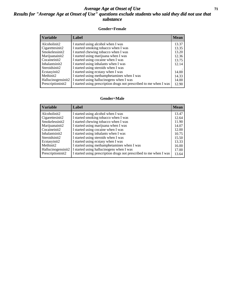#### *Average Age at Onset of Use* **71** *Results for "Average Age at Onset of Use" questions exclude students who said they did not use that substance*

#### **Gender=Female**

| <i><b>Variable</b></i> | <b>Label</b>                                                       | <b>Mean</b> |
|------------------------|--------------------------------------------------------------------|-------------|
| Alcoholinit2           | I started using alcohol when I was                                 | 13.37       |
| Cigarettesinit2        | I started smoking tobacco when I was                               | 13.35       |
| Smokelessinit2         | I started chewing tobacco when I was                               | 13.20       |
| Marijuanainit2         | I started using marijuana when I was                               | 12.36       |
| Cocaineinit2           | I started using cocaine when I was                                 | 13.75       |
| Inhalantsinit2         | I started using inhalants when I was                               | 12.14       |
| Steroidsinit2          | I started using steroids when I was                                |             |
| Ecstasyinit2           | I started using ecstasy when I was                                 | 14.00       |
| Methinit2              | I started using methamphetamines when I was                        | 14.33       |
| Hallucinogensinit2     | I started using hallucinogens when I was                           | 14.00       |
| Prescription in t2     | I started using prescription drugs not prescribed to me when I was | 12.90       |

#### **Gender=Male**

| <b>Variable</b>    | Label                                                              | <b>Mean</b> |
|--------------------|--------------------------------------------------------------------|-------------|
| Alcoholinit2       | I started using alcohol when I was                                 | 13.47       |
| Cigarettesinit2    | I started smoking tobacco when I was                               | 12.64       |
| Smokelessinit2     | I started chewing tobacco when I was                               | 11.90       |
| Marijuanainit2     | I started using marijuana when I was                               | 14.07       |
| Cocaineinit2       | I started using cocaine when I was                                 | 12.00       |
| Inhalantsinit2     | I started using inhalants when I was                               | 10.75       |
| Steroidsinit2      | I started using steroids when I was                                | 15.50       |
| Ecstasyinit2       | I started using ecstasy when I was                                 | 13.33       |
| Methinit2          | I started using methamphetamines when I was                        | 16.00       |
| Hallucinogensinit2 | I started using hallucinogens when I was                           | 17.00       |
| Prescriptioninit2  | I started using prescription drugs not prescribed to me when I was | 13.64       |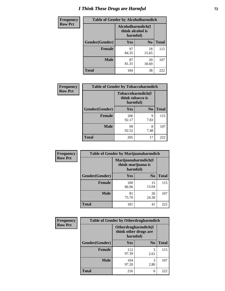# *I Think These Drugs are Harmful* **72**

| <b>Frequency</b> | <b>Table of Gender by Alcoholharmdich</b> |                                                   |                |              |  |
|------------------|-------------------------------------------|---------------------------------------------------|----------------|--------------|--|
| <b>Row Pct</b>   |                                           | Alcoholharmdich(I<br>think alcohol is<br>harmful) |                |              |  |
|                  | Gender(Gender)                            | Yes                                               | N <sub>0</sub> | <b>Total</b> |  |
|                  | <b>Female</b>                             | 97<br>84.35                                       | 18<br>15.65    | 115          |  |
|                  | <b>Male</b>                               | 87<br>81.31                                       | 20<br>18.69    | 107          |  |
|                  | <b>Total</b>                              | 184                                               | 38             | 222          |  |

| Frequency      | <b>Table of Gender by Tobaccoharmdich</b> |                                                   |                |              |  |
|----------------|-------------------------------------------|---------------------------------------------------|----------------|--------------|--|
| <b>Row Pct</b> |                                           | Tobaccoharmdich(I<br>think tobacco is<br>harmful) |                |              |  |
|                | Gender(Gender)                            | <b>Yes</b>                                        | N <sub>0</sub> | <b>Total</b> |  |
|                | <b>Female</b>                             | 106<br>92.17                                      | 9<br>7.83      | 115          |  |
|                | <b>Male</b>                               | 99<br>92.52                                       | 8<br>7.48      | 107          |  |
|                | <b>Total</b>                              | 205                                               | 17             | 222          |  |

| Frequency      | <b>Table of Gender by Marijuanaharmdich</b> |                                                       |                |              |  |
|----------------|---------------------------------------------|-------------------------------------------------------|----------------|--------------|--|
| <b>Row Pct</b> |                                             | Marijuanaharmdich(I<br>think marijuana is<br>harmful) |                |              |  |
|                | Gender(Gender)                              | <b>Yes</b>                                            | N <sub>0</sub> | <b>Total</b> |  |
|                | <b>Female</b>                               | 100<br>86.96                                          | 15<br>13.04    | 115          |  |
|                | <b>Male</b>                                 | 81<br>75.70                                           | 26<br>24.30    | 107          |  |
|                | <b>Total</b>                                | 181                                                   | 41             | 222          |  |

| Frequency      | <b>Table of Gender by Otherdrugharmdich</b> |                                                          |                |              |  |
|----------------|---------------------------------------------|----------------------------------------------------------|----------------|--------------|--|
| <b>Row Pct</b> |                                             | Otherdrugharmdich(I<br>think other drugs are<br>harmful) |                |              |  |
|                | Gender(Gender)                              | <b>Yes</b>                                               | N <sub>0</sub> | <b>Total</b> |  |
|                | <b>Female</b>                               | 112<br>97.39                                             | 3<br>2.61      | 115          |  |
|                | <b>Male</b>                                 | 104<br>97.20                                             | 3<br>2.80      | 107          |  |
|                | <b>Total</b>                                | 216                                                      | 6              | 222          |  |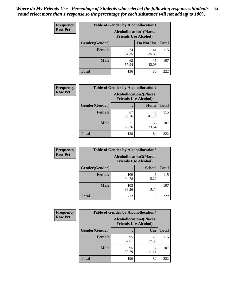| <b>Frequency</b> | <b>Table of Gender by Alcohollocation1</b> |                                                               |             |              |
|------------------|--------------------------------------------|---------------------------------------------------------------|-------------|--------------|
| <b>Row Pct</b>   |                                            | <b>Alcohollocation1(Places</b><br><b>Friends Use Alcohol)</b> |             |              |
|                  | Gender(Gender)                             |                                                               | Do Not Use  | <b>Total</b> |
|                  | <b>Female</b>                              | 74<br>64.35                                                   | 41<br>35.65 | 115          |
|                  | <b>Male</b>                                | 62<br>57.94                                                   | 45<br>42.06 | 107          |
|                  | <b>Total</b>                               | 136                                                           | 86          | 222          |

| <b>Frequency</b> | <b>Table of Gender by Alcohollocation2</b> |                                |                             |              |
|------------------|--------------------------------------------|--------------------------------|-----------------------------|--------------|
| <b>Row Pct</b>   |                                            | <b>Alcohollocation2(Places</b> | <b>Friends Use Alcohol)</b> |              |
|                  | Gender(Gender)                             |                                | Home                        | <b>Total</b> |
|                  | <b>Female</b>                              | 67<br>58.26                    | 48<br>41.74                 | 115          |
|                  | <b>Male</b>                                | 71<br>66.36                    | 36<br>33.64                 | 107          |
|                  | <b>Total</b>                               | 138                            | 84                          | 222          |

| Frequency      | <b>Table of Gender by Alcohollocation3</b> |              |                                                               |              |
|----------------|--------------------------------------------|--------------|---------------------------------------------------------------|--------------|
| <b>Row Pct</b> |                                            |              | <b>Alcohollocation3(Places</b><br><b>Friends Use Alcohol)</b> |              |
|                | Gender(Gender)                             |              | <b>School</b>                                                 | <b>Total</b> |
|                | <b>Female</b>                              | 109<br>94.78 | 6<br>5.22                                                     | 115          |
|                | <b>Male</b>                                | 103<br>96.26 | 4<br>3.74                                                     | 107          |
|                | <b>Total</b>                               | 212          | 10                                                            | 222          |

| <b>Frequency</b> | <b>Table of Gender by Alcohollocation4</b> |                                                               |             |              |  |
|------------------|--------------------------------------------|---------------------------------------------------------------|-------------|--------------|--|
| <b>Row Pct</b>   |                                            | <b>Alcohollocation4(Places</b><br><b>Friends Use Alcohol)</b> |             |              |  |
|                  | Gender(Gender)                             |                                                               | Car         | <b>Total</b> |  |
|                  | <b>Female</b>                              | 95<br>82.61                                                   | 20<br>17.39 | 115          |  |
|                  | <b>Male</b>                                | 95<br>88.79                                                   | 12<br>11.21 | 107          |  |
|                  | <b>Total</b>                               | 190                                                           | 32          | 222          |  |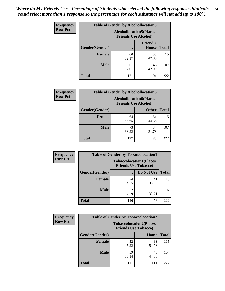| <b>Frequency</b> | <b>Table of Gender by Alcohollocation5</b> |                                                                |                                 |              |
|------------------|--------------------------------------------|----------------------------------------------------------------|---------------------------------|--------------|
| <b>Row Pct</b>   |                                            | <b>Alcohollocation5</b> (Places<br><b>Friends Use Alcohol)</b> |                                 |              |
|                  | Gender(Gender)                             |                                                                | <b>Friend's</b><br><b>House</b> | <b>Total</b> |
|                  | <b>Female</b>                              | 60<br>52.17                                                    | 55<br>47.83                     | 115          |
|                  | <b>Male</b>                                | 61<br>57.01                                                    | 46<br>42.99                     | 107          |
|                  | <b>Total</b>                               | 121                                                            | 101                             | 222          |

| Frequency      | <b>Table of Gender by Alcohollocation6</b> |                                                               |              |              |
|----------------|--------------------------------------------|---------------------------------------------------------------|--------------|--------------|
| <b>Row Pct</b> |                                            | <b>Alcohollocation6(Places</b><br><b>Friends Use Alcohol)</b> |              |              |
|                | <b>Gender</b> (Gender)                     |                                                               | <b>Other</b> | <b>Total</b> |
|                | <b>Female</b>                              | 64<br>55.65                                                   | 51<br>44.35  | 115          |
|                | <b>Male</b>                                | 73<br>68.22                                                   | 34<br>31.78  | 107          |
|                | <b>Total</b>                               | 137                                                           | 85           | 222          |

| Frequency      | <b>Table of Gender by Tobaccolocation1</b> |                                                               |             |              |  |
|----------------|--------------------------------------------|---------------------------------------------------------------|-------------|--------------|--|
| <b>Row Pct</b> |                                            | <b>Tobaccolocation1(Places</b><br><b>Friends Use Tobacco)</b> |             |              |  |
|                | Gender(Gender)                             |                                                               | Do Not Use  | <b>Total</b> |  |
|                | Female                                     | 74<br>64.35                                                   | 41<br>35.65 | 115          |  |
|                | <b>Male</b>                                | 72<br>67.29                                                   | 35<br>32.71 | 107          |  |
|                | <b>Total</b>                               | 146                                                           | 76          | 222          |  |

| <b>Frequency</b> | <b>Table of Gender by Tobaccolocation2</b> |                             |                                |              |  |
|------------------|--------------------------------------------|-----------------------------|--------------------------------|--------------|--|
| <b>Row Pct</b>   |                                            | <b>Friends Use Tobacco)</b> | <b>Tobaccolocation2(Places</b> |              |  |
|                  | Gender(Gender)                             |                             | Home                           | <b>Total</b> |  |
|                  | Female                                     | 52<br>45.22                 | 63<br>54.78                    | 115          |  |
|                  | <b>Male</b>                                | 59<br>55.14                 | 48<br>44.86                    | 107          |  |
|                  | <b>Total</b>                               | 111                         | 111                            | 222          |  |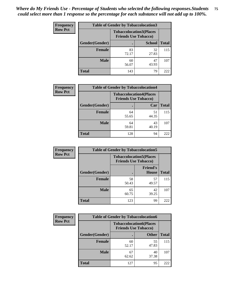| <b>Frequency</b> | <b>Table of Gender by Tobaccolocation3</b> |                                                               |               |              |
|------------------|--------------------------------------------|---------------------------------------------------------------|---------------|--------------|
| <b>Row Pct</b>   |                                            | <b>Tobaccolocation3(Places</b><br><b>Friends Use Tobacco)</b> |               |              |
|                  | Gender(Gender)                             |                                                               | <b>School</b> | <b>Total</b> |
|                  | <b>Female</b>                              | 83<br>72.17                                                   | 32<br>27.83   | 115          |
|                  | <b>Male</b>                                | 60<br>56.07                                                   | 47<br>43.93   | 107          |
|                  | <b>Total</b>                               | 143                                                           | 79            | 222          |

| <b>Frequency</b> | <b>Table of Gender by Tobaccolocation4</b> |                             |                                |              |
|------------------|--------------------------------------------|-----------------------------|--------------------------------|--------------|
| <b>Row Pct</b>   |                                            | <b>Friends Use Tobacco)</b> | <b>Tobaccolocation4(Places</b> |              |
|                  | Gender(Gender)                             |                             | Car                            | <b>Total</b> |
|                  | <b>Female</b>                              | 64<br>55.65                 | 51<br>44.35                    | 115          |
|                  | <b>Male</b>                                | 64<br>59.81                 | 43<br>40.19                    | 107          |
|                  | <b>Total</b>                               | 128                         | 94                             | 222          |

| <b>Frequency</b> | <b>Table of Gender by Tobaccolocation5</b> |                                                               |                          |              |
|------------------|--------------------------------------------|---------------------------------------------------------------|--------------------------|--------------|
| <b>Row Pct</b>   |                                            | <b>Tobaccolocation5(Places</b><br><b>Friends Use Tobacco)</b> |                          |              |
|                  | <b>Gender(Gender)</b>                      |                                                               | <b>Friend's</b><br>House | <b>Total</b> |
|                  | <b>Female</b>                              | 58<br>50.43                                                   | 57<br>49.57              | 115          |
|                  | <b>Male</b>                                | 65<br>60.75                                                   | 42<br>39.25              | 107          |
|                  | <b>Total</b>                               | 123                                                           | 99                       | 222          |

| <b>Frequency</b> | <b>Table of Gender by Tobaccolocation6</b> |                             |                                |              |
|------------------|--------------------------------------------|-----------------------------|--------------------------------|--------------|
| <b>Row Pct</b>   |                                            | <b>Friends Use Tobacco)</b> | <b>Tobaccolocation6(Places</b> |              |
|                  | Gender(Gender)                             |                             | <b>Other</b>                   | <b>Total</b> |
|                  | Female                                     | 60<br>52.17                 | 55<br>47.83                    | 115          |
|                  | <b>Male</b>                                | 67<br>62.62                 | 40<br>37.38                    | 107          |
|                  | <b>Total</b>                               | 127                         | 95                             | 222          |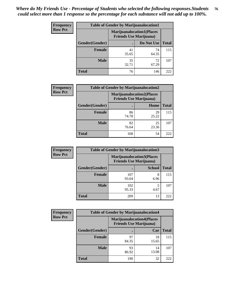| <b>Frequency</b> | <b>Table of Gender by Marijuanalocation1</b> |                                                                    |             |              |  |
|------------------|----------------------------------------------|--------------------------------------------------------------------|-------------|--------------|--|
| <b>Row Pct</b>   |                                              | <b>Marijuanalocation1(Places</b><br><b>Friends Use Marijuana</b> ) |             |              |  |
|                  | Gender(Gender)                               |                                                                    | Do Not Use  | <b>Total</b> |  |
|                  | <b>Female</b>                                | 41<br>35.65                                                        | 74<br>64.35 | 115          |  |
|                  | <b>Male</b>                                  | 35<br>32.71                                                        | 72<br>67.29 | 107          |  |
|                  | <b>Total</b>                                 | 76                                                                 | 146         | 222          |  |

| <b>Frequency</b> | <b>Table of Gender by Marijuanalocation2</b> |                                                                    |             |              |
|------------------|----------------------------------------------|--------------------------------------------------------------------|-------------|--------------|
| <b>Row Pct</b>   |                                              | <b>Marijuanalocation2(Places</b><br><b>Friends Use Marijuana</b> ) |             |              |
|                  | Gender(Gender)                               |                                                                    | Home        | <b>Total</b> |
|                  | Female                                       | 86<br>74.78                                                        | 29<br>25.22 | 115          |
|                  | <b>Male</b>                                  | 82<br>76.64                                                        | 25<br>23.36 | 107          |
|                  | <b>Total</b>                                 | 168                                                                | 54          | 222          |

| Frequency      | <b>Table of Gender by Marijuanalocation3</b> |                                                                    |               |              |
|----------------|----------------------------------------------|--------------------------------------------------------------------|---------------|--------------|
| <b>Row Pct</b> |                                              | <b>Marijuanalocation3(Places</b><br><b>Friends Use Marijuana</b> ) |               |              |
|                | Gender(Gender)                               |                                                                    | <b>School</b> | <b>Total</b> |
|                | Female                                       | 107<br>93.04                                                       | 8<br>6.96     | 115          |
|                | <b>Male</b>                                  | 102<br>95.33                                                       | 5<br>4.67     | 107          |
|                | <b>Total</b>                                 | 209                                                                | 13            | 222          |

| <b>Frequency</b> |                | <b>Table of Gender by Marijuanalocation4</b> |                                  |              |
|------------------|----------------|----------------------------------------------|----------------------------------|--------------|
| <b>Row Pct</b>   |                | <b>Friends Use Marijuana</b> )               | <b>Marijuanalocation4(Places</b> |              |
|                  | Gender(Gender) |                                              | Car                              | <b>Total</b> |
|                  | <b>Female</b>  | 97<br>84.35                                  | 18<br>15.65                      | 115          |
|                  | <b>Male</b>    | 93<br>86.92                                  | 14<br>13.08                      | 107          |
|                  | <b>Total</b>   | 190                                          | 32                               | 222          |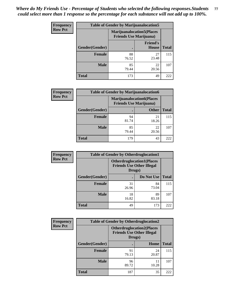| Frequency      | <b>Table of Gender by Marijuanalocation5</b> |                                                                    |                                 |              |
|----------------|----------------------------------------------|--------------------------------------------------------------------|---------------------------------|--------------|
| <b>Row Pct</b> |                                              | <b>Marijuanalocation5(Places</b><br><b>Friends Use Marijuana</b> ) |                                 |              |
|                | Gender(Gender)                               |                                                                    | <b>Friend's</b><br><b>House</b> | <b>Total</b> |
|                | Female                                       | 88<br>76.52                                                        | 27<br>23.48                     | 115          |
|                | <b>Male</b>                                  | 85<br>79.44                                                        | 22<br>20.56                     | 107          |
|                | <b>Total</b>                                 | 173                                                                | 49                              | 222          |

| <b>Frequency</b> | <b>Table of Gender by Marijuanalocation6</b> |                                |                                  |              |
|------------------|----------------------------------------------|--------------------------------|----------------------------------|--------------|
| <b>Row Pct</b>   |                                              | <b>Friends Use Marijuana</b> ) | <b>Marijuanalocation6(Places</b> |              |
|                  | Gender(Gender)                               |                                | <b>Other</b>                     | <b>Total</b> |
|                  | <b>Female</b>                                | 94<br>81.74                    | 21<br>18.26                      | 115          |
|                  | <b>Male</b>                                  | 85<br>79.44                    | 22<br>20.56                      | 107          |
|                  | <b>Total</b>                                 | 179                            | 43                               | 222          |

| <b>Frequency</b> | <b>Table of Gender by Otherdruglocation1</b> |                                            |                                  |              |
|------------------|----------------------------------------------|--------------------------------------------|----------------------------------|--------------|
| <b>Row Pct</b>   |                                              | <b>Friends Use Other Illegal</b><br>Drugs) | <b>Otherdruglocation1(Places</b> |              |
|                  | Gender(Gender)                               |                                            | Do Not Use                       | <b>Total</b> |
|                  | <b>Female</b>                                | 31<br>26.96                                | 84<br>73.04                      | 115          |
|                  | <b>Male</b>                                  | 18<br>16.82                                | 89<br>83.18                      | 107          |
|                  | <b>Total</b>                                 | 49                                         | 173                              | 222          |

| <b>Frequency</b> | <b>Table of Gender by Otherdruglocation2</b><br><b>Otherdruglocation2(Places</b><br><b>Friends Use Other Illegal</b><br>Drugs) |             |             |              |
|------------------|--------------------------------------------------------------------------------------------------------------------------------|-------------|-------------|--------------|
| <b>Row Pct</b>   |                                                                                                                                |             |             |              |
|                  | Gender(Gender)                                                                                                                 |             | Home        | <b>Total</b> |
|                  | Female                                                                                                                         | 91<br>79.13 | 24<br>20.87 | 115          |
|                  | <b>Male</b>                                                                                                                    | 96<br>89.72 | 11<br>10.28 | 107          |
|                  | <b>Total</b>                                                                                                                   | 187         | 35          | 222          |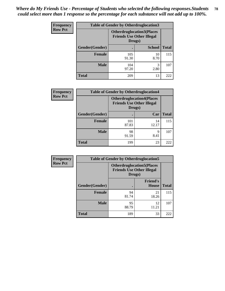| <b>Frequency</b> | <b>Table of Gender by Otherdruglocation3</b> |                                                                                |               |              |
|------------------|----------------------------------------------|--------------------------------------------------------------------------------|---------------|--------------|
| <b>Row Pct</b>   |                                              | <b>Otherdruglocation3(Places</b><br><b>Friends Use Other Illegal</b><br>Drugs) |               |              |
|                  | Gender(Gender)                               |                                                                                | <b>School</b> | <b>Total</b> |
|                  | <b>Female</b>                                | 105<br>91.30                                                                   | 10<br>8.70    | 115          |
|                  | <b>Male</b>                                  | 104<br>97.20                                                                   | 3<br>2.80     | 107          |
|                  | <b>Total</b>                                 | 209                                                                            | 13            | 222          |

| <b>Frequency</b> | <b>Table of Gender by Otherdruglocation4</b> |                                                                                |             |              |
|------------------|----------------------------------------------|--------------------------------------------------------------------------------|-------------|--------------|
| <b>Row Pct</b>   |                                              | <b>Otherdruglocation4(Places</b><br><b>Friends Use Other Illegal</b><br>Drugs) |             |              |
|                  | Gender(Gender)                               |                                                                                | Car         | <b>Total</b> |
|                  | <b>Female</b>                                | 101<br>87.83                                                                   | 14<br>12.17 | 115          |
|                  | <b>Male</b>                                  | 98<br>91.59                                                                    | 9<br>8.41   | 107          |
|                  | <b>Total</b>                                 | 199                                                                            | 23          | 222          |

| <b>Frequency</b> | <b>Table of Gender by Otherdruglocation5</b> |                                                                                |                                 |              |
|------------------|----------------------------------------------|--------------------------------------------------------------------------------|---------------------------------|--------------|
| <b>Row Pct</b>   |                                              | <b>Otherdruglocation5(Places</b><br><b>Friends Use Other Illegal</b><br>Drugs) |                                 |              |
|                  | Gender(Gender)                               |                                                                                | <b>Friend's</b><br><b>House</b> | <b>Total</b> |
|                  | <b>Female</b>                                | 94<br>81.74                                                                    | 21<br>18.26                     | 115          |
|                  | <b>Male</b>                                  | 95<br>88.79                                                                    | 12<br>11.21                     | 107          |
|                  | <b>Total</b>                                 | 189                                                                            | 33                              | 222          |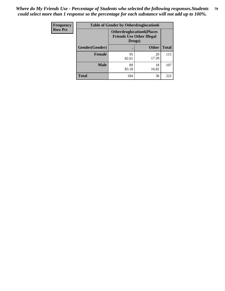| Frequency      | <b>Table of Gender by Otherdruglocation6</b> |                                            |                                  |              |
|----------------|----------------------------------------------|--------------------------------------------|----------------------------------|--------------|
| <b>Row Pct</b> |                                              | <b>Friends Use Other Illegal</b><br>Drugs) | <b>Otherdruglocation6(Places</b> |              |
|                | Gender(Gender)                               |                                            | <b>Other</b>                     | <b>Total</b> |
|                | Female                                       | 95<br>82.61                                | 20<br>17.39                      | 115          |
|                | <b>Male</b>                                  | 89<br>83.18                                | 18<br>16.82                      | 107          |
|                | <b>Total</b>                                 | 184                                        | 38                               | 222          |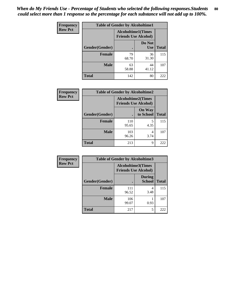| <b>Frequency</b> | <b>Table of Gender by Alcoholtime1</b> |                                                          |                      |              |
|------------------|----------------------------------------|----------------------------------------------------------|----------------------|--------------|
| <b>Row Pct</b>   |                                        | <b>Alcoholtime1(Times</b><br><b>Friends Use Alcohol)</b> |                      |              |
|                  | Gender(Gender)                         | $\bullet$                                                | Do Not<br><b>Use</b> | <b>Total</b> |
|                  | <b>Female</b>                          | 79<br>68.70                                              | 36<br>31.30          | 115          |
|                  | <b>Male</b>                            | 63<br>58.88                                              | 44<br>41.12          | 107          |
|                  | <b>Total</b>                           | 142                                                      | 80                   | 222          |

| <b>Frequency</b> | <b>Table of Gender by Alcoholtime2</b> |                                                          |                            |              |
|------------------|----------------------------------------|----------------------------------------------------------|----------------------------|--------------|
| <b>Row Pct</b>   |                                        | <b>Alcoholtime2(Times</b><br><b>Friends Use Alcohol)</b> |                            |              |
|                  | Gender(Gender)                         |                                                          | <b>On Way</b><br>to School | <b>Total</b> |
|                  | <b>Female</b>                          | 110<br>95.65                                             | 5<br>4.35                  | 115          |
|                  | <b>Male</b>                            | 103<br>96.26                                             | 4<br>3.74                  | 107          |
|                  | <b>Total</b>                           | 213                                                      | 9                          | 222          |

| <b>Frequency</b> | <b>Table of Gender by Alcoholtime3</b> |                                                          |                                |              |
|------------------|----------------------------------------|----------------------------------------------------------|--------------------------------|--------------|
| <b>Row Pct</b>   |                                        | <b>Alcoholtime3(Times</b><br><b>Friends Use Alcohol)</b> |                                |              |
|                  | Gender(Gender)                         |                                                          | <b>During</b><br><b>School</b> | <b>Total</b> |
|                  | <b>Female</b>                          | 111<br>96.52                                             | 4<br>3.48                      | 115          |
|                  | <b>Male</b>                            | 106<br>99.07                                             | 0.93                           | 107          |
|                  | <b>Total</b>                           | 217                                                      | 5                              | 222          |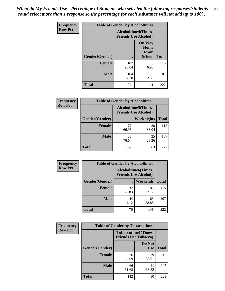*When do My Friends Use - Percentage of Students who selected the following responses.Students could select more than 1 response so the percentage for each substance will not add up to 100%.* **81**

| <b>Frequency</b> | <b>Table of Gender by Alcoholtime4</b> |                                                          |                                                |              |
|------------------|----------------------------------------|----------------------------------------------------------|------------------------------------------------|--------------|
| <b>Row Pct</b>   |                                        | <b>Alcoholtime4(Times</b><br><b>Friends Use Alcohol)</b> |                                                |              |
|                  | Gender(Gender)                         |                                                          | <b>On Way</b><br>Home<br>From<br><b>School</b> | <b>Total</b> |
|                  | <b>Female</b>                          | 107<br>93.04                                             | 8<br>6.96                                      | 115          |
|                  | <b>Male</b>                            | 104<br>97.20                                             | 3<br>2.80                                      | 107          |
|                  | <b>Total</b>                           | 211                                                      | 11                                             | 222          |

| <b>Frequency</b> | <b>Table of Gender by Alcoholtime5</b> |                                                           |                   |              |
|------------------|----------------------------------------|-----------------------------------------------------------|-------------------|--------------|
| <b>Row Pct</b>   |                                        | <b>Alcoholtime5</b> (Times<br><b>Friends Use Alcohol)</b> |                   |              |
|                  | Gender(Gender)                         |                                                           | <b>Weeknights</b> | <b>Total</b> |
|                  | <b>Female</b>                          | 77<br>66.96                                               | 38<br>33.04       | 115          |
|                  | <b>Male</b>                            | 82<br>76.64                                               | 25<br>23.36       | 107          |
|                  | <b>Total</b>                           | 159                                                       | 63                | 222          |

| <b>Frequency</b> |                | <b>Table of Gender by Alcoholtime6</b> |                                                          |              |
|------------------|----------------|----------------------------------------|----------------------------------------------------------|--------------|
| <b>Row Pct</b>   |                |                                        | <b>Alcoholtime6(Times</b><br><b>Friends Use Alcohol)</b> |              |
|                  | Gender(Gender) |                                        | <b>Weekends</b>                                          | <b>Total</b> |
|                  | Female         | 32<br>27.83                            | 83<br>72.17                                              | 115          |
|                  | <b>Male</b>    | 44<br>41.12                            | 63<br>58.88                                              | 107          |
|                  | <b>Total</b>   | 76                                     | 146                                                      | 222          |

| <b>Frequency</b> | <b>Table of Gender by Tobaccotime1</b> |                                                          |                      |              |
|------------------|----------------------------------------|----------------------------------------------------------|----------------------|--------------|
| <b>Row Pct</b>   |                                        | <b>Tobaccotime1(Times</b><br><b>Friends Use Tobacco)</b> |                      |              |
|                  | Gender(Gender)                         |                                                          | Do Not<br><b>Use</b> | <b>Total</b> |
|                  | <b>Female</b>                          | 76<br>66.09                                              | 39<br>33.91          | 115          |
|                  | <b>Male</b>                            | 66<br>61.68                                              | 41<br>38.32          | 107          |
|                  | <b>Total</b>                           | 142                                                      | 80                   | 222          |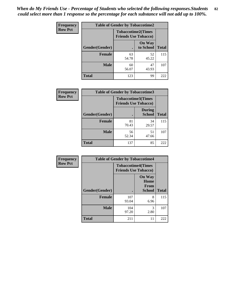| <b>Frequency</b> | <b>Table of Gender by Tobaccotime2</b> |                                                          |                            |              |
|------------------|----------------------------------------|----------------------------------------------------------|----------------------------|--------------|
| <b>Row Pct</b>   |                                        | <b>Tobaccotime2(Times</b><br><b>Friends Use Tobacco)</b> |                            |              |
|                  | Gender(Gender)                         |                                                          | <b>On Way</b><br>to School | <b>Total</b> |
|                  | <b>Female</b>                          | 63<br>54.78                                              | 52<br>45.22                | 115          |
|                  | <b>Male</b>                            | 60<br>56.07                                              | 47<br>43.93                | 107          |
|                  | <b>Total</b>                           | 123                                                      | 99                         | 222          |

| <b>Frequency</b> | <b>Table of Gender by Tobaccotime3</b> |                             |                                |              |
|------------------|----------------------------------------|-----------------------------|--------------------------------|--------------|
| <b>Row Pct</b>   |                                        | <b>Friends Use Tobacco)</b> | <b>Tobaccotime3(Times</b>      |              |
|                  | Gender(Gender)                         |                             | <b>During</b><br><b>School</b> | <b>Total</b> |
|                  | <b>Female</b>                          | 81<br>70.43                 | 34<br>29.57                    | 115          |
|                  | <b>Male</b>                            | 56<br>52.34                 | 51<br>47.66                    | 107          |
|                  | <b>Total</b>                           | 137                         | 85                             | 222          |

| <b>Frequency</b> | <b>Table of Gender by Tobaccotime4</b> |                                                          |                                                |              |
|------------------|----------------------------------------|----------------------------------------------------------|------------------------------------------------|--------------|
| <b>Row Pct</b>   |                                        | <b>Tobaccotime4(Times</b><br><b>Friends Use Tobacco)</b> |                                                |              |
|                  | Gender(Gender)                         |                                                          | <b>On Way</b><br>Home<br>From<br><b>School</b> | <b>Total</b> |
|                  | <b>Female</b>                          | 107<br>93.04                                             | 8<br>6.96                                      | 115          |
|                  | <b>Male</b>                            | 104<br>97.20                                             | 3<br>2.80                                      | 107          |
|                  | <b>Total</b>                           | 211                                                      | 11                                             | 222          |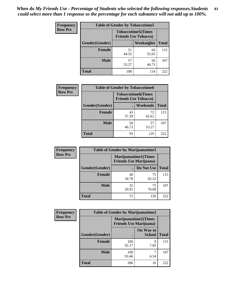| <b>Frequency</b> | <b>Table of Gender by Tobaccotime5</b> |             |                                                           |              |  |
|------------------|----------------------------------------|-------------|-----------------------------------------------------------|--------------|--|
| <b>Row Pct</b>   |                                        |             | <b>Tobaccotime5</b> (Times<br><b>Friends Use Tobacco)</b> |              |  |
|                  | <b>Gender</b> (Gender)                 |             | Weeknights                                                | <b>Total</b> |  |
|                  | <b>Female</b>                          | 51<br>44.35 | 64<br>55.65                                               | 115          |  |
|                  | <b>Male</b>                            | 57<br>53.27 | 50<br>46.73                                               | 107          |  |
|                  | <b>Total</b>                           | 108         | 114                                                       | 222          |  |

| <b>Frequency</b> | <b>Table of Gender by Tobaccotime6</b> |                                                          |                 |              |
|------------------|----------------------------------------|----------------------------------------------------------|-----------------|--------------|
| <b>Row Pct</b>   |                                        | <b>Tobaccotime6(Times</b><br><b>Friends Use Tobacco)</b> |                 |              |
|                  | Gender(Gender)                         |                                                          | <b>Weekends</b> | <b>Total</b> |
|                  | Female                                 | 43<br>37.39                                              | 72<br>62.61     | 115          |
|                  | <b>Male</b>                            | 50<br>46.73                                              | 57<br>53.27     | 107          |
|                  | <b>Total</b>                           | 93                                                       | 129             | 222          |

| Frequency      |                | <b>Table of Gender by Marijuanatime1</b>                      |             |              |
|----------------|----------------|---------------------------------------------------------------|-------------|--------------|
| <b>Row Pct</b> |                | <b>Marijuanatime1(Times</b><br><b>Friends Use Marijuana</b> ) |             |              |
|                | Gender(Gender) |                                                               | Do Not Use  | <b>Total</b> |
|                | <b>Female</b>  | 40<br>34.78                                                   | 75<br>65.22 | 115          |
|                | <b>Male</b>    | 32<br>29.91                                                   | 75<br>70.09 | 107          |
|                | <b>Total</b>   | 72                                                            | 150         | 222          |

| <b>Frequency</b> | <b>Table of Gender by Marijuanatime2</b> |                                                               |                            |              |
|------------------|------------------------------------------|---------------------------------------------------------------|----------------------------|--------------|
| <b>Row Pct</b>   |                                          | <b>Marijuanatime2(Times</b><br><b>Friends Use Marijuana</b> ) |                            |              |
|                  | Gender(Gender)                           |                                                               | On Way to<br><b>School</b> | <b>Total</b> |
|                  | <b>Female</b>                            | 106<br>92.17                                                  | 9<br>7.83                  | 115          |
|                  | <b>Male</b>                              | 100<br>93.46                                                  | 6.54                       | 107          |
|                  | <b>Total</b>                             | 206                                                           | 16                         | 222          |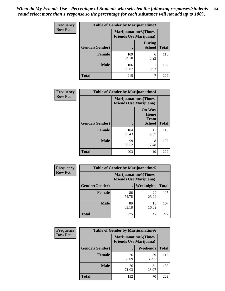| Frequency      | Table of Gender by Marijuanatime3 |                                                        |                                |              |
|----------------|-----------------------------------|--------------------------------------------------------|--------------------------------|--------------|
| <b>Row Pct</b> |                                   | Marijuanatime3(Times<br><b>Friends Use Marijuana</b> ) |                                |              |
|                | Gender(Gender)                    |                                                        | <b>During</b><br><b>School</b> | <b>Total</b> |
|                | <b>Female</b>                     | 109<br>94.78                                           | 6<br>5.22                      | 115          |
|                | <b>Male</b>                       | 106<br>99.07                                           | 0.93                           | 107          |
|                | <b>Total</b>                      | 215                                                    |                                | 222          |

| Frequency      | <b>Table of Gender by Marijuanatime4</b> |                                                               |                                                |              |
|----------------|------------------------------------------|---------------------------------------------------------------|------------------------------------------------|--------------|
| <b>Row Pct</b> |                                          | <b>Marijuanatime4(Times</b><br><b>Friends Use Marijuana</b> ) |                                                |              |
|                | Gender(Gender)                           |                                                               | <b>On Way</b><br>Home<br>From<br><b>School</b> | <b>Total</b> |
|                | <b>Female</b>                            | 104<br>90.43                                                  | 11<br>9.57                                     | 115          |
|                | <b>Male</b>                              | 99<br>92.52                                                   | 8<br>7.48                                      | 107          |
|                | <b>Total</b>                             | 203                                                           | 19                                             | 222          |

| Frequency      | <b>Table of Gender by Marijuanatime5</b> |             |                                                                |              |  |
|----------------|------------------------------------------|-------------|----------------------------------------------------------------|--------------|--|
| <b>Row Pct</b> |                                          |             | <b>Marijuanatime5</b> (Times<br><b>Friends Use Marijuana</b> ) |              |  |
|                | Gender(Gender)                           |             | <b>Weeknights</b>                                              | <b>Total</b> |  |
|                | <b>Female</b>                            | 86<br>74.78 | 29<br>25.22                                                    | 115          |  |
|                | <b>Male</b>                              | 89<br>83.18 | 18<br>16.82                                                    | 107          |  |
|                | <b>Total</b>                             | 175         | 47                                                             | 222          |  |

| Frequency      | <b>Table of Gender by Marijuanatime6</b> |                                                               |                 |              |  |
|----------------|------------------------------------------|---------------------------------------------------------------|-----------------|--------------|--|
| <b>Row Pct</b> |                                          | <b>Marijuanatime6(Times</b><br><b>Friends Use Marijuana</b> ) |                 |              |  |
|                | Gender(Gender)                           |                                                               | <b>Weekends</b> | <b>Total</b> |  |
|                | <b>Female</b>                            | 76<br>66.09                                                   | 39<br>33.91     | 115          |  |
|                | <b>Male</b>                              | 76<br>71.03                                                   | 31<br>28.97     | 107          |  |
|                | <b>Total</b>                             | 152                                                           | 70              | 222          |  |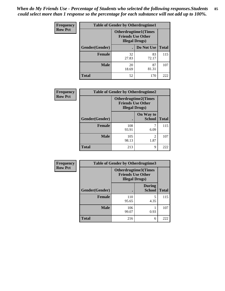*When do My Friends Use - Percentage of Students who selected the following responses.Students could select more than 1 response so the percentage for each substance will not add up to 100%.* **85**

| <b>Frequency</b> | <b>Table of Gender by Otherdrugtime1</b> |                                                                                   |                    |     |
|------------------|------------------------------------------|-----------------------------------------------------------------------------------|--------------------|-----|
| <b>Row Pct</b>   |                                          | <b>Otherdrugtime1(Times</b><br><b>Friends Use Other</b><br><b>Illegal Drugs</b> ) |                    |     |
|                  | Gender(Gender)                           |                                                                                   | Do Not Use   Total |     |
|                  | <b>Female</b>                            | 32<br>27.83                                                                       | 83<br>72.17        | 115 |
|                  | <b>Male</b>                              | 20<br>18.69                                                                       | 87<br>81.31        | 107 |
|                  | <b>Total</b>                             | 52                                                                                | 170                | 222 |

| Frequency      |                | <b>Table of Gender by Otherdrugtime2</b>           |                             |              |
|----------------|----------------|----------------------------------------------------|-----------------------------|--------------|
| <b>Row Pct</b> |                | <b>Friends Use Other</b><br><b>Illegal Drugs</b> ) | <b>Otherdrugtime2(Times</b> |              |
|                | Gender(Gender) |                                                    | On Way to<br><b>School</b>  | <b>Total</b> |
|                | <b>Female</b>  | 108<br>93.91                                       | 6.09                        | 115          |
|                | <b>Male</b>    | 105<br>98.13                                       | $\mathfrak{D}$<br>1.87      | 107          |
|                | <b>Total</b>   | 213                                                | 9                           | 222          |

| Frequency      | <b>Table of Gender by Otherdrugtime3</b> |                                                   |                                |              |
|----------------|------------------------------------------|---------------------------------------------------|--------------------------------|--------------|
| <b>Row Pct</b> |                                          | <b>Friends Use Other</b><br><b>Illegal Drugs)</b> | <b>Otherdrugtime3(Times</b>    |              |
|                | Gender(Gender)                           |                                                   | <b>During</b><br><b>School</b> | <b>Total</b> |
|                | <b>Female</b>                            | 110<br>95.65                                      | 5<br>4.35                      | 115          |
|                | <b>Male</b>                              | 106<br>99.07                                      | 0.93                           | 107          |
|                | <b>Total</b>                             | 216                                               | 6                              | 222          |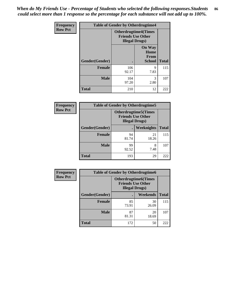*When do My Friends Use - Percentage of Students who selected the following responses.Students could select more than 1 response so the percentage for each substance will not add up to 100%.* **86**

| <b>Frequency</b> | <b>Table of Gender by Otherdrugtime4</b> |                                                                                   |                                                |              |
|------------------|------------------------------------------|-----------------------------------------------------------------------------------|------------------------------------------------|--------------|
| <b>Row Pct</b>   |                                          | <b>Otherdrugtime4(Times</b><br><b>Friends Use Other</b><br><b>Illegal Drugs</b> ) |                                                |              |
|                  | Gender(Gender)                           |                                                                                   | <b>On Way</b><br>Home<br>From<br><b>School</b> | <b>Total</b> |
|                  | Female                                   | 106<br>92.17                                                                      | 9<br>7.83                                      | 115          |
|                  | <b>Male</b>                              | 104<br>97.20                                                                      | 3<br>2.80                                      | 107          |
|                  | <b>Total</b>                             | 210                                                                               | 12                                             | 222          |

| Frequency      | <b>Table of Gender by Otherdrugtime5</b> |                                                                                    |                   |              |
|----------------|------------------------------------------|------------------------------------------------------------------------------------|-------------------|--------------|
| <b>Row Pct</b> |                                          | <b>Otherdrugtime5</b> (Times<br><b>Friends Use Other</b><br><b>Illegal Drugs</b> ) |                   |              |
|                | Gender(Gender)                           |                                                                                    | <b>Weeknights</b> | <b>Total</b> |
|                | <b>Female</b>                            | 94<br>81.74                                                                        | 21<br>18.26       | 115          |
|                | <b>Male</b>                              | 99<br>92.52                                                                        | 8<br>7.48         | 107          |
|                | <b>Total</b>                             | 193                                                                                | 29                | 222          |

| <b>Frequency</b> | <b>Table of Gender by Otherdrugtime6</b> |                                                                                   |             |              |  |
|------------------|------------------------------------------|-----------------------------------------------------------------------------------|-------------|--------------|--|
| <b>Row Pct</b>   |                                          | <b>Otherdrugtime6(Times</b><br><b>Friends Use Other</b><br><b>Illegal Drugs</b> ) |             |              |  |
|                  | Gender(Gender)                           |                                                                                   | Weekends    | <b>Total</b> |  |
|                  | <b>Female</b>                            | 85<br>73.91                                                                       | 30<br>26.09 | 115          |  |
|                  | <b>Male</b>                              | 87<br>81.31                                                                       | 20<br>18.69 | 107          |  |
|                  | <b>Total</b>                             | 172                                                                               | 50          | 222          |  |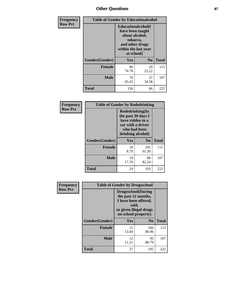# *Other Questions* **87**

| Frequency      | <b>Table of Gender by Educationalcohol</b> |                                                                                                                               |                |              |  |
|----------------|--------------------------------------------|-------------------------------------------------------------------------------------------------------------------------------|----------------|--------------|--|
| <b>Row Pct</b> |                                            | Educationalcohol(I<br>have been taught<br>about alcohol,<br>tobacco,<br>and other drugs<br>within the last year<br>at school) |                |              |  |
|                | Gender(Gender)                             | <b>Yes</b>                                                                                                                    | N <sub>0</sub> | <b>Total</b> |  |
|                | <b>Female</b>                              | 86<br>74.78                                                                                                                   | 29<br>25.22    | 115          |  |
|                | <b>Male</b>                                | 70<br>65.42                                                                                                                   | 37<br>34.58    | 107          |  |
|                | <b>Total</b>                               | 156                                                                                                                           | 66             | 222          |  |

| Frequency      | <b>Table of Gender by Rodedrinking</b> |                                                                                                                     |                |              |  |
|----------------|----------------------------------------|---------------------------------------------------------------------------------------------------------------------|----------------|--------------|--|
| <b>Row Pct</b> |                                        | Rodedrinking(In<br>the past 30 days I<br>have ridden in a<br>car with a driver<br>who had been<br>drinking alcohol) |                |              |  |
|                | Gender(Gender)                         | Yes                                                                                                                 | N <sub>0</sub> | <b>Total</b> |  |
|                | <b>Female</b>                          | 10<br>8.70                                                                                                          | 105<br>91.30   | 115          |  |
|                | <b>Male</b>                            | 19<br>17.76                                                                                                         | 88<br>82.24    | 107          |  |
|                | <b>Total</b>                           | 29                                                                                                                  | 193            | 222          |  |

| <b>Frequency</b> | <b>Table of Gender by Drugsschool</b> |                                                                                                                                     |                |              |  |
|------------------|---------------------------------------|-------------------------------------------------------------------------------------------------------------------------------------|----------------|--------------|--|
| <b>Row Pct</b>   |                                       | <b>Drugsschool</b> (During<br>the past 12 months,<br>I have been offered,<br>sold,<br>or given illegal drugs<br>on school property) |                |              |  |
|                  | Gender(Gender)                        | <b>Yes</b>                                                                                                                          | N <sub>0</sub> | <b>Total</b> |  |
|                  | <b>Female</b>                         | 15<br>13.04                                                                                                                         | 100<br>86.96   | 115          |  |
|                  | <b>Male</b>                           | 12<br>11.21                                                                                                                         | 95<br>88.79    | 107          |  |
|                  | <b>Total</b>                          | 27                                                                                                                                  | 195            | 222          |  |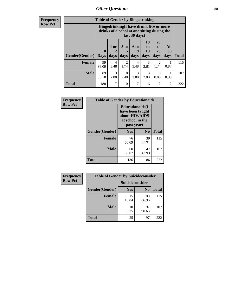# *Other Questions* **88**

**Frequency Row Pct**

| <b>Table of Gender by Bingedrinking</b> |                         |                                                                                                         |                   |                   |                        |                               |                   |              |
|-----------------------------------------|-------------------------|---------------------------------------------------------------------------------------------------------|-------------------|-------------------|------------------------|-------------------------------|-------------------|--------------|
|                                         |                         | Bingedrinking(I have drunk five or more<br>drinks of alcohol at one sitting during the<br>last 30 days) |                   |                   |                        |                               |                   |              |
| <b>Gender</b> (Gender)                  | $\bf{0}$<br><b>Days</b> | $1$ or<br>days                                                                                          | 3 to<br>5<br>days | 6 to<br>9<br>days | 10<br>to<br>19<br>days | <b>20</b><br>to<br>29<br>days | All<br>30<br>days | <b>Total</b> |
| <b>Female</b>                           | 99<br>86.09             | 4<br>3.48                                                                                               | 2<br>1.74         | 4<br>3.48         | 3<br>2.61              | 2<br>1.74                     | 0.87              | 115          |
| <b>Male</b>                             | 89<br>83.18             | 3<br>2.80                                                                                               | 8<br>7.48         | 3<br>2.80         | 3<br>2.80              | $\Omega$<br>0.00              | 0.93              | 107          |
| <b>Total</b>                            | 188                     | 7                                                                                                       | 10                | 7                 | 6                      | $\mathfrak{D}$                | $\mathfrak{D}$    | 222          |

| Frequency      | <b>Table of Gender by Educationaids</b> |                                                                                                 |             |              |  |
|----------------|-----------------------------------------|-------------------------------------------------------------------------------------------------|-------------|--------------|--|
| <b>Row Pct</b> |                                         | <b>Educationaids</b> (I<br>have been taught<br>about HIV/AIDS<br>at school in the<br>past year) |             |              |  |
|                | Gender(Gender)                          | Yes                                                                                             | $\bf N_0$   | <b>Total</b> |  |
|                | <b>Female</b>                           | 76<br>66.09                                                                                     | 39<br>33.91 | 115          |  |
|                | <b>Male</b>                             | 60<br>56.07                                                                                     | 47<br>43.93 | 107          |  |
|                | <b>Total</b>                            | 136                                                                                             | 86          | 222          |  |

| <b>Frequency</b> | <b>Table of Gender by Suicideconsider</b> |                 |                |              |  |
|------------------|-------------------------------------------|-----------------|----------------|--------------|--|
| <b>Row Pct</b>   |                                           | Suicideconsider |                |              |  |
|                  | Gender(Gender)                            | Yes             | N <sub>0</sub> | <b>Total</b> |  |
|                  | <b>Female</b>                             | 15<br>13.04     | 100<br>86.96   | 115          |  |
|                  | <b>Male</b>                               | 10<br>9.35      | 97<br>90.65    | 107          |  |
|                  | <b>Total</b>                              | 25              | 197            | 222          |  |